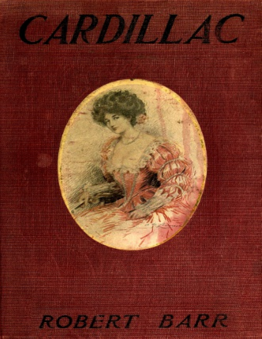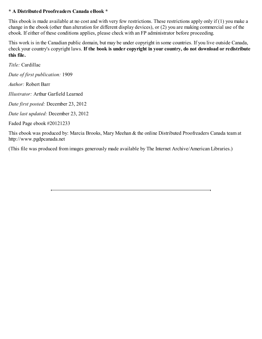#### **\* A Distributed Proofreaders Canada eBook \***

This ebook is made available at no cost and with very few restrictions. These restrictions apply only if (1) you make a change in the ebook (other than alteration for different display devices), or (2) you are making commercial use of the ebook. If either of these conditions applies, please check with an FP administrator before proceeding.

This work is in the Canadian public domain, but may be under copyright in some countries. If you live outside Canada, check your country's copyright laws. **If the book is under copyright in your country, do not download or redistribute this file.**

*Title:* Cardillac

*Date of first publication:* 1909

*Author:* Robert Barr

*Illustrator:* Arthur Garfield Learned

*Date first posted:* December 23, 2012

*Date last updated:* December 23, 2012

Faded Page ebook #20121233

This ebook was produced by: Marcia Brooks, Mary Meehan & the online Distributed Proofreaders Canada team at http://www.pgdpcanada.net

(This file was produced from images generously made available by The Internet Archive/American Libraries.)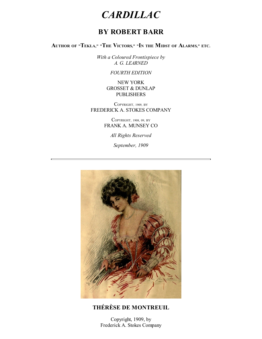# *CARDILLAC*

## **BY ROBERT BARR**

#### **AUTHOR OF "TEKLA," "THE VICTORS," "I<sup>N</sup> THE MIDST OF ALARMS," ETC.**

*With a Coloured Frontispiece by A. G. LEARNED*

*FOURTH EDITION*

NEW YORK GROSSET & DUNLAP PUBLISHERS

COPYRIGHT, 1909, BY FREDERICK A. STOKES COMPANY

> COPYRIGHT, 1908, 09, BY FRANK A. MUNSEY CO

> > *All Rights Reserved*

*September, 1909*



**THÉRÈSE DE MONTREUIL**

Copyright, 1909, by Frederick A. Stokes Company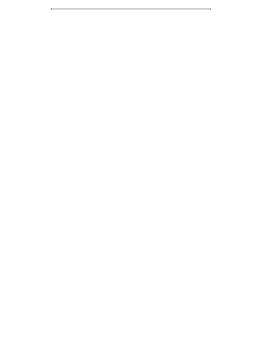$\equiv$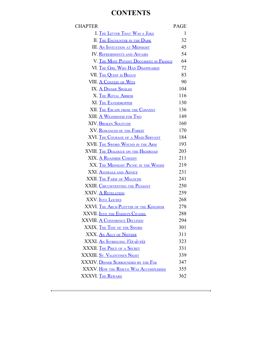# **CONTENTS**

| <b>CHAPTER</b>                               | <b>PAGE</b> |
|----------------------------------------------|-------------|
| I. THE LETTER THAT WAS A JOKE                | 1           |
| <b>II. THE ENCOUNTER IN THE DARK</b>         | 32          |
| <b>III. AN INVITATION AT MIDNIGHT</b>        | 45          |
| IV. REFRESHMENTS AND AFFAIRS                 | 54          |
| V. THE MOST POTENT DOCUMENT IN FRANCE        | 64          |
| VI. THE GIRL WHO HAD DISAPPEARED             | 72          |
| VII. THE QUEST IS BEGUN                      | 83          |
| VIII. A CONTEST OF WITS                      | 90          |
| IX. A DINNER SPOILED                         | 104         |
| <b>X.</b> THE ROYAL ABBESS                   | 116         |
| XI. THE EAVESDROPPER                         | 130         |
| XII. THE ESCAPE FROM THE CONVENT             | 136         |
| XIII. A WILDERNESS FOR TWO                   | 149         |
| <b>XIV. BROKEN SOLITUDE</b>                  | 160         |
| <b>XV.</b> ROMANCES OF THE FOREST            | 170         |
| XVI. THE COURAGE OF A MAID-SERVANT           | 184         |
| XVII. THE SWORD WOUND IN THE ARM             | 193         |
| XVIII. THE DIALOGUE ON THE HIGHROAD          | 203         |
| XIX. A ROADSIDE COMEDY                       | 211         |
| XX. THE MIDNIGHT PICNIC IN THE WOODS         | 219         |
| XXI. AVOWALS AND ADVICE                      | 231         |
| XXII. THE FARM OF MALOCHE                    | 241         |
| <b>XXIII.</b> CIRCUMVENTING THE PEASANT      | 250         |
| <b>XXIV. A REVELATION</b>                    | 259         |
| XXV. <b>INTO LOCHES</b>                      | 268         |
| <b>XXVI.</b> THE ARCH-PLOTTER OF THE KINGDOM | 278         |
| <b>XXVII.</b> INTO THE ENEMY'S CITADEL       | 288         |
| <b>XXVIII. A CONFERENCE DECLINED</b>         | 294         |
| XXIX. THE TEST OF THE SWORD                  | 301         |
| <b>XXX.</b> AN ALLY OF NEITHER               | 311         |
| XXXI. AN INTRIGUING Vis-à-vis                | 323         |
| XXXII. THE PRICE OF A SECRET                 | 331         |
| XXXIII. ST. VALENTINE'S NIGHT                | 339         |
| <b>XXXIV.</b> DINNER SURROUNDED BY THE FOE   | 347         |
| <b>XXXV.</b> HOW THE RESCUE WAS ACCOMPLISHED | 355         |
| XXXVI. THE REWARD                            | 362         |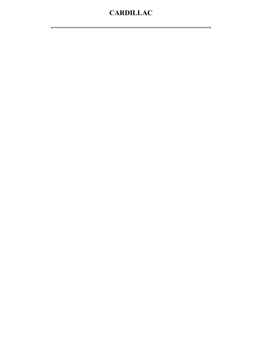# **CARDILLAC**

E.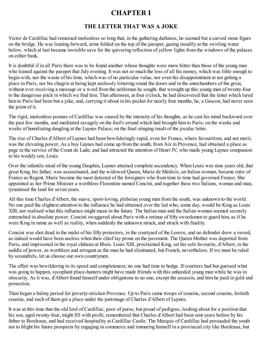## **CHAPTER I**

#### **THE LETTER THAT WAS A JOKE**

<span id="page-6-0"></span>Victor de Cardillac had remained motionless so long that, in the gathering darkness, he seemed but a carved stone figure on the bridge. He was leaning forward, arms folded on the top of the parapet, gazing steadily at the swirling water below, which at last became invisible save for the quivering reflection of yellow lights from the windows of the palaces on either bank.

It is doubtful if in all Paris there was to be found another whose thoughts were more bitter than those of the young man who leaned against the parapet that July evening. It was not so much the loss of all his money, which was little enough to begin with, nor the waste of his time, which was of no particular value, nor even his disappointment at not getting a place in Paris, nor his chagrin at being kept uselessly loitering round the doors and in the antechambers of the great, without ever receiving a message or a word from the nobleman he sought, that wrought up this young man of twenty-four to the dangerous pitch in which we find him. That afternoon, at four o'clock, he had discovered that the letter which lured him to Paris had been but a joke, and, carrying it about in his pocket for nearly four months, he, a Gascon, had never seen the point of it.

The rigid, motionless posture of Cardillac was caused by the intensity of his thoughts, as he cast his mind backward over the past few months, and meditated savagely on the fool's errand which had brought him to Paris; on the weeks and weeks of humiliating dangling at the Luynes Palace; on the final stinging insult of the jocular letter.

The rise of Charles d'Albert of Luynes had been bewilderingly rapid, even for France, where favouritism, and not merit, was the elevating power. As a boy Luynes had come up from the south, from Aix in Provence, had obtained a place as page in the service of the Count de Lude, and had attracted the attention of Henri IV, who made young Luynes companion to his weakly son, Louis.

Over the infantile mind of the young Dauphin, Luynes attained complete ascendency. When Louis was nine years old, that great King, his father, was assassinated, and the widowed Queen, Marie de Médicis, an Italian woman, became ruler of France as Regent. Marie became the most detested of the foreigners who from time to time had governed France. She appointed as her Prime Minister a worthless Florentine named Concini, and together these two Italians, woman and man, tyrannised the land for seven years.

All this time Charles d'Albert, the suave, sport-loving, plebeian young man from the south, was unknown to the world. No one paid the slightest attention to the influence he had obtained over the lad who, some day, would be King as Louis XIII, nor realised what this influence might mean in the future. The Italian man and the Italian woman seemed securely entrenched in absolute power. Concini swaggered about Paris with a retinue of fifty swordsmen to guard him, as if he were King in name as well as reality, when suddenly the unknown struck, and struck with finality.

Concini was shot dead in the midst of his fifty protectors, in the courtyard of the Louvre, and no defender drew a sword, as indeed would have been useless when their chief lay prone on the pavement. The Queen Mother was deported from Paris, and imprisoned in the royal château at Blois. Louis XIII, proclaimed King, set his sole favourite, d'Albert, in the saddle of power, as worthless and arrogant as the man he had eliminated, but French, nevertheless. If we must be ruled by scoundrels, let us choose our own countrymen.

The affair was bewildering in its speed and completeness; no one had time to hedge. If courtiers had but guessed what was going to happen, sycophant place-hunters might have made friends with this unheeded young man while he was in obscurity. As it was, d'Albert found himself under obligations to no one, except the assassin, and him he paid in gold and protection.

Then began a balmy period for poverty-stricken Provence. Up to Paris came troops of cousins, second cousins, fortieth cousins, and each of them got a place under the patronage of Charles d'Albert of Luynes.

It was at this time that the old lord of Cardillac, poor of purse, but proud of pedigree, looking about for a position that his son, aged twenty-four, might fill with profit, remembered that Charles d'Albert had been sent years before by his father to Bordeaux, and had received hospitality at Cardillac Castle. The Marquis of Cardillac had persuaded the youth not to blight his future prospects by engaging in commerce and immuring himself in a provincial city like Bordeaux, but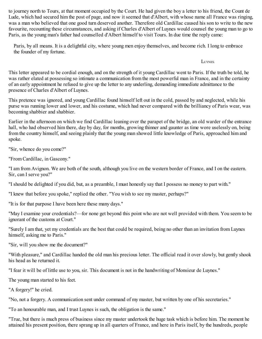to journey north to Tours, at that moment occupied by the Court. He had given the boy a letter to his friend, the Count de Lude, which had secured him the post of page, and now it seemed that d'Albert, with whose name all France was ringing, was a man who believed that one good turn deserved another. Therefore old Cardillac caused his son to write to the new favourite, recounting these circumstances, and asking if Charles d'Albert of Luynes would counsel the young man to go to Paris, as the young man's father had counselled d'Albert himself to visit Tours. In due time the reply came:

Paris, by all means. It is a delightful city, where young men enjoy themselves, and become rich. I long to embrace the founder of my fortune.

**LUYNES** 

This letter appeared to be cordial enough, and on the strength of it young Cardillac went to Paris. If the truth be told, he was rather elated at possessing so intimate a communication from the most powerful man in France, and in the certainty of an early appointment he refused to give up the letter to any underling, demanding immediate admittance to the presence of Charles d'Albert of Luynes.

This pretence was ignored, and young Cardillac found himself left out in the cold, passed by and neglected, while his purse was running lower and lower, and his costume, which had never compared with the brilliancy of Paris wear, was becoming shabbier and shabbier.

Earlier in the afternoon on which we find Cardillac leaning over the parapet of the bridge, an old warder of the entrance hall, who had observed him there, day by day, for months, growing thinner and gaunter as time wore uselessly on, being from the country himself, and seeing plainly that the young man showed little knowledge of Paris, approached him and spoke.

"Sir, whence do you come?"

"From Cardillac, in Gascony."

"I am from Avignon. We are both of the south, although you live on the western border of France, and I on the eastern. Sir, can I serve you?"

"I should be delighted if you did, but, as a preamble, I must honestly say that I possess no money to part with."

"I knew that before you spoke," replied the other. "You wish to see my master, perhaps?"

"It is for that purpose I have been here these many days."

"May I examine your credentials?—for none get beyond this point who are not well provided with them. You seem to be ignorant of the customs at Court."

"Surely I am that, yet my credentials are the best that could be required, being no other than an invitation from Luynes himself, asking me to Paris."

"Sir, will you show me the document?"

"With pleasure," and Cardillac handed the old man his precious letter. The official read it over slowly, but gently shook his head as he returned it.

"I fear it will be of little use to you, sir. This document is not in the handwriting of Monsieur de Luynes."

The young man started to his feet.

"A forgery!" he cried.

"No, not a forgery. A communication sent under command of my master, but written by one of his secretaries."

"To an honourable man, and I trust Luynes is such, the obligation is the same."

"True, but there is much press of business since my master undertook the huge task which is before him. The moment he attained his present position, there sprang up in all quarters of France, and here in Paris itself, by the hundreds, people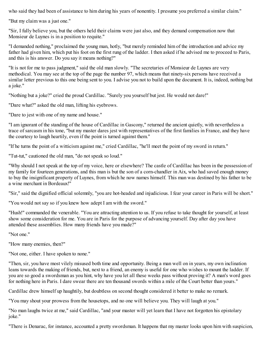who said they had been of assistance to him during his years of nonentity. I presume you preferred a similar claim."

"But my claim was a just one."

"Sir, I fully believe you, but the others held their claims were just also, and they demand compensation now that Monsieur de Luynes is in a position to requite."

"I demanded nothing," proclaimed the young man, hotly, "but merely reminded him of the introduction and advice my father had given him, which put his foot on the first rung of the ladder. I then asked if he advised me to proceed to Paris, and this is his answer. Do you say it means nothing?"

"It is not for me to pass judgment," said the old man slowly. "The secretaries of Monsieur de Luynes are very methodical. You may see at the top of the page the number 97, which means that ninety-six persons have received a similar letter previous to this one being sent to you. I advise you not to build upon the document. It is, indeed, nothing but a joke."

"Nothing but a joke?" cried the proud Cardillac. "Surely you yourself but jest. He would not dare!"

"Dare what?" asked the old man, lifting his eyebrows.

"Dare to jest with one of my name and house."

"I am ignorant of the standing of the house of Cardillac in Gascony," returned the ancient quietly, with nevertheless a trace of sarcasm in his tone, "but my master dares jest with representatives of the first families in France, and they have the courtesy to laugh heartily, even if the point is turned against them."

"If he turns the point of a witticism against me," cried Cardillac, "he'll meet the point of my sword in return."

"Tut-tut," cautioned the old man, "do not speak so loud."

"Why should I not speak at the top of my voice, here or elsewhere? The castle of Cardillac has been in the possession of my family for fourteen generations, and this man is but the son of a corn-chandler in Aix, who had saved enough money to buy the insignificant property of Luynes, from which he now names himself. This man was destined by his father to be a wine merchant in Bordeaux!"

"Sir," said the dignified official solemnly, "you are hot-headed and injudicious. I fear your career in Paris will be short."

"You would not say so if you knew how adept I am with the sword."

"Hush!" commanded the venerable. "You are attracting attention to us. If you refuse to take thought for yourself, at least show some consideration for me. You are in Paris for the purpose of advancing yourself. Day after day you have attended these assemblies. How many friends have you made?"

"Not one."

"How many enemies, then?"

"Not one, either. I have spoken to none."

"Then, sir, you have most vilely misused both time and opportunity. Being a man well on in years, my own inclination leans towards the making of friends, but, next to a friend, an enemy is useful for one who wishes to mount the ladder. If you are so good a swordsman as you hint, why have you let all these weeks pass without proving it? A man's word goes for nothing here in Paris. I dare swear there are ten thousand swords within a mile of the Court better than yours."

Cardillac drew himself up haughtily, but doubtless on second thought considered it better to make no remark.

"You may shout your prowess from the housetops, and no one will believe you. They will laugh at you."

"No man laughs twice at me," said Cardillac, "and your master will yet learn that I have not forgotten his epistolary joke."

"There is Denarac, for instance, accounted a pretty swordsman. It happens that my master looks upon him with suspicion,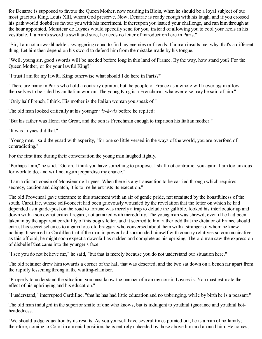for Denarac is supposed to favour the Queen Mother, now residing in Blois, when he should be a loyal subject of our most gracious King, Louis XIII, whom God preserve. Now, Denarac is ready enough with his laugh, and if you crossed his path would doubtless favour you with his merriment. If thereupon you issued your challenge, and ran him through at the hour appointed, Monsieur de Luynes would speedily send for you, instead of allowing you to cool your heels in his vestibule. If a man's sword is swift and sure, he needs no letter of introduction here in Paris."

"Sir, I am not a swashbuckler, swaggering round to find my enemies or friends. If a man insults me, why, that's a different thing. Let him then depend on his sword to defend him from the mistake made by his tongue."

"Well, young sir, good swords will be needed before long in this land of France. By the way, how stand you? For the Queen Mother, or for your lawful King?"

"I trust I am for my lawful King; otherwise what should I do here in Paris?"

"There are many in Paris who hold a contrary opinion, but the people of France as a whole will never again allow themselves to be ruled by an Italian woman. The young King is a Frenchman, whatever else may be said of him."

"Only half French, I think. His mother is the Italian woman you speak of."

The old man looked critically at his younger *vis-à-vis* before he replied:

"But his father was Henri the Great, and the son is Frenchman enough to imprison his Italian mother."

"It was Luynes did that."

"Young man," said the guard with asperity, "for one so little versed in the ways of the world, you are overfond of contradicting."

For the first time during their conversation the young man laughed lightly.

"Perhaps I am," he said. "Go on. I think you have something to propose. I shall not contradict you again. I am too anxious for work to do, and will not again jeopardise my chance."

"I am a distant cousin of Monsieur de Luynes. When there is any transaction to be carried through which requires secrecy, caution and dispatch, it is to me he entrusts its execution."

The old Provençal gave utterance to this statement with an air of gentle pride, not untainted by the boastfulness of the south. Cardillac, whose self-conceit had been grievously wounded by the revelation that the letter on which he had depended as a guide-post on the road to fortune was merely a trap to delude the gullible, looked his interlocutor up and down with a somewhat critical regard, not unmixed with incredulity. The young man was shrewd, even if he had been taken in by the apparent cordiality of this bogus letter, and it seemed to him rather odd that the dictator of France should entrust his secret schemes to a garrulous old braggart who conversed about them with a stranger of whom he knew nothing. It seemed to Cardillac that if the man in power had surrounded himself with country relatives so communicative as this official, he might soon expect a downfall as sudden and complete as his uprising. The old man saw the expression of disbelief that came into the younger's face.

"I see you do not believe me," he said, "but that is merely because you do not understand our situation here."

The old retainer drew him towards a corner of the hall that was deserted, and the two sat down on a bench far apart from the rapidly lessening throng in the waiting-chamber.

"Properly to understand the situation, you must know the manner of man my cousin Luynes is. You must estimate the effect of his upbringing and his education."

"I understand," interrupted Cardillac, "that he has had little education and no upbringing, while by birth he is a peasant."

The old man indulged in the superior smile of one who knows, but is indulgent to youthful ignorance and youthful hotheadedness.

"We should judge education by its results. As you yourself have several times pointed out, he is a man of no family; therefore, coming to Court in a menial position, he is entirely unheeded by those above him and around him. He comes,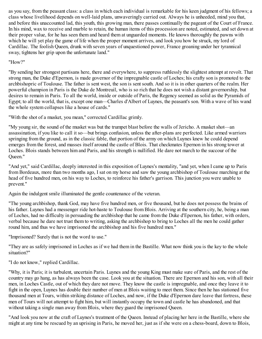as you say, from the peasant class: a class in which each individual is remarkable for his keen judgment of his fellows; a class whose livelihood depends on well-laid plans, unwaveringly carried out. Always he is unheeded, mind you that, and before this unaccounted lad, this youth, this growing man, there passes continually the pageant of the Court of France. In his mind, wax to receive and marble to retain, the human items of this procession are noted, estimated, and set down at their proper value, for he has seen them and heard them at unguarded moments. He knows thoroughly the pawns with which he will yet play the game of life when the proper moment arrives, and look you how he struck, my lord of Cardillac. The foolish Queen, drunk with seven years of unquestioned power, France groaning under her tyrannical sway, tightens her grip upon the unfortunate land."

"How?"

"By sending her strongest partisans here, there and everywhere, to suppress ruthlessly the slightest attempt at revolt. That strong man, the Duke d'Epernon, is made governor of the impregnable castle of Loches; his crafty son is promoted to the archbishopric of Toulouse. The father is sent west, the son is sent south. And so it is in other quarters of the realm. Her powerful champion in Paris is the Duke de Montreuil, who is so rich that he does not wish a distant governorship, but desires to remain in Paris. To all the world, inside or outside of Paris, the Regency seemed as solid as the Pyramids of Egypt; to all the world, that is, except one man—Charles d'Albert of Luynes, the peasant's son. With a wave of his wand the whole system collapses like a house of cards."

"With the shot of a musket, you mean," corrected Cardillac grimly.

"My young sir, the sound of the musket was but the trumpet blast before the walls of Jericho. A musket shot—an assassination, if you like to call it so—but brings confusion, unless the after-plans are perfected. Like armed warriors springing from the ground, as in the classic fable, that portion of the army on which Luynes knew he could depend emerges from the forest, and masses itself around the castle of Blois. That checkmates Epernon in his strong tower at Loches. Blois stands between him and Paris, and his strength is nullified. He dare not march to the succour of the Queen."

"And yet," said Cardillac, deeply interested in this exposition of Luynes's mentality, "and yet, when I came up to Paris from Bordeaux, more than two months ago, I sat on my horse and saw the young archbishop of Toulouse marching at the head of five hundred men, on his way to Loches, to reinforce his father's garrison. This junction you were unable to prevent."

Again the indulgent smile illuminated the gentle countenance of the veteran.

"The young archbishop, thank God, may have five hundred men, or five thousand, but he does not possess the brains of his father. Luynes had a messenger ride hot-haste to Toulouse from Blois. Arriving at the southern city, he, being a man of Loches, had no difficulty in persuading the archbishop that he came from the Duke d'Epernon, his father, with orders, verbal because he dare not trust them to writing, asking the archbishop to bring to Loches all the men he could gather round him, and thus we have imprisoned the archbishop and his five hundred men."

"Imprisoned? Surely that is not the word to use."

"They are as safely imprisoned in Loches as if we had them in the Bastille. What now think you is the key to the whole situation?"

"I do not know," replied Cardillac.

"Why, it is Paris; it is turbulent, uncertain Paris. Luynes and the young King must make sure of Paris, and the rest of the country may go hang, as has always been the case. Look you at the situation. There are Epernon and his son, with all their men, in Loches Castle, out of which they dare not move. They know the castle is impregnable, and once they leave it to fight in the open, Luynes has double their number of men at Blois waiting to meet them. Since then he has stationed five thousand men at Tours, within striking distance of Loches, and now, if the Duke d'Epernon dare leave that fortress, these men of Tours will not attempt to fight him, but will instantly occupy the town and castle he has abandoned, and that without taking a single man away from Blois, where they guard the imprisoned Queen.

"And look you now at the craft of Luynes's treatment of the Queen. Instead of placing her here in the Bastille, where she might at any time be rescued by an uprising in Paris, he moved her, just as if she were on a chess-board, down to Blois,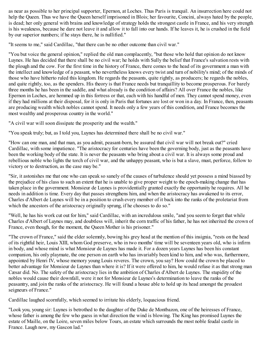as near as possible to her principal supporter, Epernon, at Loches. Thus Paris is tranquil. An insurrection here could not help the Queen. Thus we have the Queen herself imprisoned in Blois; her favourite, Concini, always hated by the people, is dead; her only general with brains and knowledge of strategy holds the strongest castle in France, and his very strength is his weakness, because he dare not leave it and allow it to fall into our hands. If he leaves it, he is crushed in the field by our superior numbers; if he stays there, he is nullified."

"It seems to me," said Cardillac, "that there can be no other outcome than civil war."

"You but voice the general opinion," replied the old man complacently, "but those who hold that opinion do not know Luynes. He has decided that there shall be no civil war; he holds with Sully the belief that France's salvation rests with the plough and the cow. For the first time in the history of France, there comes to the head of its government a man with the intellect and knowledge of a peasant, who nevertheless knows every twist and turn of nobility's mind; of the minds of those who have hitherto ruled this kingdom. He regards the peasants, quite rightly, as producers; he regards the nobles, and quite rightly, too, as the spenders. His theory is that France needs but tranquillity to become prosperous. For barely three months he has been in the saddle, and what already is the condition of affairs? All over France the nobles, like Epernon in Loches, are hemmed up in this fortress or that, each with his handful of men. They cannot spend money, even if they had millions at their disposal, for it is only in Paris that fortunes are lost or won in a day. In France, then, peasants are producing wealth which nobles cannot spend. It needs only a few years of this condition, and France becomes the most wealthy and prosperous country in the world."

"A civil war will soon dissipate the prosperity and the wealth."

"You speak truly; but, as I told you, Luynes has determined there shall be no civil war."

"How can one man, and that man, as you admit, peasant-born, be assured that civil war will not break out?" cried Cardillac, with some impatience. "The aristocracy for centuries have been the governing body, just as the peasants have been the working body of the state. It is never the peasants who bring about a civil war. It is always some proud and rebellious noble who lights the torch of civil war, and the unhappy peasant, who is but a slave, must, perforce, follow to victory or to destruction, as the case may be."

"Sir, it astonishes me that one who can speak so sanely of the causes of turbulence should yet possess a mind biassed by the prejudice of his class to such an extent that he is unable to give proper weight to the epoch-making change that has taken place in the government. Monsieur de Luynes is providentially granted exactly the opportunity he requires. All he needs in addition is time. Every day that passes strengthens him, and when the aristocracy has awakened to its error, Charles d'Albert de Luynes will be in a position to crush every member of it back into the ranks of the proletariat from which the ancestors of the aristocracy originally sprung, if he chooses to do so."

"Well, he has his work cut out for him," said Cardillac, with an incredulous smile, "and you seem to forget that while Charles d'Albert of Luynes may, and doubtless will, inherit the corn traffic of his father, he has not inherited the crown of France, even though, for the moment, the Queen Mother is his prisoner."

"The crown of France," said the elder solemnly, bowing his grey head at the mention of this insignia, "rests on the head of its rightful heir, Louis XIII, whom God preserve, who in two months' time will be seventeen years old, who is infirm in body, and whose mind is what Monsieur de Luynes has made it. For a dozen years Luynes has been his constant companion, his only playmate, the one person on earth who has invariably been kind to him, and who was, furthermore, appointed by Henri IV, whose memory young Louis reveres. The crown, you say? How could the crown be placed to better advantage for Monsieur de Luynes than where it is? If it were offered to him, he would refuse it as that strong man Cæsar did. No. The safety of the aristocracy lies in the ambition of Charles d'Albert de Luynes. The stupidity of the nobles would cause their downfall, were it not for Monsieur de Luynes's determination to leave the ranks of the peasantry, and join the ranks of the aristocracy. He will found a house able to hold up its head amongst the proudest seigneurs of France."

Cardillac laughed scornfully, which seemed to irritate his elderly, loquacious friend.

"Look you, young sir: Luynes is betrothed to the daughter of the Duke de Montbazon, one of the heiresses of France, whose father is among the few who guess in what direction the wind is blowing. The King has promised Luynes the estate of Maille, on the Loire, seven miles below Tours, an estate which surrounds the most noble feudal castle in France. Laugh now, my Gascon lad."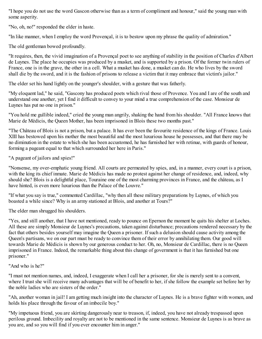"I hope you do not use the word Gascon otherwise than as a term of compliment and honour," said the young man with some asperity.

"No, oh, no!" responded the elder in haste.

"In like manner, when I employ the word Provençal, it is to bestow upon my phrase the quality of admiration."

The old gentleman bowed profoundly.

"It requires, then, the vivid imagination of a Provençal poet to see anything of stability in the position of Charles d'Albert de Luynes. The place he occupies was produced by a musket, and is supported by a prison. Of the former twin rulers of France, one is in the grave, the other in a cell. What a musket has done, a musket can do. He who lives by the sword shall die by the sword, and it is the fashion of prisons to release a victim that it may embrace that victim's jailor."

The elder set his hand lightly on the younger's shoulder, with a gesture that was fatherly.

"My eloquent lad," he said, "Gascony has produced poets which rival those of Provence. You and I are of the south and understand one another, yet I find it difficult to convey to your mind a true comprehension of the case. Monsieur de Luynes has put no one in prison."

"You hold me gullible indeed," cried the young man angrily, shaking the hand from his shoulder. "All France knows that Marie de Médicis, the Queen Mother, has been imprisoned in Blois these two months past."

"The Château of Blois is not a prison, but a palace. It has ever been the favourite residence of the kings of France. Louis XIII has bestowed upon his mother the most beautiful and the most luxurious house he possesses, and that there may be no diminution in the estate to which she has been accustomed, he has furnished her with retinue, with guards of honour, forming a pageant equal to that which surrounded her here in Paris."

"A pageant of jailors and spies!"

"Nonsense, my over-emphatic young friend. All courts are permeated by spies, and, in a manner, every court is a prison, with the king its chief inmate. Marie de Médicis has made no protest against her change of residence, and, indeed, why should she? Blois is a delightful place, Touraine one of the most charming provinces in France, and the château, as I have hinted, is even more luxurious than the Palace of the Louvre."

"If what you say is true," commented Cardillac, "why then all these military preparations by Luynes, of which you boasted a while since? Why is an army stationed at Blois, and another at Tours?"

The elder man shrugged his shoulders.

"Yes, and still another, that I have not mentioned, ready to pounce on Epernon the moment he quits his shelter at Loches. All these are simply Monsieur de Luynes's precautions, taken against disturbance; precautions rendered necessary by the fact that others besides yourself may imagine the Queen a prisoner. If such a delusion should cause activity among the Queen's partisans, we on our part must be ready to convince them of their error by annihilating them. Our good will towards Marie de Médicis is shown by our generous conduct to her. Oh, no, Monsieur de Cardillac, there is no Queen imprisoned in France. Indeed, the remarkable thing about this change of government is that it has furnished but one prisoner."

#### "And who is he?"

"I must not mention names, and, indeed, I exaggerate when I call her a prisoner, for she is merely sent to a convent, where I trust she will receive many advantages that will be of benefit to her, if she follow the example set before her by the noble ladies who are sisters of the order."

"Ah, another woman in jail! I am getting much insight into the character of Luynes. He is a brave fighter with women, and holds his place through the favour of an imbecile boy."

"My impetuous friend, you are skirting dangerously near to treason, if, indeed, you have not already trespassed upon perilous ground. Imbecility and royalty are not to be mentioned in the same sentence. Monsieur de Luynes is as brave as you are, and so you will find if you ever encounter him in anger."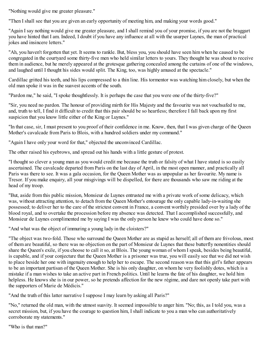"Nothing would give me greater pleasure."

"Then I shall see that you are given an early opportunity of meeting him, and making your words good."

"Again I say nothing would give me greater pleasure, and I shall remind you of your promise, if you are not the braggart you have hinted that I am. Indeed, I doubt if you have any influence at all with the usurper Luynes, the man of practical jokes and insincere letters."

"Ah, you haven't forgotten that yet. It seems to rankle. But, bless you, you should have seen him when he caused to be congregated in the courtyard some thirty-five men who held similar letters to yours. They thought he was about to receive them in audience, but he merely appeared at the grotesque gathering concealed among the curtains of one of the windows, and laughed until I thought his sides would split. The King, too, was highly amused at the spectacle."

Cardillac gritted his teeth, and his lips compressed to a thin line. His tormentor was watching him closely, but when the old man spoke it was in the suavest accents of the south.

"Pardon me," he said, "I spoke thoughtlessly. It is perhaps the case that you were one of the thirty-five?"

"Sir, you need no pardon. The honour of providing mirth for His Majesty and the favourite was not vouchsafed to me, and, truth to tell, I find it difficult to credit that this pair should be so heartless; therefore I fall back upon my first suspicion that you know little either of the King or Luynes."

"In that case, sir, I must present to you proof of their confidence in me. Know, then, that I was given charge of the Queen Mother's cavalcade from Paris to Blois, with a hundred soldiers under my command."

"Again I have only your word for that," objected the unconvinced Cardillac.

The other raised his eyebrows, and spread out his hands with a little gesture of protest.

"I thought so clever a young man as you would credit me because the truth or falsity of what I have stated is so easily ascertained. The cavalcade departed from Paris on the last day of April, in the most open manner, and practically all Paris was there to see. It was a gala occasion, for the Queen Mother was as unpopular as her favourite. My name is Tresor. If you make enquiry, all your misgivings will be dispelled, for there are thousands who saw me riding at the head of my troop.

"But, aside from this public mission, Monsieur de Luynes entrusted me with a private work of some delicacy, which was, without attracting attention, to detach from the Queen Mother's entourage the only capable lady-in-waiting she possessed; to deliver her to the care of the strictest convent in France, a convent worthily presided over by a lady of the blood royal, and to overtake the procession before my absence was detected. That I accomplished successfully, and Monsieur de Luynes complimented me by saying I was the only person he knew who could have done so."

"And what was the object of immuring a young lady in the cloisters?"

"The object was two-fold. Those who surround the Queen Mother are as stupid as herself; all of them are frivolous, most of them are beautiful, so there was no objection on the part of Monsieur de Luynes that these butterfly nonentities should share the Queen's exile, if you choose to call it so, at Blois. The young woman of whom I speak, besides being beautiful, is capable, and if your conjecture that the Queen Mother is a prisoner was true, you will easily see that we did not wish to place beside her one with ingenuity enough to help her to escape. The second reason was that this girl's father appears to be an important partisan of the Queen Mother. She is his only daughter, on whom he very foolishly dotes, which is a mistake if a man wishes to take an active part in French politics. Until he learns the fate of his daughter, we hold him helpless. He knows she is in our power, so he pretends affection for the new régime, and dare not openly take part with the supporters of Marie de Médicis."

"And the truth of this latter narrative I suppose I may learn by asking all Paris?"

"No," returned the old man, with the utmost suavity. It seemed impossible to anger him. "No; this, as I told you, was a secret mission, but, if you have the courage to question him, I shall indicate to you a man who can authoritatively corroborate my statements."

"Who is that man?"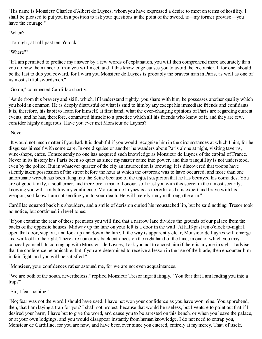"His name is Monsieur Charles d'Albert de Luynes, whom you have expressed a desire to meet on terms of hostility. I shall be pleased to put you in a position to ask your questions at the point of the sword, if—my former proviso—you have the courage."

"When?"

"To-night, at half-past ten o'clock."

"Where?"

"If I am permitted to preface my answer by a few words of explanation, you will then comprehend more accurately than you do now the manner of man you will meet, and if this knowledge causes you to avoid the encounter, I, for one, should be the last to dub you coward, for I warn you Monsieur de Luynes is probably the bravest man in Paris, as well as one of its most skilful swordsmen."

"Go on," commented Cardillac shortly.

"Aside from this bravery and skill, which, if I understand rightly, you share with him, he possesses another quality which you hold in common. He is deeply distrustful of what is said to him by any except his immediate friends and confidants. It is, therefore, his habit to learn for himself, at first hand, what the ever-changing opinions of Paris are regarding current events, and he has, therefore, committed himself to a practice which all his friends who know of it, and they are few, consider highly dangerous. Have you ever met Monsieur de Luynes?"

"Never."

"It would not much matter if you had. It is doubtful if you would recognise him in the circumstances at which I hint, for he disguises himself with some care. In one disguise or another he wanders about Paris alone at night, visiting taverns, wine-shops, cafés. Consequently no one has acquired such knowledge as Monsieur de Luynes of the capital of France. Never in its history has Paris been so quiet as since my master came into power, and this tranquillity is not understood, even by the police. But in whatever quarter of the city an insurrection is brewing, it is discovered that troops have silently taken possession of the street before the hour at which the outbreak was to have occurred, and more than one unfortunate wretch has been flung into the Seine because of the unjust suspicion that he has betrayed his comrades. You are of good family, a southerner, and therefore a man of honour, so I trust you with this secret in the utmost security, knowing you will not betray my confidence. Monsieur de Luynes is as merciful as he is expert and brave with his weapon, so I know I am not sending you to your death. He will merely run you through the arm."

Cardillac squared back his shoulders, and a smile of derision curled his moustached lip, but he said nothing. Tresor took no notice, but continued in level tones:

"If you examine the rear of these premises you will find that a narrow lane divides the grounds of our palace from the backs of the opposite houses. Midway up the lane on your left is a door in the wall. At half-past ten o'clock to-night I open that door, step out, and look up and down the lane. If the way is apparently clear, Monsieur de Luynes will emerge and walk off to the right. There are numerous back entrances on the right hand of the lane, in one of which you may conceal yourself. In coming up with Monsieur de Luynes, I ask you not to accost him if there is anyone in sight. I advise that the conference be amicable, but if you are determined to receive a lesson in the use of the blade, then encounter him in fair fight, and you will be satisfied."

"Monsieur, your confidences rather astound me, for we are not even acquaintances."

"We are both of the south, nevertheless," replied Monsieur Tresor ingratiatingly. "You fear that I am leading you into a trap?"

"Sir, I fear nothing."

"No; fear was not the word I should have used. I have not won your confidence as you have won mine. You apprehend, then, that I am laying a trap for you? I shall not protest, because that would be useless, but I venture to point out that if I desired your harm, I have but to give the word, and cause you to be arrested on this bench, or when you leave the palace, or at your own lodgings, and you would disappear instantly from human knowledge. I do not need to entrap you, Monsieur de Cardillac, for you are now, and have been ever since you entered, entirely at my mercy. That, of itself,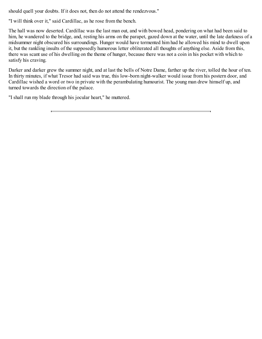should quell your doubts. If it does not, then do not attend the rendezvous."

"I will think over it," said Cardillac, as he rose from the bench.

The hall was now deserted. Cardillac was the last man out, and with bowed head, pondering on what had been said to him, he wandered to the bridge, and, resting his arms on the parapet, gazed down at the water, until the late darkness of a midsummer night obscured his surroundings. Hunger would have tormented him had he allowed his mind to dwell upon it, but the rankling insults of the supposedly humorous letter obliterated all thoughts of anything else. Aside from this, there was scant use of his dwelling on the theme of hunger, because there was not a coin in his pocket with which to satisfy his craving.

Darker and darker grew the summer night, and at last the bells of Notre Dame, farther up the river, tolled the hour of ten. In thirty minutes, if what Tresor had said was true, this low-born night-walker would issue from his postern door, and Cardillac wished a word or two in private with the perambulating humourist. The young man drew himself up, and turned towards the direction of the palace.

"I shall run my blade through his jocular heart," he muttered.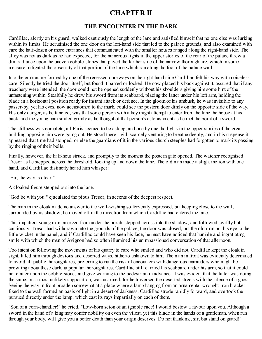# **CHAPTER II**

#### **THE ENCOUNTER IN THE DARK**

<span id="page-16-0"></span>Cardillac, alertly on his guard, walked cautiously the length of the lane and satisfied himself that no one else was lurking within its limits. He scrutinised the one door on the left-hand side that led to the palace grounds, and also examined with care the half-dozen or more entrances that communicated with the smaller houses ranged along the right-hand side. The alley was not as dark as he had expected, for the numerous lights in the upper stories of the rear of the palace threw a dim radiance upon the uneven cobble-stones that paved the farther side of the narrow thoroughfare, which in some measure mitigated the obscurity of that portion of the lane which ran along the foot of the palace wall.

Into the embrasure formed by one of the recessed doorways on the right-hand side Cardillac felt his way with noiseless care. Silently he tried the door itself, but found it barred or locked. He now placed his back against it, assured that if any treachery were intended, the door could not be opened suddenly without his shoulders giving him some hint of the unfastening within. Stealthily he drew his sword from its scabbard, placing the latter under his left arm, holding the blade in a horizontal position ready for instant attack or defence. In the gloom of his ambush, he was invisible to any passer-by, yet his eyes, now accustomed to the murk, could see the postern door dimly on the opposite side of the way. His only danger, as he fancied, was that some person with a key might attempt to enter from the lane the house at his back, and the young man smiled grimly as he thought of that person's astonishment as he met the point of a sword.

The stillness was complete; all Paris seemed to be asleep, and one by one the lights in the upper stories of the great building opposite him were going out. He stood there rigid, scarcely venturing to breathe deeply, and in his suspense it appeared that time had stopped, or else the guardians of it in the various church steeples had forgotten to mark its passing by the ringing of their bells.

Finally, however, the half-hour struck, and promptly to the moment the postern gate opened. The watcher recognised Tresor as he stepped across the threshold, looking up and down the lane. The old man made a slight motion with one hand, and Cardillac distinctly heard him whisper:

"Sir, the way is clear."

A cloaked figure stepped out into the lane.

"God be with you!" ejaculated the pious Tresor, in accents of the deepest respect.

The man in the cloak made no answer to the well-wishing so fervently expressed, but keeping close to the wall, surrounded by its shadow, he moved off in the direction from which Cardillac had entered the lane.

This impatient young man emerged from under the porch, stepped across into the shadow, and followed swiftly but cautiously. Tresor had withdrawn into the grounds of the palace; the door was closed, but the old man put his eye to the little wicket in the panel, and if Cardillac could have seen his face, he must have noticed that humble and ingratiating smile with which the man of Avignon had so often illumined his unimpassioned conversation of that afternoon.

Too intent on following the movements of his quarry to care who smiled and who did not, Cardillac kept the cloak in sight. It led him through devious and deserted ways, hitherto unknown to him. The man in front was evidently determined to avoid all public thoroughfares, preferring to run the risk of encounters with dangerous marauders who might be prowling about these dark, unpopular thoroughfares. Cardillac still carried his scabbard under his arm, so that it could not clatter upon the cobble-stones and give warning to the pedestrian in advance. It was evident that the latter was doing the same, or, a most unlikely supposition, was unarmed, for he traversed the deserted streets with the silence of a ghost. Seeing the way in front broaden somewhat at a place where a lamp hanging from an ornamental wrought-iron bracket fixed to the wall formed an oasis of light in a desert of darkness, Cardillac strode rapidly forward, and overtook the pursued directly under the lamp, which cast its rays impartially on each of them.

"Son of a corn-chandler!" he cried. "Low-born scion of an ignoble race! I would bestow a favour upon you. Although a sword in the hand of a king may confer nobility on even the vilest, yet this blade in the hands of a gentleman, when run through your body, will give you a better death than your origin deserves. Do not thank me, sir, but stand on guard!"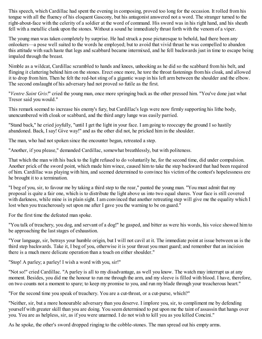This speech, which Cardillac had spent the evening in composing, proved too long for the occasion. It rolled from his tongue with all the fluency of his eloquent Gascony, but his antagonist answered not a word. The stranger turned to the right-about-face with the celerity of a soldier at the word of command. His sword was in his right hand, and his sheath fell with a metallic clank upon the stones. Without a sound he immediately thrust forth with the venom of a viper.

The young man was taken completely by surprise. He had struck a pose picturesque to behold, had there been any onlookers—a pose well suited to the words he employed; but to avoid that vivid thrust he was compelled to abandon this attitude with such haste that legs and scabbard became intermixed, and he fell backwards just in time to escape being impaled through the breast.

Nimble as a wildcat, Cardillac scrambled to hands and knees, unhooking as he did so the scabbard from his belt, and flinging it clattering behind him on the stones. Erect once more, he tore the throat fastenings from his cloak, and allowed it to drop from him. Then he felt the red-hot sting of a gigantic wasp in his left arm between the shoulder and the elbow. The second onslaught of his adversary had not proved so futile as the first.

"*Ventre Saint Gris!*" cried the young man, once more springing back as the other pressed him. "You've done just what Tresor said you would."

This remark seemed to increase his enemy's fury, but Cardillac's legs were now firmly supporting his lithe body, unencumbered with cloak or scabbard, and the third angry lunge was easily parried.

"Stand back," he cried joyfully, "until I get the light in your face. I am going to reoccupy the ground I so hastily abandoned. Back, I say! Give way!" and as the other did not, he pricked him in the shoulder.

The man, who had not spoken since the encounter began, retreated a step.

"Another, if you please," demanded Cardillac, somewhat breathlessly, but with politeness.

That which the man with his back to the light refused to do voluntarily he, for the second time, did under compulsion. Another prick of the sword point, which made him wince, caused him to take the step backward that had been required of him. Cardillac was playing with him, and seemed determined to convince his victim of the contest's hopelessness ere he brought it to a termination.

"I beg of you, sir, to favour me by taking a third step to the rear," panted the young man. "You must admit that my proposal is quite a fair one, which is to distribute the light above us into two equal shares. Your face is still covered with darkness, while mine is in plain sight. I am convinced that another retreating step will give me the equality which I lost when you treacherously set upon me after I gave you the warning to be on guard."

For the first time the defeated man spoke.

"You talk of treachery, you dog, and servant of a dog!" he gasped, and bitter as were his words, his voice showed him to be approaching the last stages of exhaustion.

"Your language, sir, betrays your humble origin, but I will not cavil at it. The immediate point at issue between us is the third step backwards. Take it, I beg of you, otherwise it is your throat you must guard; and remember that an incision there is a much more delicate operation than a touch on either shoulder."

"Stop! A parley; a parley! I wish a word with you, sir!"

"Not so!" cried Cardillac. "A parley is all to my disadvantage, as well you know. The watch may interrupt us at any moment. Besides, you did me the honour to run me through the arm, and my sleeve is filled with blood. I have, therefore, on two counts not a moment to spare; to keep my promise to you, and run my blade through your treacherous heart."

"For the second time you speak of treachery. You are a cut-throat, or a cut-purse, which?"

"Neither, sir, but a more honourable adversary than you deserve. I implore you, sir, to compliment me by defending yourself with greater skill than you are doing. You seem determined to put upon me the taint of assassin that hangs over you. You are as helpless, sir, as if you were unarmed. I do not wish to kill you as you killed Concini."

As he spoke, the other's sword dropped ringing to the cobble-stones. The man spread out his empty arms.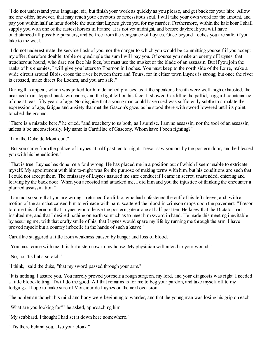"I do not understand your language, sir, but finish your work as quickly as you please, and get back for your hire. Allow me one offer, however, that may reach your covetous or necessitous soul. I will take your own word for the amount, and pay you within half an hour double the sum that Luynes gives you for my murder. Furthermore, within the half hour I shall supply you with one of the fastest horses in France. It is not yet midnight, and before daybreak you will have outdistanced all possible pursuers, and be free from the vengeance of Luynes. Once beyond Loches you are safe, if you take to the west.

"I do not underestimate the service I ask of you, nor the danger to which you would be committing yourself if you accept my offer; therefore double, treble or quadruple the sum I will pay you. Of course you make an enemy of Luynes, that treacherous hound, who dare not face his foes, but must use the musket or the blade of an assassin. But if you join the ranks of his enemies, I will give you letters to Epernon in Loches. You must keep to the north side of the Loire, make a wide circuit around Blois, cross the river between there and Tours, for in either town Luynes is strong; but once the river is crossed, make direct for Loches, and you are safe."

During this appeal, which was jerked forth in detached phrases, as if the speaker's breath were well-nigh exhausted, the unarmed man stepped back two paces, and the light fell on his face. It showed Cardillac the pallid, haggard countenance of one at least fifty years of age. No disguise that a young man could have used was sufficiently subtle to simulate the expression of age, fatigue and anxiety that met the Gascon's gaze, as he stood there with sword lowered until its point touched the ground.

"There is a mistake here," he cried, "and treachery to us both, as I surmise. I am no assassin, nor the tool of an assassin, unless it be unconsciously. My name is Cardillac of Gascony. Whom have I been fighting?"

"I am the Duke de Montreuil."

"But you came from the palace of Luynes at half-past ten to-night. Tresor saw you out by the postern door, and he blessed you with his benediction."

"That is true. Luynes has done me a foul wrong. He has placed me in a position out of which I seem unable to extricate myself. My appointment with him to-night was for the purpose of making terms with him, but his conditions are such that I could not accept them. The emissary of Luynes assured me safe conduct if I came in secret, unattended, entering and leaving by the back door. When you accosted and attacked me, I did him and you the injustice of thinking the encounter a planned assassination."

"I am not so sure that you are wrong," returned Cardillac, who had unfastened the cuff of his left sleeve, and, with a motion of the arm that caused him to grimace with pain, scattered the blood in crimson drops upon the pavement. "Tresor told me this afternoon that Luynes would leave the postern gate alone at half-past ten. He knew that the Dictator had insulted me, and that I desired nothing on earth so much as to meet him sword in hand. He made this meeting inevitable by assuring me, with that crafty smile of his, that Luynes would spare my life by running me through the arm. I have proved myself but a country imbecile in the hands of such a knave."

Cardillac staggered a little from weakness caused by hunger and loss of blood.

"You must come with me. It is but a step now to my house. My physician will attend to your wound."

"No, no, 'tis but a scratch."

"I think," said the duke, "that my sword passed through your arm."

"It is nothing, I assure you. You merely proved yourself a rough surgeon, my lord, and your diagnosis was right. I needed a little blood-letting. 'Twill do me good. All that remains is for me to beg your pardon, and take myself off to my lodgings. I hope to make sure of Monsieur de Luynes on the next occasion."

The nobleman thought his mind and body were beginning to wander, and that the young man was losing his grip on each.

"What are you looking for?" he asked, approaching him.

"My scabbard. I thought I had set it down here somewhere."

"'Tis there behind you, also your cloak."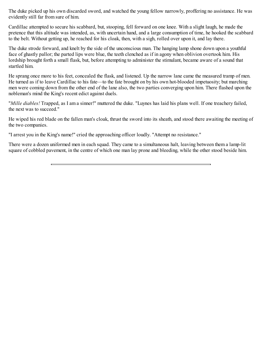The duke picked up his own discarded sword, and watched the young fellow narrowly, proffering no assistance. He was evidently still far from sure of him.

Cardillac attempted to secure his scabbard, but, stooping, fell forward on one knee. With a slight laugh, he made the pretence that this altitude was intended, as, with uncertain hand, and a large consumption of time, he hooked the scabbard to the belt. Without getting up, he reached for his cloak, then, with a sigh, rolled over upon it, and lay there.

The duke strode forward, and knelt by the side of the unconscious man. The hanging lamp shone down upon a youthful face of ghastly pallor; the parted lips were blue, the teeth clenched as if in agony when oblivion overtook him. His lordship brought forth a small flask, but, before attempting to administer the stimulant, became aware of a sound that startled him.

He sprang once more to his feet, concealed the flask, and listened. Up the narrow lane came the measured tramp of men. He turned as if to leave Cardillac to his fate—to the fate brought on by his own hot-blooded impetuosity; but marching men were coming down from the other end of the lane also, the two parties converging upon him. There flashed upon the nobleman's mind the King's recent edict against duels.

"*Mille diables!* Trapped, as I am a sinner!" muttered the duke. "Luynes has laid his plans well. If one treachery failed, the next was to succeed."

He wiped his red blade on the fallen man's cloak, thrust the sword into its sheath, and stood there awaiting the meeting of the two companies.

"I arrest you in the King's name!" cried the approaching officer loudly. "Attempt no resistance."

There were a dozen uniformed men in each squad. They came to a simultaneous halt, leaving between them a lamp-lit square of cobbled pavement, in the centre of which one man lay prone and bleeding, while the other stood beside him.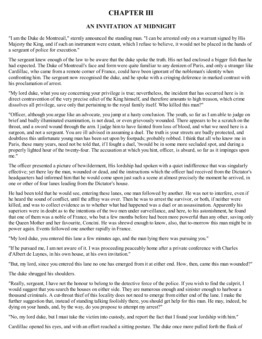# **CHAPTER III**

#### **AN INVITATION AT MIDNIGHT**

<span id="page-20-0"></span>"I am the Duke de Montreuil," sternly announced the standing man. "I can be arrested only on a warrant signed by His Majesty the King, and if such an instrument were extant, which I refuse to believe, it would not be placed in the hands of a sergeant of police for execution."

The sergeant knew enough of the law to be aware that the duke spoke the truth. His net had enclosed a bigger fish than he had expected. The Duke of Montreuil's face and form were quite familiar to any denizen of Paris, and only a stranger like Cardillac, who came from a remote corner of France, could have been ignorant of the nobleman's identity when confronting him. The sergeant now recognised the duke, and he spoke with a cringing deference in marked contrast with his proclamation of arrest.

"My lord duke, what you say concerning your privilege is true; nevertheless, the incident that has occurred here is in direct contravention of the very precise edict of the King himself, and therefore amounts to high treason, which crime dissolves all privilege, save only that pertaining to the royal family itself. Who killed this man?"

"Officer, although you argue like an advocate, you jump at a hasty conclusion. The youth, so far as I am able to judge on brief and badly illuminated examination, is not dead, or even grievously wounded. There appears to be a scratch on the throat, and a sword wound through the arm. I judge him to have fainted from loss of blood, and what we need here is a surgeon, and not a sergeant. You are ill advised in assuming a duel. The truth is your streets are badly protected, and doubtless this unfortunate young man has been set upon by footpads; probably robbed. I think that all who know me in Paris, these many years, need not be told that, if I fought a duel, 'twould be in some more secluded spot, and during a properly lighted hour of the twenty-four. The accusation at which you hint, officer, is absurd, so far as it impinges upon me."

The officer presented a picture of bewilderment, His lordship had spoken with a quiet indifference that was singularly effective; yet there lay the man, wounded or dead, and the instructions which the officer had received from the Dictator's headquarters had informed him that he would come upon just such a scene at almost precisely the moment he arrived, in one or other of four lanes leading from the Dictator's house.

He had been told that he would see, entering these lanes, one man followed by another. He was not to interfere, even if he heard the sound of conflict, until the affray was over. Then he was to arrest the survivor, or both, if neither were killed, and was to collect evidence as to whether what had happened was a duel or an assassination. Apparently his superiors were in doubt as to the intentions of the two men under surveillance, and here, to his astonishment, he found that one of them was a noble of France, who but a few months before had been more powerful than any other, saving only the Queen Mother and her favourite, Concini. He was shrewd enough to know, also, that to-morrow this man might be in power again. Events followed one another rapidly in France.

"My lord duke, you entered this lane a few minutes ago, and the man lying there was pursuing you."

"If he pursued me, I am not aware of it. I was proceeding peaceably home after a private conference with Charles d'Albert de Luynes, in his own house, at his own invitation."

"But, my lord, since you entered this lane no one has emerged from it at either end. How, then, came this man wounded?"

The duke shrugged his shoulders.

"Really, sergeant, I have not the honour to belong to the detective force of the police. If you wish to find the culprit, I would suggest that you search the houses on either side. They are numerous enough and sinister enough to harbour a thousand criminals. A cut-throat thief of this locality does not need to emerge from either end of the lane. I make the further suggestion that, instead of standing talking foolishly there, you should get help for this man. He may, indeed, be dying on your hands, and, by the way, do you propose to attempt my arrest?"

"No, my lord duke, but I must take the victim into custody, and report the fact that I found your lordship with him."

Cardillac opened his eyes, and with an effort reached a sitting posture. The duke once more pulled forth the flask of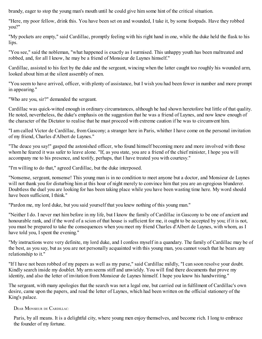brandy, eager to stop the young man's mouth until he could give him some hint of the critical situation.

"Here, my poor fellow, drink this. You have been set on and wounded, I take it, by some footpads. Have they robbed you?"

"My pockets are empty," said Cardillac, promptly feeling with his right hand in one, while the duke held the flask to his lips.

"You see," said the nobleman, "what happened is exactly as I surmised. This unhappy youth has been maltreated and robbed, and, for all I know, he may be a friend of Monsieur de Luynes himself."

Cardillac, assisted to his feet by the duke and the sergeant, wincing when the latter caught too roughly his wounded arm, looked about him at the silent assembly of men.

"You seem to have arrived, officer, with plenty of assistance, but I wish you had been fewer in number and more prompt in appearing."

"Who are you, sir?" demanded the sergeant.

Cardillac was quick-witted enough in ordinary circumstances, although he had shown heretofore but little of that quality. He noted, nevertheless, the duke's emphasis on the suggestion that he was a friend of Luynes, and now knew enough of the character of the Dictator to realise that he must proceed with extreme caution if he was to circumvent him.

"I am called Victor de Cardillac, from Gascony; a stranger here in Paris, whither I have come on the personal invitation of my friend, Charles d'Albert de Luynes."

"The deuce you say!" gasped the astonished officer, who found himself becoming more and more involved with those whom he feared it was safer to leave alone. "If, as you state, you are a friend of the chief minister, I hope you will accompany me to his presence, and testify, perhaps, that I have treated you with courtesy."

"I'm willing to do that," agreed Cardillac, but the duke interposed.

"Nonsense, sergeant, nonsense! This young man is in no condition to meet anyone but a doctor, and Monsieur de Luynes will not thank you for disturbing him at this hour of night merely to convince him that you are an egregious blunderer. Doubtless the duel you are looking for has been taking place while you have been wasting time here. My word should have been sufficient, I think."

"Pardon me, my lord duke, but you said yourself that you knew nothing of this young man."

"Neither I do. I never met him before in my life, but I know the family of Cardillac in Gascony to be one of ancient and honourable rank, and if the word of a scion of that house is sufficient for me, it ought to be accepted by you; if it is not, you must be prepared to take the consequences when you meet my friend Charles d'Albert de Luynes, with whom, as I have told you, I spent the evening."

"My instructions were very definite, my lord duke, and I confess myself in a quandary. The family of Cardillac may be of the best, as you say, but as you are not personally acquainted with this young man, you cannot vouch that he bears any relationship to it."

"If I have not been robbed of my papers as well as my purse," said Cardillac mildly, "I can soon resolve your doubt. Kindly search inside my doublet. My arm seems stiff and unwieldy. You will find there documents that prove my identity, and also the letter of invitation from Monsieur de Luynes himself. I hope you know his handwriting."

The sergeant, with many apologies that the search was not a legal one, but carried out in fulfilment of Cardillac's own desire, came upon the papers, and read the letter of Luynes, which had been written on the official stationery of the King's palace.

#### DEAR MONSIEUR DE CARDILLAC:

Paris, by all means. It is a delightful city, where young men enjoy themselves, and become rich. I long to embrace the founder of my fortune.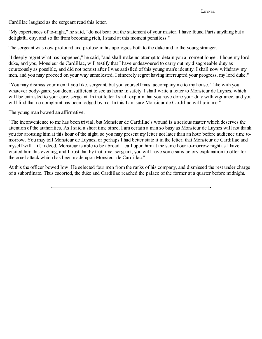Cardillac laughed as the sergeant read this letter.

"My experiences of to-night," he said, "do not bear out the statement of your master. I have found Paris anything but a delightful city, and so far from becoming rich, I stand at this moment penniless."

The sergeant was now profound and profuse in his apologies both to the duke and to the young stranger.

"I deeply regret what has happened," he said, "and shall make no attempt to detain you a moment longer. I hope my lord duke, and you, Monsieur de Cardillac, will testify that I have endeavoured to carry out my disagreeable duty as courteously as possible, and did not persist after I was satisfied of this young man's identity. I shall now withdraw my men, and you may proceed on your way unmolested. I sincerely regret having interrupted your progress, my lord duke."

"You may dismiss your men if you like, sergeant, but you yourself must accompany me to my house. Take with you whatever body-guard you deem sufficient to see us home in safety. I shall write a letter to Monsieur de Luynes, which will be entrusted to your care, sergeant. In that letter I shall explain that you have done your duty with vigilance, and you will find that no complaint has been lodged by me. In this I am sure Monsieur de Cardillac will join me."

The young man bowed an affirmative.

"The inconvenience to me has been trivial, but Monsieur de Cardillac's wound is a serious matter which deserves the attention of the authorities. As I said a short time since, I am certain a man so busy as Monsieur de Luynes will not thank you for arousing him at this hour of the night, so you may present my letter not later than an hour before audience time tomorrow. You may tell Monsieur de Luynes, or perhaps I had better state it in the letter, that Monsieur de Cardillac and myself will—if, indeed, Monsieur is able to be abroad—call upon him at the same hour to-morrow night as I have visited him this evening, and I trust that by that time, sergeant, you will have some satisfactory explanation to offer for the cruel attack which has been made upon Monsieur de Cardillac."

At this the officer bowed low. He selected four men from the ranks of his company, and dismissed the rest under charge of a subordinate. Thus escorted, the duke and Cardillac reached the palace of the former at a quarter before midnight.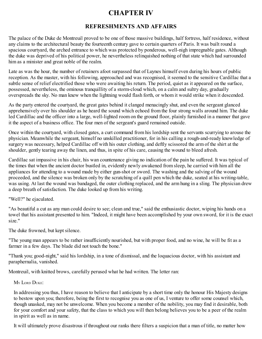# **CHAPTER IV**

#### **REFRESHMENTS AND AFFAIRS**

<span id="page-23-0"></span>The palace of the Duke de Montreuil proved to be one of those massive buildings, half fortress, half residence, without any claims to the architectural beauty the fourteenth century gave to certain quarters of Paris. It was built round a spacious courtyard, the arched entrance to which was protected by ponderous, well-nigh impregnable gates. Although the duke was deprived of his political power, he nevertheless relinquished nothing of that state which had surrounded him as a minister and great noble of the realm.

Late as was the hour, the number of retainers afoot surpassed that of Luynes himself even during his hours of public reception. As the master, with his following, approached and was recognised, it seemed to the sensitive Cardillac that a subtle sense of relief electrified those who were awaiting his return. The period, quiet as it appeared on the surface, possessed, nevertheless, the ominous tranquillity of a storm-cloud which, on a calm and sultry day, gradually overspreads the sky. No man knew when the lightning would flash forth, or whom it would strike when it descended.

As the party entered the courtyard, the great gates behind it clanged menacingly shut, and even the sergeant glanced apprehensively over his shoulder as he heard the sound which echoed from the four strong walls around him. The duke led Cardillac and the officer into a large, well-lighted room on the ground floor, plainly furnished in a manner that gave it the aspect of a business office. The four men of the sergeant's guard remained outside.

Once within the courtyard, with closed gates, a curt command from his lordship sent the servants scurrying to arouse the physician. Meanwhile the sergeant, himself no unskilled practitioner, for in his calling a rough-and-ready knowledge of surgery was necessary, helped Cardillac off with his outer clothing, and deftly scissored the arm of the shirt at the shoulder, gently tearing away the linen, and thus, in spite of his care, causing the wound to bleed afresh.

Cardillac sat impassive in his chair, his wan countenance giving no indication of the pain he suffered. It was typical of the times that when the ancient doctor bustled in, evidently newly awakened from sleep, he carried with him all the appliances for attending to a wound made by either gun-shot or sword. The washing and the salving of the wound proceeded, and the silence was broken only by the scratching of a quill pen which the duke, seated at his writing-table, was using. At last the wound was bandaged, the outer clothing replaced, and the arm hung in a sling. The physician drew a deep breath of satisfaction. The duke looked up from his writing.

"Well?" he ejaculated.

"As beautiful a cut as any man could desire to see; clean and true," said the enthusiastic doctor, wiping his hands on a towel that his assistant presented to him. "Indeed, it might have been accomplished by your own sword, for it is the exact size."

The duke frowned, but kept silence.

"The young man appears to be rather insufficiently nourished, but with proper food, and no wine, he will be fit as a farmer in a few days. The blade did not touch the bone."

"Thank you; good-night," said his lordship, in a tone of dismissal, and the loquacious doctor, with his assistant and paraphernalia, vanished.

Montreuil, with knitted brows, carefully perused what he had written. The letter ran:

**MY LORD DUKE:** 

In addressing you thus, I have reason to believe that I anticipate by a short time only the honour His Majesty designs to bestow upon you; therefore, being the first to recognise you as one of us, I venture to offer some counsel which, though unasked, may not be unwelcome. When you become a member of the nobility, you may find it desirable, both for your comfort and your safety, that the class to which you will then belong believes you to be a peer of the realm in spirit as well as in name.

It will ultimately prove disastrous if throughout our ranks there filters a suspicion that a man of title, no matter how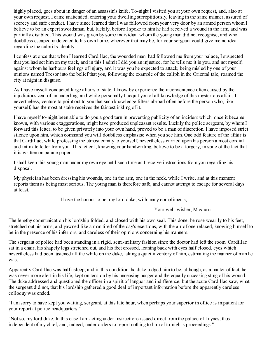highly placed, goes about in danger of an assassin's knife. To-night I visited you at your own request, and, also at your own request, I came unattended, entering your dwelling surreptitiously, leaving in the same manner, assured of secrecy and safe conduct. I have since learned that I was followed from your very door by an armed person whom I believe to be an expert swordsman, but, luckily, before I spoke to him he had received a wound in the arm, and was partially disabled. This wound was given by some individual whom the young man did not recognise, and who doubtless escaped undetected to his own home, wherever that may be, for your sergeant could give me no idea regarding the culprit's identity.

I confess at once that when I learned Cardillac, the wounded man, had followed me from your palace, I suspected that you had set him on my track, and in this I admit I did you an injustice, for he tells me it is you, and not myself, against whom he harbours feelings of injury, and it was you he expected to attack, being misled by one of your minions named Tresor into the belief that you, following the example of the caliph in the Oriental tale, roamed the city at night in disguise.

As I have myself conducted large affairs of state, I know by experience the inconvenience often caused by the injudicious zeal of an underling, and while personally I acquit you of all knowledge of this mysterious affair, I, nevertheless, venture to point out to you that such knowledge filters abroad often before the person who, like yourself, has the most at stake receives the faintest inkling of it.

I have myself to-night been able to do you a good turn in preventing publicity of an incident which, once it became known, with various exaggerations, might have produced unpleasant results. Luckily the police sergeant, by whom I forward this letter, to be given privately into your own hand, proved to be a man of discretion. I have imposed strict silence upon him, which command you will doubtless emphasise when you see him. One odd feature of the affair is that Cardillac, while professing the utmost enmity to yourself, nevertheless carried upon his person a most cordial and intimate letter from you. This letter I, knowing your handwriting, believe to be a forgery, in spite of the fact that it is written on palace paper.

I shall keep this young man under my own eye until such time as I receive instructions from you regarding his disposal.

My physician has been dressing his wounds, one in the arm, one in the neck, while I write, and at this moment reports them as being most serious. The young man is therefore safe, and cannot attempt to escape for several days at least.

I have the honour to be, my lord duke, with many compliments,

Your well-wisher, MONTREUIL.

The lengthy communication his lordship folded, and closed with his own seal. This done, he rose wearily to his feet, stretched out his arms, and yawned like a man tired of the day's exertions, with the air of one relaxed, knowing himself to be in the presence of his inferiors, and careless of their opinions concerning his manners.

The sergeant of police had been standing in a rigid, semi-military fashion since the doctor had left the room. Cardillac sat in a chair, his shapely legs stretched out, and his feet crossed, leaning back with eyes half closed, eyes which nevertheless had been fastened all the while on the duke, taking a quiet inventory of him, estimating the manner of man he was.

Apparently Cardillac was half asleep, and in this condition the duke judged him to be, although, as a matter of fact, he was never more alert in his life, kept on tension by his unceasing hunger and the equally unceasing sting of his wound. The duke addressed and questioned the officer in a spirit of languor and indifference, but the acute Cardillac saw, what the sergeant did not, that his lordship gathered a good deal of important information before the apparently careless colloquy was ended.

"I am sorry to have kept you waiting, sergeant, at this late hour, when perhaps your superior in office is impatient for your report at police headquarters."

"Not so, my lord duke. In this case I am acting under instructions issued direct from the palace of Luynes, thus independent of my chief, and, indeed, under orders to report nothing to him of to-night's proceedings."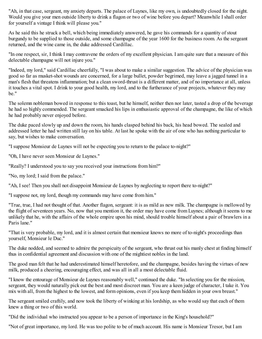"Ah, in that case, sergeant, my anxiety departs. The palace of Luynes, like my own, is undoubtedly closed for the night. Would you give your men outside liberty to drink a flagon or two of wine before you depart? Meanwhile I shall order for yourself a vintage I think will please you."

As he said this he struck a bell, which being immediately answered, he gave his commands for a quantity of stout burgundy to be supplied to those outside, and some champagne of the year 1600 for the business room. As the sergeant returned, and the wine came in, the duke addressed Cardillac.

"In one respect, sir, I think I may contravene the orders of my excellent physician. I am quite sure that a measure of this delectable champagne will not injure you."

"Indeed, my lord," said Cardillac cheerfully, "I was about to make a similar suggestion. The advice of the physician was good so far as musket-shot wounds are concerned, for a large bullet, powder begrimed, may leave a jagged tunnel in a man's flesh that threatens inflammation; but a clean sword-thrust is a different matter, and of no importance at all, unless it touches a vital spot. I drink to your good health, my lord, and to the furtherance of your projects, whatever they may be."

The solemn nobleman bowed in response to this toast, but he himself, neither then nor later, tasted a drop of the beverage he had so highly commended. The sergeant smacked his lips in enthusiastic approval of the champagne, the like of which he had probably never enjoyed before.

The duke paced slowly up and down the room, his hands clasped behind his back, his head bowed. The sealed and addressed letter he had written still lay on his table. At last he spoke with the air of one who has nothing particular to say, but wishes to make conversation.

"I suppose Monsieur de Luynes will not be expecting you to return to the palace to-night?"

"Oh, I have never seen Monsieur de Luynes."

"Really? I understood you to say you received your instructions from him?"

"No, my lord; I said from the palace."

"Ah, I see! Then you shall not disappoint Monsieur de Luynes by neglecting to report there to-night?"

"I suppose not, my lord, though my commands may have come from him."

"True, true, I had not thought of that. Another flagon, sergeant: it is as mild as new milk. The champagne is mellowed by the flight of seventeen years. No, now that you mention it, the order may have come from Luynes; although it seems to me unlikely that he, with the affairs of the whole empire upon his mind, should trouble himself about a pair of brawlers in a Paris lane."

"That is very probable, my lord, and it is almost certain that monsieur knows no more of to-night's proceedings than yourself, Monsieur le Duc."

The duke nodded, and seemed to admire the perspicuity of the sergeant, who thrust out his manly chest at finding himself thus in confidential agreement and discussion with one of the mightiest nobles in the land.

The good man felt that he had underestimated himself heretofore, and the champagne, besides having the virtues of new milk, produced a cheering, encouraging effect, and was all in all a most delectable fluid.

"I know the entourage of Monsieur de Luynes reasonably well," continued the duke. "In selecting you for the mission, sergeant, they would naturally pick out the best and most discreet man. You are a keen judge of character, I take it. You mix with all, from the highest to the lowest, and form opinions, even if you keep them hidden in your own breast."

The sergeant smiled craftily, and now took the liberty of winking at his lordship, as who would say that each of them knew a thing or two of this world.

"Did the individual who instructed you appear to be a person of importance in the King's household?"

"Not of great importance, my lord. He was too polite to be of much account. His name is Monsieur Tresor, but I am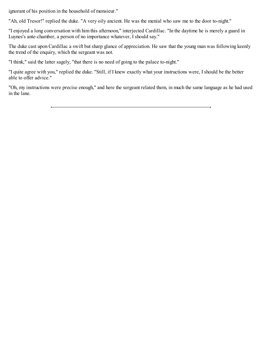ignorant of his position in the household of monsieur."

"Ah, old Tresor!" replied the duke. "A very oily ancient. He was the menial who saw me to the door to-night."

"I enjoyed a long conversation with him this afternoon," interjected Cardillac. "In the daytime he is merely a guard in Luynes's ante-chamber, a person of no importance whatever, I should say."

The duke cast upon Cardillac a swift but sharp glance of appreciation. He saw that the young man was following keenly the trend of the enquiry, which the sergeant was not.

"I think," said the latter sagely, "that there is no need of going to the palace to-night."

"I quite agree with you," replied the duke. "Still, if I knew exactly what your instructions were, I should be the better able to offer advice."

"Oh, my instructions were precise enough," and here the sergeant related them, in much the same language as he had used in the lane.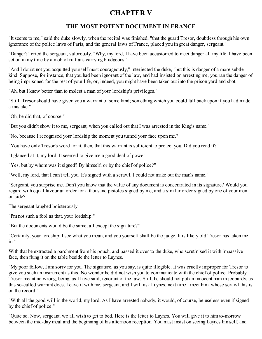## **CHAPTER V**

#### **THE MOST POTENT DOCUMENT IN FRANCE**

<span id="page-27-0"></span>"It seems to me," said the duke slowly, when the recital was finished, "that the guard Tresor, doubtless through his own ignorance of the police laws of Paris, and the general laws of France, placed you in great danger, sergeant."

"Danger?" cried the sergeant, valorously. "Why, my lord, I have been accustomed to meet danger all my life. I have been set on in my time by a mob of ruffians carrying bludgeons."

"And I doubt not you acquitted yourself most courageously," interjected the duke, "but this is danger of a more subtle kind. Suppose, for instance, that you had been ignorant of the law, and had insisted on arresting me, you ran the danger of being imprisoned for the rest of your life, or, indeed, you might have been taken out into the prison yard and shot."

"Ah, but I knew better than to molest a man of your lordship's privileges."

"Still, Tresor should have given you a warrant of some kind; something which you could fall back upon if you had made a mistake."

"Oh, he did that, of course."

"But you didn't show it to me, sergeant, when you called out that I was arrested in the King's name."

"No, because I recognised your lordship the moment you turned your face upon me."

"You have only Tresor's word for it, then, that this warrant is sufficient to protect you. Did you read it?"

"I glanced at it, my lord. It seemed to give me a good deal of power."

"Yes, but by whom was it signed? By himself, or by the chief of police?"

"Well, my lord, that I can't tell you. It's signed with a scrawl. I could not make out the man's name."

"Sergeant, you surprise me. Don't you know that the value of any document is concentrated in its signature? Would you regard with equal favour an order for a thousand pistoles signed by me, and a similar order signed by one of your men outside?"

The sergeant laughed boisterously.

"I'm not such a fool as that, your lordship."

"But the documents would be the same, all except the signature?"

"Certainly, your lordship; I see what you mean, and you yourself shall be the judge. It is likely old Tresor has taken me in."

With that he extracted a parchment from his pouch, and passed it over to the duke, who scrutinised it with impassive face, then flung it on the table beside the letter to Luynes.

"My poor fellow, I am sorry for you. The signature, as you say, is quite illegible. It was cruelly improper for Tresor to give you such an instrument as this. No wonder he did not wish you to communicate with the chief of police. Probably Tresor meant no wrong, being, as I have said, ignorant of the law. Still, he should not put an innocent man in jeopardy, as this so-called warrant does. Leave it with me, sergeant, and I will ask Luynes, next time I meet him, whose scrawl this is on the record."

"With all the good will in the world, my lord. As I have arrested nobody, it would, of course, be useless even if signed by the chief of police."

"Quite so. Now, sergeant, we all wish to get to bed. Here is the letter to Luynes. You will give it to him to-morrow between the mid-day meal and the beginning of his afternoon reception. You must insist on seeing Luynes himself, and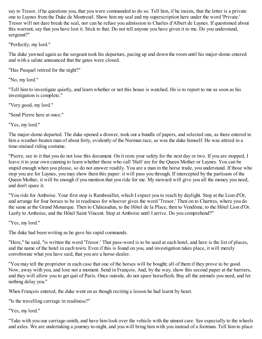say to Tresor, if he questions you, that you were commanded to do so. Tell him, if he insists, that the letter is a private one to Luynes from the Duke de Montreuil. Show him my seal and my superscription here under the word 'Private.' Tresor will not dare break the seal, nor can he refuse you admission to Charles d'Albert de Luynes. If questioned about this warrant, say that you have lost it. Stick to that. Do not tell anyone you have given it to me. Do you understand, sergeant?"

"Perfectly, my lord."

The duke yawned again as the sergeant took his departure, pacing up and down the room until his major-domo entered and with a salute announced that the gates were closed.

"Has Pasquel retired for the night?"

"No, my lord."

"Tell him to investigate quietly, and learn whether or not this house is watched. He is to report to me as soon as his investigation is complete."

"Very good, my lord."

"Send Pierre here at once."

"Yes, my lord."

The major-domo departed. The duke opened a drawer, took out a bundle of papers, and selected one, as there entered to him a weather-beaten man of about forty, evidently of the Norman race, as was the duke himself. He was attired in a time-stained riding costume.

"Pierre, see to it that you do not lose this document. On it rests your safety for the next day or two. If you are stopped, I leave it to your own cunning to learn whether those who call 'Halt' are for the Queen Mother or Luynes. You can be stupid enough when you please, so do not answer readily. You are a man in the horse trade, you understand. If those who stop you are for Luynes, you may show them this paper: it will pass you through. If intercepted by the partisans of the Queen Mother, it will be enough if you mention that you ride for me. My steward will give you all the money you need, and don't spare it.

"You ride for Amboise. Your first stop is Rambouillet, which I expect you to reach by daylight. Stop at the Lion d'Or, and arrange for four horses to be in readiness for whoever gives the word 'Tresor.' Then on to Chartres, where you do the same at the Grand Monarque. Then to Châteaudun, to the Hôtel de la Place, then to Vendôme, to the Hôtel Lion d'Or. Lastly to Amboise, and the Hôtel Saint Vincent. Stop at Amboise until I arrive. Do you comprehend?"

"Yes, my lord."

The duke had been writing as he gave his rapid commands.

"Here," he said, "is written the word 'Tresor.' That pass-word is to be used at each hotel, and here is the list of places, and the name of the hotel in each town. Even if this is found on you, and investigation takes place, it will merely corroborate what you have said, that you are a horse-dealer.

"You may tell the proprietor in each case that one of the horses will be bought; all of them if they prove to be good. Now, away with you, and lose not a moment. Send in François. And, by the way, show this second paper at the barriers, and they will allow you to get quit of Paris. Once outside, do not spare horseflesh. Buy all the animals you need, and let nothing delay you."

When François entered, the duke went on as though reciting a lesson he had learnt by heart.

"Is the travelling carriage in readiness?"

"Yes, my lord."

"Take with you our carriage-smith, and have him look over the vehicle with the utmost care. See especially to the wheels and axles. We are undertaking a journey to-night, and you will bring him with you instead of a footman. Tell him to place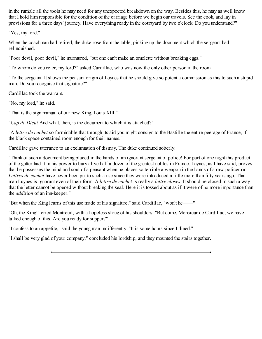in the rumble all the tools he may need for any unexpected breakdown on the way. Besides this, he may as well know that I hold him responsible for the condition of the carriage before we begin our travels. See the cook, and lay in provisions for a three days' journey. Have everything ready in the courtyard by two o'clock. Do you understand?"

"Yes, my lord."

When the coachman had retired, the duke rose from the table, picking up the document which the sergeant had relinquished.

"Poor devil, poor devil," he murmured, "but one can't make an omelette without breaking eggs."

"To whom do you refer, my lord?" asked Cardillac, who was now the only other person in the room.

"To the sergeant. It shows the peasant origin of Luynes that he should give so potent a commission as this to such a stupid man. Do you recognise that signature?"

Cardillac took the warrant.

"No, my lord," he said.

"That is the sign manual of our new King, Louis XIII."

"*Cap de Dieu!* And what, then, is the document to which it is attached?"

"A *lettre de cachet* so formidable that through its aid you might consign to the Bastille the entire peerage of France, if the blank space contained room enough for their names."

Cardillac gave utterance to an exclamation of dismay. The duke continued soberly:

"Think of such a document being placed in the hands of an ignorant sergeant of police! For part of one night this product of the gutter had it in his power to bury alive half a dozen of the greatest nobles in France. Luynes, as I have said, proves that he possesses the mind and soul of a peasant when he places so terrible a weapon in the hands of a raw policeman. *Lettres de cachet* have never been put to such a use since they were introduced a little more than fifty years ago. That man Luynes is ignorant even of their form. A *lettre de cachet* is really a *lettre closes*. It should be closed in such a way that the letter cannot be opened without breaking the seal. Here it is tossed about as if it were of no more importance than the *addition* of an inn-keeper."

"But when the King learns of this use made of his signature," said Cardillac, "won't he——"

"Oh, the King!" cried Montreuil, with a hopeless shrug of his shoulders. "But come, Monsieur de Cardillac, we have talked enough of this. Are you ready for supper?"

"I confess to an appetite," said the young man indifferently. "It is some hours since I dined."

"I shall be very glad of your company," concluded his lordship, and they mounted the stairs together.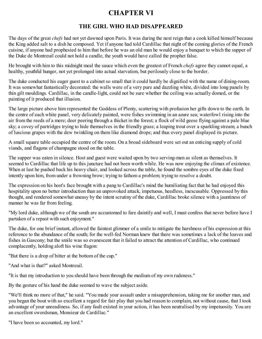# **CHAPTER VI**

### **THE GIRL WHO HAD DISAPPEARED**

<span id="page-30-0"></span>The days of the great *chefs* had not yet dawned upon Paris. It was during the next reign that a cook killed himself because the King added salt to a dish he composed. Yet if anyone had told Cardillac that night of the coming glories of the French cuisine, if anyone had prophesied to him that before he was an old man he would enjoy a banquet to which the supper of the Duke de Montreuil could not hold a candle, the youth would have called the prophet false.

He brought with him to this midnight meal the sauce which even the greatest of French *chefs* agree they cannot equal, a healthy, youthful hunger, not yet prolonged into actual starvation, but perilously close to the border.

The duke conducted his eager guest to a cabinet so small that it could hardly be dignified with the name of dining-room. It was somewhat fantastically decorated: the walls were of a very pure and dazzling white, divided into long panels by thin gilt mouldings. Cardillac, in the candle-light, could not be sure whether the ceiling was actually domed, or the painting of it produced that illusion.

The large picture above him represented the Goddess of Plenty, scattering with profusion her gifts down to the earth. In the centre of each white panel, very delicately painted, were fishes swimming in an azure sea; waterfowl rising into the air from the reeds of a mere; deer peering through a thicket in the forest; a flock of wild geese flying against a pale blue sky; a covey of partridges trying to hide themselves in the friendly grass; a leaping trout over a sparkling stream; a bunch of luscious grapes with the dew twinkling on them like diamond drops; and thus every panel displayed its picture.

A small square table occupied the centre of the room. On a broad sideboard were set out an enticing supply of cold viands, and flagons of champagne stood on the table.

The supper was eaten in silence. Host and guest were waited upon by two serving-men as silent as themselves. It seemed to Cardillac that life up to this juncture had not been worth while. He was now enjoying the climax of existence. When at last he pushed back his heavy chair, and looked across the table, he found the sombre eyes of the duke fixed intently upon him, from under a frowning brow; trying to fathom a problem; trying to resolve a doubt.

The expression on his host's face brought with a pang to Cardillac's mind the humiliating fact that he had enjoyed this hospitality upon no better introduction than an unprovoked attack, impetuous, heedless, inexcusable. Oppressed by this thought, and rendered somewhat uneasy by the intent scrutiny of the duke, Cardillac broke silence with a jauntiness of manner he was far from feeling.

"My lord duke, although we of the south are accustomed to fare daintily and well, I must confess that never before have I partaken of a repast with such enjoyment."

The duke, for one brief instant, allowed the faintest glimmer of a smile to mitigate the harshness of his expression at this reference to the abundance of the south; for the well-fed Norman knew that there was sometimes a lack of the loaves and fishes in Gascony; but the smile was so evanescent that it failed to attract the attention of Cardillac, who continued complacently, holding aloft his wine flagon:

"But there is a drop of bitter at the bottom of the cup."

"And what is that?" asked Montreuil.

"It is that my introduction to you should have been through the medium of my own rudeness."

By the gesture of his hand the duke seemed to wave the subject aside.

"We'll think no more of that," he said. "You made your assault under a misapprehension, taking me for another man, and you began the bout with so excellent a regard for fair play that you had reason to complain, not without cause, that I took advantage of your unreadiness. So, if any fault existed in your action, it has been neutralised by my impetuosity. You are an excellent swordsman, Monsieur de Cardillac."

"I have been so accounted, my lord."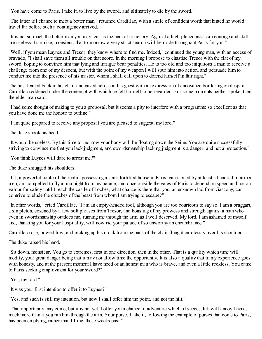"You have come to Paris, I take it, to live by the sword, and ultimately to die by the sword."

"The latter if I chance to meet a better man," returned Cardillac, with a smile of confident worth that hinted he would travel far before such a contingency arrived.

"It is not so much the better man you may fear as the man of treachery. Against a high-placed assassin courage and skill are useless. I surmise, monsieur, that to-morrow a very strict search will be made throughout Paris for you."

"Well, if you mean Luynes and Tresor, they know where to find me. Indeed," continued the young man, with an access of bravado, "I shall save them all trouble on that score. In the morning I propose to chastise Tresor with the flat of my sword, hoping to convince him that lying and intrigue bear penalties. He is too old and too iniquitous a man to receive a challenge from one of my descent, but with the point of my weapon I will spur him into action, and persuade him to conduct me into the presence of his master, whom I shall call upon to defend himself in fair fight."

The host leaned back in his chair and gazed across at his guest with an expression of annoyance bordering on despair. Cardillac reddened under the contempt with which he felt himself to be regarded. For some moments neither spoke, then the elder man said:

"I had some thought of making to you a proposal, but it seems a pity to interfere with a programme so excellent as that you have done me the honour to outline."

"I am quite prepared to receive any proposal you are pleased to suggest, my lord."

The duke shook his head.

"It would be useless. By this time to-morrow your body will be floating down the Seine. You are quite successfully striving to convince me that you lack judgment, and swordsmanship lacking judgment is a danger, and not a protection."

"You think Luynes will dare to arrest me?"

The duke shrugged his shoulders.

"If I, a powerful noble of the realm, possessing a semi-fortified house in Paris, garrisoned by at least a hundred of armed men, am compelled to fly at midnight from my palace, and once outside the gates of Paris to depend on speed and not on valour for safety until I reach the castle of Loches, what chance is there that you, an unknown lad from Gascony, can contrive to elude the clutches of the beast from whom I am trying to escape?"

"In other words," cried Cardillac, "I am an empty-headed fool, although you are too courteous to say so. I am a braggart, a simpleton, cozened by a few soft phrases from Tresor, and boasting of my prowess and strength against a man who even in swordsmanship outdoes me, running me through the arm, as I well deserved. My lord, I am ashamed of myself, and, thanking you for your hospitality, will now rid your palace of so unworthy an encumbrance."

Cardillac rose, bowed low, and picking up his cloak from the back of the chair flung it carelessly over his shoulder.

The duke raised his hand.

"Sit down, monsieur. You go to extremes, first in one direction, then in the other. That is a quality which time will modify, your great danger being that it may not allow time the opportunity. It is also a quality that in my experience goes with honesty, and at the present moment I have need of an honest man who is brave, and even a little reckless. You came to Paris seeking employment for your sword?"

"Yes, my lord."

"It was your first intention to offer it to Luynes?"

"Yes, and such is still my intention, but now I shall offer him the point, and not the hilt."

"That opportunity may come, but it is not yet. I offer you a chance of adventure which, if successful, will annoy Luynes much more than if you ran him through the arm. Your purse, I take it, following the example of purses that come to Paris, has been emptying, rather than filling, these weeks past."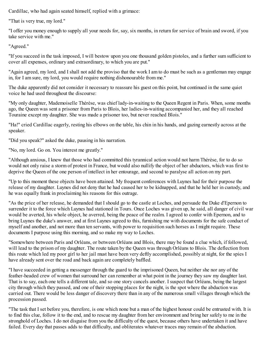Cardillac, who had again seated himself, replied with a grimace:

"That is very true, my lord."

"I offer you money enough to supply all your needs for, say, six months, in return for service of brain and sword, if you take service with me."

"Agreed."

"If you succeed in the task imposed, I will bestow upon you one thousand golden pistoles, and a further sum sufficient to cover all expenses, ordinary and extraordinary, to which you are put."

"Again agreed, my lord, and I shall not add the proviso that the work I am to do must be such as a gentleman may engage in, for I am sure, my lord, you would require nothing dishonourable from me."

The duke apparently did not consider it necessary to reassure his guest on this point, but continued in the same quiet voice he had used throughout the discourse:

"My only daughter, Mademoiselle Thérèse, was chief lady-in-waiting to the Queen Regent in Paris. When, some months ago, the Queen was sent a prisoner from Paris to Blois, her ladies-in-waiting accompanied her, and they all reached Touraine except my daughter. She was made a prisoner too, but never reached Blois."

"Ha!" cried Cardillac eagerly, resting his elbows on the table, his chin in his hands, and gazing earnestly across at the speaker.

"Did you speak?" asked the duke, pausing in his narration.

"No, my lord. Go on. You interest me greatly."

"Although anxious, I knew that those who had committed this tyrannical action would not harm Thérèse, for to do so would not only raise a storm of protest in France, but would also nullify the object of her abductors, which was first to deprive the Queen of the one person of intellect in her entourage, and second to paralyse all action on my part.

"Up to this moment these objects have been attained. My frequent conferences with Luynes had for their purpose the release of my daughter. Luynes did not deny that he had caused her to be kidnapped, and that he held her in custody, and he was equally frank in proclaiming his reasons for this outrage.

"As the price of her release, he demanded that I should go to the castle at Loches, and persuade the Duke d'Epernon to surrender it to the force which Luynes had stationed in Tours. Once Loches was given up, he said, all danger of civil war would be averted, his whole object, he averred, being the peace of the realm. I agreed to confer with Epernon, and to bring Luynes the duke's answer, and at first Luynes agreed to this, furnishing me with documents for the safe conduct of myself and another, and not more than ten servants, with power to requisition such horses as I might require. These documents I purpose using this morning, and so make my way to Loches.

"Somewhere between Paris and Orléans, or between Orléans and Blois, there may be found a clue which, if followed, will lead to the prison of my daughter. The route taken by the Queen was through Orléans to Blois. The deflection from this route which led my poor girl to her jail must have been very deftly accomplished, possibly at night, for the spies I have already sent over the road and back again are completely baffled.

"I have succeeded in getting a messenger through the guard to the imprisoned Queen, but neither she nor any of the feather-headed crew of women that surround her can remember at what point in the journey they saw my daughter last. That is to say, each one tells a different tale, and so one story cancels another. I suspect that Orléans, being the largest city through which they passed, and one of their stopping places for the night, is the spot where the abduction was carried out. There would be less danger of discovery there than in any of the numerous small villages through which the procession passed.

"The task that I set before you, therefore, is one which none but a man of the highest honour could be entrusted with. It is to find this clue, follow it to the end, and to rescue my daughter from her environment and bring her safely to me in the stronghold of Loches. I do not disguise from you the difficulty of the quest, because others have undertaken it and have failed. Every day that passes adds to that difficulty, and obliterates whatever traces may remain of the abduction.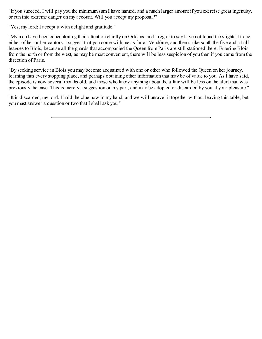"If you succeed, I will pay you the minimum sum I have named, and a much larger amount if you exercise great ingenuity, or run into extreme danger on my account. Will you accept my proposal?"

"Yes, my lord; I accept it with delight and gratitude."

"My men have been concentrating their attention chiefly on Orléans, and I regret to say have not found the slightest trace either of her or her captors. I suggest that you come with me as far as Vendôme, and then strike south the five and a half leagues to Blois, because all the guards that accompanied the Queen from Paris are still stationed there. Entering Blois from the north or from the west, as may be most convenient, there will be less suspicion of you than if you came from the direction of Paris.

"By seeking service in Blois you may become acquainted with one or other who followed the Queen on her journey, learning thus every stopping place, and perhaps obtaining other information that may be of value to you. As I have said, the episode is now several months old, and those who know anything about the affair will be less on the alert than was previously the case. This is merely a suggestion on my part, and may be adopted or discarded by you at your pleasure."

"It is discarded, my lord. I hold the clue now in my hand, and we will unravel it together without leaving this table, but you must answer a question or two that I shall ask you."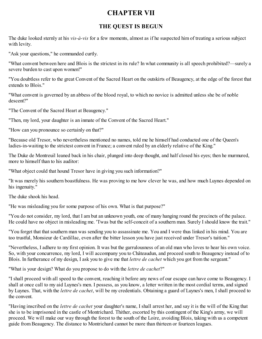# **CHAPTER VII**

### **THE QUEST IS BEGUN**

<span id="page-34-0"></span>The duke looked sternly at his *vis-à-vis* for a few moments, almost as if he suspected him of treating a serious subject with levity.

"Ask your questions," he commanded curtly.

"What convent between here and Blois is the strictest in its rule? In what community is all speech prohibited?—surely a severe burden to cast upon women!"

"You doubtless refer to the great Convent of the Sacred Heart on the outskirts of Beaugency, at the edge of the forest that extends to Blois."

"What convent is governed by an abbess of the blood royal, to which no novice is admitted unless she be of noble descent?"

"The Convent of the Sacred Heart at Beaugency."

"Then, my lord, your daughter is an inmate of the Convent of the Sacred Heart."

"How can you pronounce so certainly on that?"

"Because old Tresor, who nevertheless mentioned no names, told me he himself had conducted one of the Queen's ladies-in-waiting to the strictest convent in France; a convent ruled by an elderly relative of the King."

The Duke de Montreuil leaned back in his chair, plunged into deep thought, and half closed his eyes; then he murmured, more to himself than to his auditor:

"What object could that hound Tresor have in giving you such information?"

"It was merely his southern boastfulness. He was proving to me how clever he was, and how much Luynes depended on his ingenuity."

The duke shook his head.

"He was misleading you for some purpose of his own. What is that purpose?"

"You do not consider, my lord, that I am but an unknown youth, one of many hanging round the precincts of the palace. He could have no object in misleading me. 'Twas but the self-conceit of a southern man. Surely I should know the trait."

"You forget that that southern man was sending you to assassinate me. You and I were thus linked in his mind. You are too trustful, Monsieur de Cardillac, even after the bitter lesson you have just received under Tresor's tuition."

"Nevertheless, I adhere to my first opinion. It was but the garrulousness of an old man who loves to hear his own voice. So, with your concurrence, my lord, I will accompany you to Châteaudun, and proceed south to Beaugency instead of to Blois. In furtherance of my design, I ask you to give me that *lettre de cachet* which you got from the sergeant."

"What is your design? What do you propose to do with the *lettre de cachet*?"

"I shall proceed with all speed to the convent, reaching it before any news of our escape can have come to Beaugency. I shall at once call to my aid Luynes's men. I possess, as you know, a letter written in the most cordial terms, and signed by Luynes. That, with the *lettre de cachet*, will be my credentials. Obtaining a guard of Luynes's men, I shall proceed to the convent.

"Having inscribed on the *lettre de cachet* your daughter's name, I shall arrest her, and say it is the will of the King that she is to be imprisoned in the castle of Montrichard. Thither, escorted by this contingent of the King's army, we will proceed. We will make our way through the forest to the south of the Loire, avoiding Blois, taking with us a competent guide from Beaugency. The distance to Montrichard cannot be more than thirteen or fourteen leagues.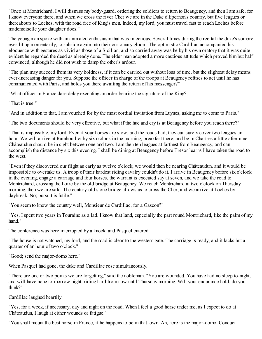"Once at Montrichard, I will dismiss my body-guard, ordering the soldiers to return to Beaugency, and then I am safe, for I know everyone there, and when we cross the river Cher we are in the Duke d'Epernon's country, but five leagues or thereabouts to Loches, with the road free of King's men. Indeed, my lord, you must travel fast to reach Loches before mademoiselle your daughter does."

The young man spoke with an animated enthusiasm that was infectious. Several times during the recital the duke's sombre eyes lit up momentarily, to subside again into their customary gloom. The optimistic Cardillac accompanied his eloquence with gestures as vivid as those of a Sicilian, and so carried away was he by his own oratory that it was quite evident he regarded the deed as already done. The elder man adopted a more cautious attitude which proved him but half convinced, although he did not wish to damp the other's ardour.

"The plan may succeed from its very boldness, if it can be carried out without loss of time, but the slightest delay means ever-increasing danger for you. Suppose the officer in charge of the troops at Beaugency refuses to act until he has communicated with Paris, and holds you there awaiting the return of his messenger?"

"What officer in France dare delay executing an order bearing the signature of the King?"

"That is true."

"And in addition to that, I am vouched for by the most cordial invitation from Luynes, asking me to come to Paris."

"The two documents should be very effective, but what if the hue and cry is at Beaugency before you reach there?"

"That is impossible, my lord. Even if your horses are slow, and the roads bad, they can surely cover two leagues an hour. We will arrive at Rambouillet by six o'clock in the morning, breakfast there, and be in Chartres a little after nine. Châteaudun should be in sight between one and two. I am then ten leagues at farthest from Beaugency, and can accomplish the distance by six this evening. I shall be dining at Beaugency before Tresor learns I have taken the road to the west.

"Even if they discovered our flight as early as twelve o'clock, we would then be nearing Châteaudun, and it would be impossible to overtake us. A troop of their hardest riding cavalry couldn't do it. I arrive in Beaugency before six o'clock in the evening, engage a carriage and four horses, the warrant is executed say at seven, and we take the road to Montrichard, crossing the Loire by the old bridge at Beaugency. We reach Montrichard at two o'clock on Thursday morning; then we are safe. The century-old stone bridge allows us to cross the Cher, and we arrive at Loches by daybreak. No; pursuit is futile."

"You seem to know the country well, Monsieur de Cardillac, for a Gascon?"

"Yes, I spent two years in Touraine as a lad. I know that land, especially the part round Montrichard, like the palm of my hand."

The conference was here interrupted by a knock, and Pasquel entered.

"The house is not watched, my lord, and the road is clear to the western gate. The carriage is ready, and it lacks but a quarter of an hour of two o'clock."

"Good; send the major-domo here."

When Pasquel had gone, the duke and Cardillac rose simultaneously.

"There are one or two points we are forgetting," said the nobleman. "You are wounded. You have had no sleep to-night, and will have none to-morrow night, riding hard from now until Thursday morning. Will your endurance hold, do you think?"

Cardillac laughed heartily.

"Yes, for a week, if necessary, day and night on the road. When I feel a good horse under me, as I expect to do at Châteaudun, I laugh at either wounds or fatigue."

"You shall mount the best horse in France, if he happens to be in that town. Ah, here is the major-domo. Conduct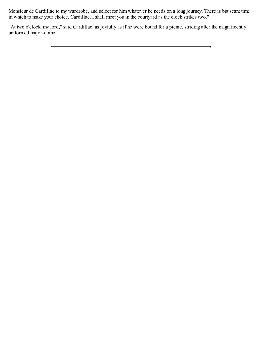Monsieur de Cardillac to my wardrobe, and select for him whatever he needs on a long journey. There is but scant time in which to make your choice, Cardillac. I shall meet you in the courtyard as the clock strikes two."

"At two o'clock, my lord," said Cardillac, as joyfully as if he were bound for a picnic, striding after the magnificently uniformed major-domo.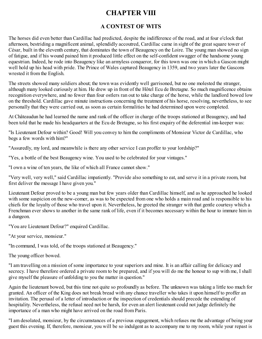## **CHAPTER VIII**

### **A CONTEST OF WITS**

The horses did even better than Cardillac had predicted, despite the indifference of the road, and at four o'clock that afternoon, bestriding a magnificent animal, splendidly accoutred, Cardillac came in sight of the great square tower of César, built in the eleventh century, that dominates the town of Beaugency on the Loire. The young man showed no sign of fatigue, and if his wound pained him it produced little effect on the self-confident swagger of the handsome young equestrian. Indeed, he rode into Beaugency like an armyless conqueror, for this town was one in which a Gascon might well hold up his head with pride. The Prince of Wales captured Beaugency in 1359, and two years later the Gascons wrested it from the English.

The streets showed many soldiers about; the town was evidently well garrisoned, but no one molested the stranger, although many looked curiously at him. He drew up in front of the Hôtel Ecu de Bretagne. So much magnificence obtains recognition everywhere, and no fewer than four ostlers ran out to take charge of the horse, while the landlord bowed low on the threshold. Cardillac gave minute instructions concerning the treatment of his horse, resolving, nevertheless, to see personally that they were carried out, as soon as certain formalities he had determined upon were completed.

At Châteaudun he had learned the name and rank of the officer in charge of the troops stationed at Beaugency, and had been told that he made his headquarters at the Ecu de Bretagne, so his first enquiry of the deferential inn-keeper was:

"Is Lieutenant Defour within? Good! Will you convey to him the compliments of Monsieur Victor de Cardillac, who begs a few words with him?"

"Assuredly, my lord, and meanwhile is there any other service I can proffer to your lordship?"

"Yes, a bottle of the best Beaugency wine. You used to be celebrated for your vintages."

"I own a wine of ten years, the like of which all France cannot show."

"Very well, very well," said Cardillac impatiently. "Provide also something to eat, and serve it in a private room, but first deliver the message I have given you."

Lieutenant Defour proved to be a young man but few years older than Cardillac himself, and as he approached he looked with some suspicion on the new-comer, as was to be expected from one who holds a main road and is responsible to his chiefs for the loyalty of those who travel upon it. Nevertheless, he greeted the stranger with that gentle courtesy which a Frenchman ever shows to another in the same rank of life, even if it becomes necessary within the hour to immure him in a dungeon.

"You are Lieutenant Defour?" enquired Cardillac.

"At your service, monsieur."

"In command, I was told, of the troops stationed at Beaugency."

The young officer bowed.

"I am travelling on a mission of some importance to your superiors and mine. It is an affair calling for delicacy and secrecy. I have therefore ordered a private room to be prepared, and if you will do me the honour to sup with me, I shall give myself the pleasure of unfolding to you the matter in question."

Again the lieutenant bowed, but this time not quite so profoundly as before. The unknown was taking a little too much for granted. An officer of the King does not break bread with any chance traveller who takes it upon himself to proffer an invitation. The perusal of a letter of introduction or the inspection of credentials should precede the extending of hospitality. Nevertheless, the refusal need not be harsh, for even an alert lieutenant could not judge definitely the importance of a man who might have arrived on the road from Paris.

"I am desolated, monsieur, by the circumstances of a previous engagement, which refuses me the advantage of being your guest this evening. If, therefore, monsieur, you will be so indulgent as to accompany me to my room, while your repast is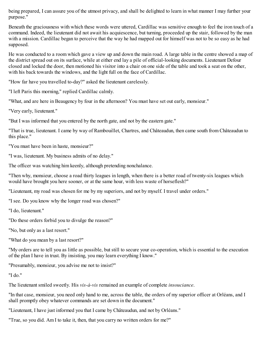being prepared, I can assure you of the utmost privacy, and shall be delighted to learn in what manner I may further your purpose."

Beneath the graciousness with which these words were uttered, Cardillac was sensitive enough to feel the iron touch of a command. Indeed, the lieutenant did not await his acquiescence, but turning, proceeded up the stair, followed by the man with a mission. Cardillac began to perceive that the way he had mapped out for himself was not to be so easy as he had supposed.

He was conducted to a room which gave a view up and down the main road. A large table in the centre showed a map of the district spread out on its surface, while at either end lay a pile of official-looking documents. Lieutenant Defour closed and locked the door, then motioned his visitor into a chair on one side of the table and took a seat on the other, with his back towards the windows, and the light full on the face of Cardillac.

"How far have you travelled to-day?" asked the lieutenant carelessly.

"I left Paris this morning," replied Cardillac calmly.

"What, and are here in Beaugency by four in the afternoon? You must have set out early, monsieur."

"Very early, lieutenant."

"But I was informed that you entered by the north gate, and not by the eastern gate."

"That is true, lieutenant. I came by way of Rambouillet, Chartres, and Châteaudun, then came south from Châteaudun to this place."

"You must have been in haste, monsieur?"

"I was, lieutenant. My business admits of no delay."

The officer was watching him keenly, although pretending nonchalance.

"Then why, monsieur, choose a road thirty leagues in length, when there is a better road of twenty-six leagues which would have brought you here sooner, or at the same hour, with less waste of horseflesh?"

"Lieutenant, my road was chosen for me by my superiors, and not by myself. I travel under orders."

"I see. Do you know why the longer road was chosen?"

"I do, lieutenant."

"Do these orders forbid you to divulge the reason?"

"No, but only as a last resort."

"What do you mean by a last resort?"

"My orders are to tell you as little as possible, but still to secure your co-operation, which is essential to the execution of the plan I have in trust. By insisting, you may learn everything I know."

"Presumably, monsieur, you advise me not to insist?"

"I do."

The lieutenant smiled sweetly. His *vis-à-vis* remained an example of complete *insouciance*.

"In that case, monsieur, you need only hand to me, across the table, the orders of my superior officer at Orléans, and I shall promptly obey whatever commands are set down in the document."

"Lieutenant, I have just informed you that I came by Châteaudun, and not by Orléans."

"True, so you did. Am I to take it, then, that you carry no written orders for me?"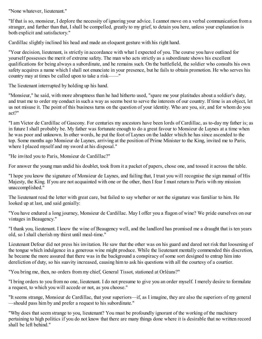"None whatever, lieutenant."

"If that is so, monsieur, I deplore the necessity of ignoring your advice. I cannot move on a verbal communication from a stranger, and further than that, I shall be compelled, greatly to my grief, to detain you here, unless your explanation is both explicit and satisfactory."

Cardillac slightly inclined his head and made an eloquent gesture with his right hand.

"Your decision, lieutenant, is strictly in accordance with what I expected of you. The course you have outlined for yourself possesses the merit of extreme safety. The man who acts strictly as a subordinate shows his excellent qualifications for being always a subordinate, and he remains such. On the battlefield, the soldier who consults his own safety acquires a name which I shall not enunciate in your presence, but he fails to obtain promotion. He who serves his country may at times be called upon to take a risk——"

The lieutenant interrupted by holding up his hand.

"Monsieur," he said, with more abruptness than he had hitherto used, "spare me your platitudes about a soldier's duty, and trust me to order my conduct in such a way as seems best to serve the interests of our country. If time is an object, let us not misuse it. The point of this business turns on the question of your identity. Who are you, sir, and for whom do you act?"

"I am Victor de Cardillac of Gascony. For centuries my ancestors have been lords of Cardillac, as to-day my father is; as in future I shall probably be. My father was fortunate enough to do a great favour to Monsieur de Luynes at a time when he was poor and unknown. In other words, he put the foot of Luynes on the ladder which he has since ascended to the top. Some months ago Monsieur de Luynes, arriving at the position of Prime Minister to the King, invited me to Paris, where I placed myself and my sword at his disposal."

"He invited you to Paris, Monsieur de Cardillac?"

For answer the young man undid his doublet, took from it a packet of papers, chose one, and tossed it across the table.

"I hope you know the signature of Monsieur de Luynes, and failing that, I trust you will recognise the sign manual of His Majesty, the King. If you are not acquainted with one or the other, then I fear I must return to Paris with my mission unaccomplished."

The lieutenant read the letter with great care, but failed to say whether or not the signature was familiar to him. He looked up at last, and said genially:

"You have endured a long journey, Monsieur de Cardillac. May I offer you a flagon of wine? We pride ourselves on our vintages in Beaugency."

"I thank you, lieutenant. I know the wine of Beaugency well, and the landlord has promised me a draught that is ten years old, so I shall cherish my thirst until meal-time."

Lieutenant Defour did not press his invitation. He saw that the other was on his guard and dared not risk that loosening of the tongue which indulgence in a generous wine might produce. While the lieutenant mentally commended this discretion, he became the more assured that there was in the background a conspiracy of some sort designed to entrap him into dereliction of duty, so his suavity increased, causing him to ask his questions with all the courtesy of a courtier.

"You bring me, then, no orders from my chief, General Tissot, stationed at Orléans?"

"I bring orders to you from no one, lieutenant. I do not presume to give you an order myself. I merely desire to formulate a request, to which you will accede or not, as you choose."

"It seems strange, Monsieur de Cardillac, that your superiors—if, as I imagine, they are also the superiors of my general —should pass him by and prefer a request to his subordinate."

"Why does that seem strange to you, lieutenant? You must be profoundly ignorant of the working of the machinery pertaining to high politics if you do not know that there are many things done where it is desirable that no written record shall be left behind."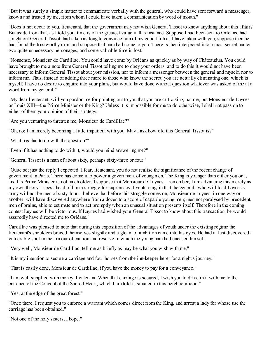"But it was surely a simple matter to communicate verbally with the general, who could have sent forward a messenger, known and trusted by me, from whom I could have taken a communication by word of mouth."

"Does it not occur to you, lieutenant, that the government may not wish General Tissot to know anything about this affair? But aside from that, as I told you, time is of the greatest value in this instance. Suppose I had been sent to Orléans, had sought out General Tissot, had taken as long to convince him of my good faith as I have taken with you; suppose then he had found the trustworthy man, and suppose that man had come to you. There is then interjected into a most secret matter two quite unnecessary personages, and some valuable time is lost."

"Nonsense, Monsieur de Cardillac. You could have come by Orléans as quickly as by way of Châteaudun. You could have brought to me a note from General Tissot telling me to obey your orders, and to do this it would not have been necessary to inform General Tissot about your mission, nor to inform a messenger between the general and myself, nor to inform me. Thus, instead of adding three more to those who know the secret, you are actually eliminating one, which is myself. I have no desire to enquire into your plans, but would have done without question whatever was asked of me at a word from my general."

"My dear lieutenant, will you pardon me for pointing out to you that you are criticising, not me, but Monsieur de Luynes or Louis XIII—the Prime Minister or the King? Unless it is impossible for me to do otherwise, I shall not pass on to either of them your opinion of their strategy."

"Are you venturing to threaten me, Monsieur de Cardillac?"

"Oh, no; I am merely becoming a little impatient with you. May I ask how old this General Tissot is?"

"What has that to do with the question?"

"Even if it has nothing to do with it, would you mind answering me?"

"General Tissot is a man of about sixty, perhaps sixty-three or four."

"Quite so; just the reply I expected. I fear, lieutenant, you do not realise the significance of the recent change of government in Paris. There has come into power a government of young men. The King is younger than either you or I, and his Prime Minister is not much older. I suppose that Monsieur de Luynes—remember, I am advancing this merely as my own theory—sees ahead of him a struggle for supremacy. I venture again that the generals who will lead Luynes's army will not be men of sixty-four. I believe that before this struggle comes on, Monsieur de Luynes, in one way or another, will have discovered anywhere from a dozen to a score of capable young men; men not paralysed by precedent, men of brains, able to estimate and to act promptly when an unusual situation presents itself. Therefore in the coming contest Luynes will be victorious. If Luynes had wished your General Tissot to know about this transaction, he would assuredly have directed me to Orléans."

Cardillac was pleased to note that during this exposition of the advantages of youth under the existing régime the lieutenant's shoulders braced themselves slightly and a gleam of ambition came into his eyes. He had at last discovered a vulnerable spot in the armour of caution and reserve in which the young man had encased himself.

"Very well, Monsieur de Cardillac, tell me as briefly as may be what you wish with me."

"It is my intention to secure a carriage and four horses from the inn-keeper here, for a night's journey."

"That is easily done, Monsieur de Cardillac, if you have the money to pay for a conveyance."

"I am well supplied with money, lieutenant. When that carriage is secured, I wish you to drive in it with me to the entrance of the Convent of the Sacred Heart, which I am told is situated in this neighbourhood."

"Yes, at the edge of the great forest."

"Once there, I request you to enforce a warrant which comes direct from the King, and arrest a lady for whose use the carriage has been obtained."

"Not one of the holy sisters, I hope."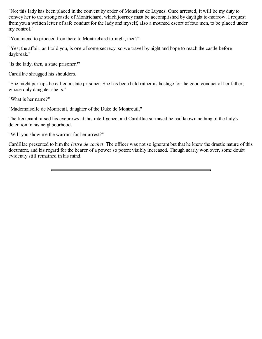"No; this lady has been placed in the convent by order of Monsieur de Luynes. Once arrested, it will be my duty to convey her to the strong castle of Montrichard, which journey must be accomplished by daylight to-morrow. I request from you a written letter of safe conduct for the lady and myself, also a mounted escort of four men, to be placed under my control."

"You intend to proceed from here to Montrichard to-night, then?"

"Yes; the affair, as I told you, is one of some secrecy, so we travel by night and hope to reach the castle before daybreak."

"Is the lady, then, a state prisoner?"

Cardillac shrugged his shoulders.

"She might perhaps be called a state prisoner. She has been held rather as hostage for the good conduct of her father, whose only daughter she is."

"What is her name?"

"Mademoiselle de Montreuil, daughter of the Duke de Montreuil."

The lieutenant raised his eyebrows at this intelligence, and Cardillac surmised he had known nothing of the lady's detention in his neighbourhood.

"Will you show me the warrant for her arrest?"

Cardillac presented to him the *lettre de cachet*. The officer was not so ignorant but that he knew the drastic nature of this document, and his regard for the bearer of a power so potent visibly increased. Though nearly won over, some doubt evidently still remained in his mind.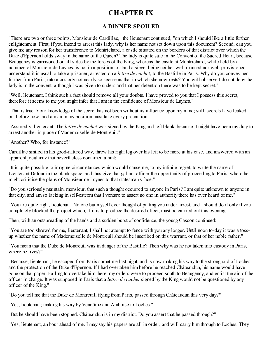## **CHAPTER IX**

#### **A DINNER SPOILED**

"There are two or three points, Monsieur de Cardillac," the lieutenant continued, "on which I should like a little further enlightenment. First, if you intend to arrest this lady, why is her name not set down upon this document? Second, can you give me any reason for her transference to Montrichard, a castle situated on the borders of that district over which the Duke d'Epernon holds sway in the name of the Queen? The lady is quite safe in the Convent of the Sacred Heart, because Beaugency is garrisoned on all sides by the forces of the King, whereas the castle at Montrichard, while held by a nominee of Monsieur de Luynes, is not in a position to stand a siege, being neither well manned nor well provisioned. I understand it is usual to take a prisoner, arrested on a *lettre de cachet*, to the Bastille in Paris. Why do you convey her further from Paris, into a custody not nearly so secure as that in which she now rests? You will observe I do not deny the lady is in the convent, although I was given to understand that her detention there was to be kept secret."

"Well, lieutenant, I think such a fact should remove all your doubts. I have proved to you that I possess this secret, therefore it seems to me you might infer that I am in the confidence of Monsieur de Luynes."

"That is true. Your knowledge of the secret has not been without its influence upon my mind; still, secrets have leaked out before now, and a man in my position must take every precaution."

"Assuredly, lieutenant. The *lettre de cachet* was signed by the King and left blank, because it might have been my duty to arrest another in place of Mademoiselle de Montreuil."

"Another? Who, for instance?"

Cardillac smiled in his good-natured way, threw his right leg over his left to be more at his ease, and answered with an apparent jocularity that nevertheless contained a hint:

"It is quite possible to imagine circumstances which would cause me, to my infinite regret, to write the name of Lieutenant Defour in the blank space, and thus give that gallant officer the opportunity of proceeding to Paris, where he might criticise the plans of Monsieur de Luynes to that statesman's face."

"Do you seriously maintain, monsieur, that such a thought occurred to anyone in Paris? I am quite unknown to anyone in that city, and am so lacking in self-esteem that I venture to assert no one in authority there has ever heard of me."

"You are quite right, lieutenant. No one but myself ever thought of putting you under arrest, and I should do it only if you completely blocked the project which, if it is to produce the desired effect, must be carried out this evening."

Then, with an outspreading of the hands and a sudden burst of confidence, the young Gascon continued:

"You are too shrewd for me, lieutenant; I shall not attempt to fence with you any longer. Until noon to-day it was a tossup whether the name of Mademoiselle de Montreuil should be inscribed on this warrant, or that of her noble father."

"You mean that the Duke de Montreuil was in danger of the Bastille? Then why was he not taken into custody in Paris, where he lives?"

"Because, lieutenant, he escaped from Paris sometime last night, and is now making his way to the stronghold of Loches and the protection of the Duke d'Epernon. If I had overtaken him before he reached Châteaudun, his name would have gone on that paper. Failing to overtake him there, my orders were to proceed south to Beaugency, and enlist the aid of the officer in charge. It was supposed in Paris that a *lettre de cachet* signed by the King would not be questioned by any officer of the King."

"Do you tell me that the Duke de Montreuil, flying from Paris, passed through Châteaudun this very day?"

"Yes, lieutenant; making his way by Vendôme and Amboise to Loches."

"But he should have been stopped. Châteaudun is in my district. Do you assert that he passed through?"

"Yes, lieutenant, an hour ahead of me. I may say his papers are all in order, and will carry him through to Loches. They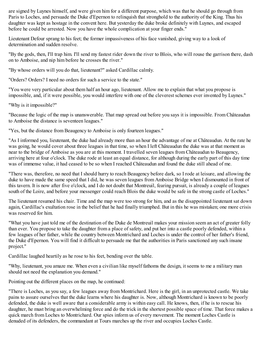are signed by Luynes himself, and were given him for a different purpose, which was that he should go through from Paris to Loches, and persuade the Duke d'Epernon to relinquish that stronghold to the authority of the King. Thus his daughter was kept as hostage in the convent here. But yesterday the duke broke definitely with Luynes, and escaped before he could be arrested. Now you have the whole complication at your finger ends."

Lieutenant Defour sprang to his feet; the former impassiveness of his face vanished, giving way to a look of determination and sudden resolve.

"By the gods, then, I'll trap him. I'll send my fastest rider down the river to Blois, who will rouse the garrison there, dash on to Amboise, and nip him before he crosses the river."

"By whose orders will you do that, lieutenant?" asked Cardillac calmly.

"Orders? Orders? I need no orders for such a service to the state."

"You were very particular about them half an hour ago, lieutenant. Allow me to explain that what you propose is impossible, and, if it were possible, you would interfere with one of the cleverest schemes ever invented by Luynes."

"Why is it impossible?"

"Because the logic of the map is unanswerable. That map spread out before you says it is impossible. From Châteaudun to Amboise the distance is seventeen leagues."

"Yes, but the distance from Beaugency to Amboise is only fourteen leagues."

"As I informed you, lieutenant, the duke had already more than an hour the advantage of me at Châteaudun. At the rate he was going, he would cover about three leagues in that time, so when I left Châteaudun the duke was at that moment as near to the bridge of Amboise as you are at this moment. I travelled seven leagues from Châteaudun to Beaugency, arriving here at four o'clock. The duke rode at least an equal distance, for although during the early part of this day time was of immense value, it had ceased to be so when I reached Châteaudun and found the duke still ahead of me.

"There was, therefore, no need that I should hurry to reach Beaugency before dark, so I rode at leisure, and allowing the duke to have made the same speed that I did, he was seven leagues from Amboise Bridge when I dismounted in front of this tavern. It is now after five o'clock, and I do not doubt that Montreuil, fearing pursuit, is already a couple of leagues south of the Loire, and before your messenger could reach Blois the duke would be safe in the strong castle of Loches."

The lieutenant resumed his chair. Time and the map were too strong for him, and as the disappointed lieutenant sat down again, Cardillac's exultation rose in the belief that he had finally triumphed. But in this he was mistaken; one more crisis was reserved for him.

"What you have just told me of the destination of the Duke de Montreuil makes your mission seem an act of greater folly than ever. You propose to take the daughter from a place of safety, and put her into a castle poorly defended, within a few leagues of her father, while the country between Montrichard and Loches is under the control of her father's friend, the Duke d'Epernon. You will find it difficult to persuade me that the authorities in Paris sanctioned any such insane project."

Cardillac laughed heartily as he rose to his feet, bending over the table.

"Why, lieutenant, you amaze me. When even a civilian like myself fathoms the design, it seems to me a military man should not need the explanation you demand."

Pointing out the different places on the map, he continued:

"There is Loches, as you say, a few leagues away from Montrichard. Here is the girl, in an unprotected castle. We take pains to assure ourselves that the duke learns where his daughter is. Now, although Montrichard is known to be poorly defended, the duke is well aware that a considerable army is within easy call. He knows, then, if he is to rescue his daughter, he must bring an overwhelming force and do the trick in the shortest possible space of time. That force makes a quick march from Loches to Montrichard. Our spies inform us of every movement. The moment Loches Castle is denuded of its defenders, the commandant at Tours marches up the river and occupies Loches Castle.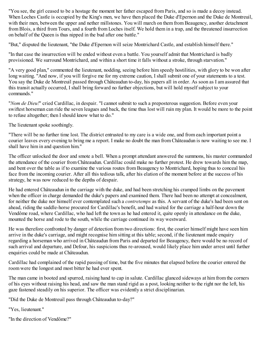"You see, the girl ceased to be a hostage the moment her father escaped from Paris, and so is made a decoy instead. When Loches Castle is occupied by the King's men, we have then placed the Duke d'Epernon and the Duke de Montreuil, with their men, between the upper and nether millstones. You will march on them from Beaugency, another detachment from Blois, a third from Tours, and a fourth from Loches itself. We hold them in a trap, and the threatened insurrection on behalf of the Queen is thus nipped in the bud after one battle."

"But," disputed the lieutenant, "the Duke d'Epernon will seize Montrichard Castle, and establish himself there."

"In that case the insurrection will be ended without even a battle. You yourself admit that Montrichard is badly provisioned. We surround Montrichard, and within a short time it falls without a stroke, through starvation."

"A very good plan," commented the lieutenant, nodding, seeing before him speedy hostilities, with glory to be won after long waiting. "And now, if you will forgive me for my extreme caution, I shall submit one of your statements to a test. You say the Duke de Montreuil passed through Châteaudun to-day, his papers all in order. As soon as I am assured that this transit actually occurred, I shall bring forward no further objections, but will hold myself subject to your commands."

"*Nom de Dieu!*" cried Cardillac, in despair. "I cannot submit to such a preposterous suggestion. Before even your swiftest horseman can ride the seven leagues and back, the time thus lost will ruin my plan. It would be more to the point to refuse altogether; then I should know what to do."

The lieutenant spoke soothingly.

"There will be no further time lost. The district entrusted to my care is a wide one, and from each important point a courier leaves every evening to bring me a report. I make no doubt the man from Châteaudun is now waiting to see me. I shall have him in and question him."

The officer unlocked the door and smote a bell. When a prompt attendant answered the summons, his master commanded the attendance of the courier from Châteaudun. Cardillac could make no further protest. He drew towards him the map, and bent over the table as if to examine the various routes from Beaugency to Montrichard, hoping thus to conceal his face from the incoming courier. After all this tedious talk, after his elation of the moment before at the success of his strategy, he was now reduced to the depths of despair.

He had entered Châteaudun in the carriage with the duke, and had been stretching his cramped limbs on the pavement when the officer in charge demanded the duke's papers and examined them. There had been no attempt at concealment, for neither the duke nor himself ever contemplated such a *contretemps* as this. A servant of the duke's had been sent on ahead, riding the saddle-horse procured for Cardillac's benefit, and had waited for the carriage a half-hour down the Vendôme road, where Cardillac, who had left the town as he had entered it, quite openly in attendance on the duke, mounted the horse and rode to the south, while the carriage continued its way westward.

He was therefore confronted by danger of detection from two directions: first, the courier himself might have seen him arrive in the duke's carriage, and might recognise him sitting at this table; second, if the lieutenant made enquiry regarding a horseman who arrived in Châteaudun from Paris and departed for Beaugency, there would be no record of such arrival and departure, and Defour, his suspicions thus re-aroused, would likely place him under arrest until further enquiries could be made at Châteaudun.

Cardillac had complained of the rapid passing of time, but the five minutes that elapsed before the courier entered the room were the longest and most bitter he had ever spent.

The man came in booted and spurred, raising hand to cap in salute. Cardillac glanced sideways at him from the corners of his eyes without raising his head, and saw the man stand rigid as a post, looking neither to the right nor the left, his gaze fastened steadily on his superior. The officer was evidently a strict disciplinarian.

"Did the Duke de Montreuil pass through Châteaudun to-day?"

"Yes, lieutenant."

"In the direction of Vendôme?"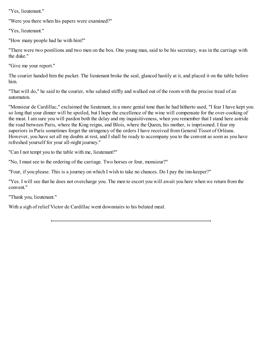"Yes, lieutenant."

"Were you there when his papers were examined?"

"Yes, lieutenant."

"How many people had he with him?"

"There were two postilions and two men on the box. One young man, said to be his secretary, was in the carriage with the duke."

"Give me your report."

The courier handed him the packet. The lieutenant broke the seal, glanced hastily at it, and placed it on the table before him.

"That will do," he said to the courier, who saluted stiffly and walked out of the room with the precise tread of an automaton.

"Monsieur de Cardillac," exclaimed the lieutenant, in a more genial tone than he had hitherto used, "I fear I have kept you so long that your dinner will be spoiled, but I hope the excellence of the wine will compensate for the over-cooking of the meat. I am sure you will pardon both the delay and my inquisitiveness, when you remember that I stand here astride the road between Paris, where the King reigns, and Blois, where the Queen, his mother, is imprisoned. I fear my superiors in Paris sometimes forget the stringency of the orders I have received from General Tissot of Orléans. However, you have set all my doubts at rest, and I shall be ready to accompany you to the convent as soon as you have refreshed yourself for your all-night journey."

"Can I not tempt you to the table with me, lieutenant?"

"No, I must see to the ordering of the carriage. Two horses or four, monsieur?"

"Four, if you please. This is a journey on which I wish to take no chances. Do I pay the inn-keeper?"

"Yes. I will see that he does not overcharge you. The men to escort you will await you here when we return from the convent."

"Thank you, lieutenant."

With a sigh of relief Victor de Cardillac went downstairs to his belated meal.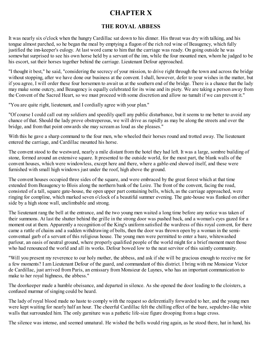# **CHAPTER X**

### **THE ROYAL ABBESS**

It was nearly six o'clock when the hungry Cardillac sat down to his dinner. His throat was dry with talking, and his tongue almost parched, so he began the meal by emptying a flagon of the rich red wine of Beaugency, which fully justified the inn-keeper's eulogy. At last word came to him that the carriage was ready. On going outside he was somewhat surprised to see his own horse held by a servant of the inn, while the four mounted men, whom he judged to be his escort, sat their horses together behind the carriage. Lieutenant Defour approached.

"I thought it best," he said, "considering the secrecy of your mission, to drive right through the town and across the bridge without stopping, after we have done our business at the convent. I shall, however, defer to your wishes in the matter, but if you agree, I will order these four horsemen to await us at the southern end of the bridge. There is a chance that the lady may make some outcry, and Beaugency is equally celebrated for its wine and its piety. We are taking a person away from the Convent of the Sacred Heart, so we must proceed with some discretion and allow no tumult if we can prevent it."

"You are quite right, lieutenant, and I cordially agree with your plan."

"Of course I could call out my soldiers and speedily quell any public disturbance, but it seems to me better to avoid any chance of that. Should the lady prove obstreperous, we will drive as rapidly as may be along the streets and over the bridge, and from that point onwards she may scream as loud as she pleases."

With this he gave a sharp command to the four men, who wheeled their horses round and trotted away. The lieutenant entered the carriage, and Cardillac mounted his horse.

The convent stood to the westward, nearly a mile distant from the hotel they had left. It was a large, sombre building of stone, formed around an extensive square. It presented to the outside world, for the most part, the blank walls of the convent houses, which were windowless, except here and there, where a gable-end showed itself, and these were furnished with small high windows just under the roof, high above the ground.

The convent houses occupied three sides of the square, and were embraced by the great forest which at that time extended from Beaugency to Blois along the northern bank of the Loire. The front of the convent, facing the road, consisted of a tall, square gate-house, the open upper part containing bells, which, as the carriage approached, were ringing for compline, which marked seven o'clock of a beautiful summer evening. The gate-house was flanked on either side by a high stone wall, unclimbable and strong.

The lieutenant rang the bell at the entrance, and the two young men waited a long time before any notice was taken of their summons. At last the shutter behind the grille in the strong door was pushed back, and a woman's eyes gazed for a moment out at them. Apparently a recognition of the King's uniform satisfied the wardress of this royal convent, for there came a rattle of chains and a sudden withdrawing of bolts, then the door was thrown open by a woman in the semiconventual garb of a servant of this religious house. The young men were permitted to enter a bare, whitewashed parlour, an oasis of neutral ground, where properly qualified people of the world might for a brief moment meet those who had renounced the world and all its works. Defour bowed low to the neat servitor of this saintly community.

"Will you present my reverence to our holy mother, the abbess, and ask if she will be gracious enough to receive me for a few moments? I am Lieutenant Defour of the guard, and commandant of this district. I bring with me Monsieur Victor de Cardillac, just arrived from Paris, an emissary from Monsieur de Luynes, who has an important communication to make to her royal highness, the abbess."

The doorkeeper made a humble obeisance, and departed in silence. As she opened the door leading to the cloisters, a confused murmur of singing could be heard.

The lady of royal blood made no haste to comply with the request so deferentially forwarded to her, and the young men were kept waiting for nearly half an hour. The cheerful Cardillac felt the chilling effect of the bare, sepulchre-like white walls that surrounded him. The only garniture was a pathetic life-size figure drooping from a huge cross.

The silence was intense, and seemed unnatural. He wished the bells would ring again, as he stood there, hat in hand, his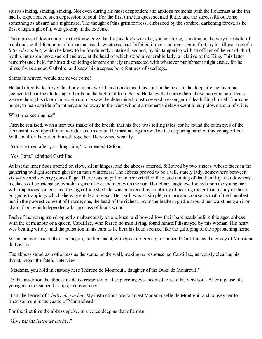spirits sinking, sinking, sinking. Not even during his most despondent and anxious moments with the lieutenant at the inn had he experienced such depression of soul. For the first time his quest seemed futile, and the successful outcome something as absurd as a nightmare. The thought of this grim fortress, embraced by the sombre, darkening forest, as he first caught sight of it, was gloomy in the extreme.

There pressed down upon him the knowledge that by this day's work he, young, strong, standing on the very threshold of manhood, with life a boon of almost untasted sweetness, had forfeited it over and over again; first, by his illegal use of a *lettre de cachet*, which he knew to be fraudulently obtained; second, by his tampering with an officer of the guard; third, by this intrusion into a sacred enclave, at the head of which stood a venerable lady, a relative of the King. This latter remembrance held for him a disquieting element entirely unconnected with whatever punishment might ensue, for he himself was a good Catholic, and knew his trespass bore features of sacrilege.

Saints in heaven, would she never come!

He had already destroyed his body in this world, and condemned his soul in the next. In the deep silence his mind seemed to hear the clattering of hoofs on the highroad from Paris. He knew that somewhere those hurrying hoof-beats were echoing his doom. In imagination he saw the determined, dust-covered messenger of death fling himself from one horse, to leap astride of another, and so away to the west without a moment's delay except to gulp down a cup of wine.

What *was* keeping her?

Then he realised, with a nervous intake of the breath, that his face was telling tales, for he found the calm eyes of the lieutenant fixed upon him in wonder and in doubt. He must not again awaken the enquiring mind of this young officer. With an effort he pulled himself together. He yawned wearily.

"You are tired after your long ride," commented Defour.

"Yes, I am," admitted Cardillac.

At last the inner door opened on slow, silent hinges, and the abbess entered, followed by two sisters, whose faces in the gathering twilight seemed ghastly in their whiteness. The abbess proved to be a tall, stately lady, somewhere between sixty-five and seventy years of age. There was no pallor in her wrinkled face, and nothing of that humility, that downcast meekness of countenance, which is generally associated with the nun. Her clear, eagle eye looked upon the young men with imperious hauteur, and the high office she held was betokened by a nobility of bearing rather than by any of those gorgeous trappings which she was entitled to wear. Her garb was as simple, sombre and coarse as that of the humblest nun in the poorest convent of France; she, the head of the richest. From the leathern girdle around her waist hung an iron chain, from which depended a large cross of black wood.

Each of the young men dropped simultaneously on one knee, and bowed low their bare heads before this aged abbess with the demeanour of a queen. Cardillac, who feared no man living, found himself dismayed by this woman. His heart was beating wildly, and the pulsation in his ears as he bent his head seemed like the galloping of the approaching horse.

When the two rose to their feet again, the lieutenant, with great deference, introduced Cardillac as the envoy of Monsieur de Luynes.

The abbess stood as motionless as the statue on the wall, making no response, so Cardillac, nervously clearing his throat, began the fateful interview.

"Madame, you hold in custody here Thérèse de Montreuil, daughter of the Duke de Montreuil."

To this assertion the abbess made no response, but her piercing eyes seemed to read his very soul. After a pause, the young man moistened his lips, and continued:

"I am the bearer of a *lettre de cachet*. My instructions are to arrest Mademoiselle de Montreuil and convey her to imprisonment in the castle of Montrichard."

For the first time the abbess spoke, in a voice deep as that of a man.

"Give me the *lettre de cachet*."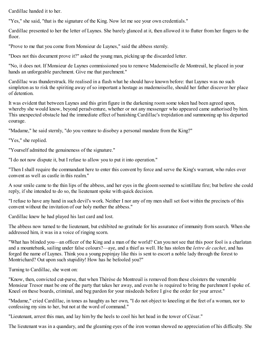Cardillac handed it to her.

"Yes," she said, "that is the signature of the King. Now let me see your own credentials."

Cardillac presented to her the letter of Luynes. She barely glanced at it, then allowed it to flutter from her fingers to the floor.

"Prove to me that you come from Monsieur de Luynes," said the abbess sternly.

"Does not this document prove it?" asked the young man, picking up the discarded letter.

"No, it does not. If Monsieur de Luynes commissioned you to remove Mademoiselle de Montreuil, he placed in your hands an unforgeable parchment. Give me that parchment."

Cardillac was thunderstruck. He realised in a flash what he should have known before: that Luynes was no such simpleton as to risk the spiriting away of so important a hostage as mademoiselle, should her father discover her place of detention.

It was evident that between Luynes and this grim figure in the darkening room some token had been agreed upon, whereby she would know, beyond peradventure, whether or not any messenger who appeared came authorised by him. This unexpected obstacle had the immediate effect of banishing Cardillac's trepidation and summoning up his departed courage.

"Madame," he said sternly, "do you venture to disobey a personal mandate from the King?"

"Yes," she replied.

"Yourself admitted the genuineness of the signature."

"I do not now dispute it, but I refuse to allow you to put it into operation."

"Then I shall require the commandant here to enter this convent by force and serve the King's warrant, who rules over convent as well as castle in this realm."

A sour smile came to the thin lips of the abbess, and her eyes in the gloom seemed to scintillate fire; but before she could reply, if she intended to do so, the lieutenant spoke with quick decision.

"I refuse to have any hand in such devil's work. Neither I nor any of my men shall set foot within the precincts of this convent without the invitation of our holy mother the abbess."

Cardillac knew he had played his last card and lost.

The abbess now turned to the lieutenant, but exhibited no gratitude for his assurance of immunity from search. When she addressed him, it was in a voice of ringing scorn.

"What has blinded you—an officer of the King and a man of the world? Can you not see that this poor fool is a charlatan and a mountebank, sailing under false colours?—aye, and a thief as well. He has stolen the *lettre de cachet*, and has forged the name of Luynes. Think you a young popinjay like this is sent to escort a noble lady through the forest to Montrichard? Out upon such stupidity! How has he befooled you?"

Turning to Cardillac, she went on:

"Know, then, convicted cut-purse, that when Thérèse de Montreuil is removed from these cloisters the venerable Monsieur Tresor must be one of the party that takes her away, and even he is required to bring the parchment I spoke of. Kneel on these boards, criminal, and beg pardon for your misdeeds before I give the order for your arrest."

"Madame," cried Cardillac, in tones as haughty as her own, "I do not object to kneeling at the feet of a woman, nor to confessing my sins to her, but not at the word of command."

"Lieutenant, arrest this man, and lay him by the heels to cool his hot head in the tower of César."

The lieutenant was in a quandary, and the gleaming eyes of the iron woman showed no appreciation of his difficulty. She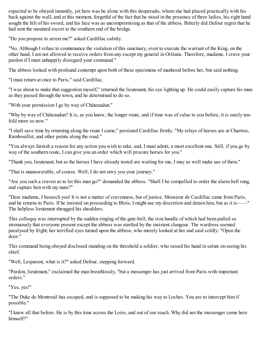expected to be obeyed instantly, yet here was he alone with this desperado, whom she had placed practically with his back against the wall, and at this moment, forgetful of the fact that he stood in the presence of three ladies, his right hand sought the hilt of his sword, and his face was as uncompromising as that of the abbess. Bitterly did Defour regret that he had sent the mounted escort to the southern end of the bridge.

"Do you propose to arrest me?" asked Cardillac calmly.

"No. Although I refuse to countenance the violation of this sanctuary, even to execute the warrant of the King, on the other hand, I am not allowed to receive orders from any except my general in Orléans. Therefore, madame, I crave your pardon if I must unhappily disregard your command."

The abbess looked with profound contempt upon both of these specimens of manhood before her, but said nothing.

"I must return at once to Paris," said Cardillac.

"I was about to make that suggestion myself," returned the lieutenant, his eye lighting up. He could easily capture his man as they passed through the town, and he determined to do so.

"With your permission I go by way of Châteaudun."

"Why by way of Châteaudun? It is, as you know, the longer route, and if time was of value to you before, it is surely tenfold more so now."

"I shall save time by returning along the route I came," persisted Cardillac firmly. "My relays of horses are at Chartres, Rambouillet, and other points along the road."

"You always furnish a reason for any action you wish to take, and, I must admit, a most excellent one. Still, if you go by way of the southern route, I can give you an order which will procure horses for you."

"Thank you, lieutenant, but as the horses I have already tested are waiting for me, I may as well make use of them."

"That is unanswerable, of course. Well, I do not envy you your journey."

"Are you such a craven as to let this man go?" demanded the abbess. "Shall I be compelled to order the alarm bell rung, and capture him with my nuns?"

"Dear madame, I beseech you! It is not a matter of cravenness, but of justice. Monsieur de Cardillac came from Paris, and he returns to Paris. If he insisted on proceeding to Blois, I might use my discretion and detain him, but as it is——" The helpless lieutenant shrugged his shoulders.

This colloquy was interrupted by the sudden ringing of the gate-bell, the iron handle of which had been pulled so strenuously that everyone present except the abbess was startled by the insistent clangour. The wardress seemed paralysed by fright; her terrified eyes turned upon the abbess, who merely looked at her and said coldly: "Open the door."

This command being obeyed disclosed standing on the threshold a soldier, who raised his hand in salute on seeing his chief.

"Well, Lesparent, what is it?" asked Defour, stepping forward.

"Pardon, lieutenant," exclaimed the man breathlessly, "but a messenger has just arrived from Paris with important orders."

"Yes, yes!"

"The Duke de Montreuil has escaped, and is supposed to be making his way to Loches. You are to intercept him if possible."

"I knew all that before. He is by this time across the Loire, and out of our reach. Why did not the messenger come here himself?"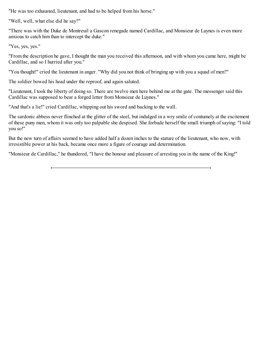"He was too exhausted, lieutenant, and had to be helped from his horse."

"Well, well, what else did he say?"

"There was with the Duke de Montreuil a Gascon renegade named Cardillac, and Monsieur de Luynes is even more anxious to catch him than to intercept the duke."

"Yes, yes, yes."

"From the description he gave, I thought the man you received this afternoon, and with whom you came here, might be Cardillac, and so I hurried after you."

"You thought!" cried the lieutenant in anger. "Why did you not think of bringing up with you a squad of men?"

The soldier bowed his head under the reproof, and again saluted.

"Lieutenant, I took the liberty of doing so. There are twelve men here behind me at the gate. The messenger said this Cardillac was supposed to bear a forged letter from Monsieur de Luynes."

"And that's a lie!" cried Cardillac, whipping out his sword and backing to the wall.

The sardonic abbess never flinched at the glitter of the steel, but indulged in a wry smile of contumely at the excitement of these puny men, whom it was only too palpable she despised. She forbade herself the small triumph of saying: "I told you so!"

But the new turn of affairs seemed to have added half a dozen inches to the stature of the lieutenant, who now, with irresistible power at his back, became once more a figure of courage and determination.

"Monsieur de Cardillac," he thundered, "I have the honour and pleasure of arresting you in the name of the King!"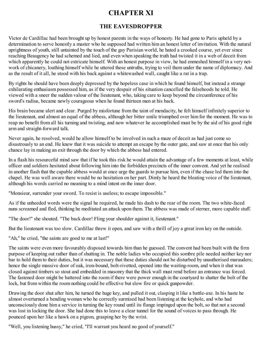# **CHAPTER XI**

### **THE EAVESDROPPER**

Victor de Cardillac had been brought up by honest parents in the ways of honesty. He had gone to Paris upheld by a determination to serve honestly a master who he supposed had written him an honest letter of invitation. With the natural uprightness of youth, still untainted by the touch of the gay Parisian world, he hated a crooked course, yet ever since reaching Beaugency he had schemed and lied, and even when speaking the truth had twisted it in a web of deceit from which apparently he could not extricate himself. With an honest purpose in view, he had enmeshed himself in a very network of chicanery, loathing himself while he uttered these untruths, trying to veil them under the name of diplomacy. And as the result of it all, he stood with his back against a whitewashed wall, caught like a rat in a trap.

By rights he should have been deeply depressed by the hopeless case in which he found himself, but instead a strange exhilarating enthusiasm possessed him, as if the very despair of his situation cancelled the falsehoods he told. He viewed with a sneer the sudden valour of the lieutenant, who, taking care to keep beyond the circumference of his sword's radius, became newly courageous when he found thirteen men at his back.

His brain became alert and clear. Purged by misfortune from the taint of mendacity, he felt himself infinitely superior to the lieutenant, and almost an equal of the abbess, although her bitter smile triumphed over him for the moment. He was to reap no benefit from all his turning and twisting, and now whatever he accomplished must be by the aid of his good right arm and straight-forward talk.

Never again, he resolved, would he allow himself to be involved in such a maze of deceit as had just come so disastrously to an end. He knew that it was suicide to attempt an escape by the outer gate, and saw at once that his only chance lay in making an exit through the door by which the abbess had entered.

In a flash his resourceful mind saw that if he took this risk he would attain the advantage of a few moments at least, while officer and soldiers hesitated about following him into the forbidden precincts of the inner convent. And yet he realised in another flash that the capable abbess would at once urge the guards to pursue him, even if the chase led them into the chapel. He was well aware there would be no hesitation on her part. Dimly he heard the bleating voice of the lieutenant, although his words carried no meaning to a mind intent on the inner door.

"Monsieur, surrender your sword. To resist is useless; to escape impossible."

As if the unheeded words were the signal he required, he made his dash to the rear of the room. The two white-faced nuns screamed and fled, thinking he meditated an attack upon them. The abbess was made of sterner, more capable stuff.

"The door!" she shouted. "The back door! Fling your shoulder against it, lieutenant."

But the lieutenant was too slow. Cardillac threw it open, and saw with a thrill of joy a great iron key on the outside.

"Ah," he cried, "the saints are good to me at last!"

The saints were even more favourably disposed towards him than he guessed. The convent had been built with the firm purpose of keeping out rather than of shutting in. The noble ladies who occupied this sombre pile needed neither key nor bar to hold them to their duties, but it was necessary that these duties should not be disturbed by unauthorised marauders; hence the single massive door of oak, iron-bound, bolt-rivetted, opened into the waiting-room, and when it shut was closed against timbers so stout and embedded in masonry that the thick wall must rend before an entrance was forced. The fastened door might be battered into the room if there were power enough in the courtyard to shatter the bolt of the lock, but from within the room nothing could be effective but slow fire or quick gunpowder.

Drawing the door shut after him, he turned the huge key, and pulled it out, clasping it like a battle-axe. In his haste he almost overturned a bending woman who he correctly surmised had been listening at the keyhole, and who had unconsciously done him a service in turning the key round until its flange impinged upon the bolt, so that not a second was lost in locking the door. She had done this to leave a clear tunnel for the sound of voices to pass through. He pounced upon her like a hawk on a pigeon, grasping her by the wrist.

"Well, you listening hussy," he cried, "I'll warrant you heard no good of yourself."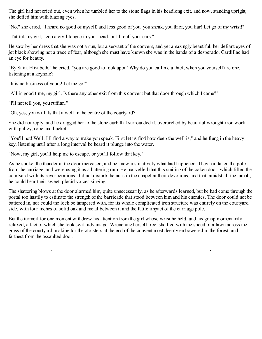The girl had not cried out, even when he tumbled her to the stone flags in his headlong exit, and now, standing upright, she defied him with blazing eyes.

"No," she cried, "I heard no good of myself, and less good of you, you sneak, you thief, you liar! Let go of my wrist!"

"Tut-tut, my girl, keep a civil tongue in your head, or I'll cuff your ears."

He saw by her dress that she was not a nun, but a servant of the convent, and yet amazingly beautiful, her defiant eyes of jet black showing not a trace of fear, although she must have known she was in the hands of a desperado. Cardillac had an eye for beauty.

"By Saint Elizabeth," he cried, "you are good to look upon! Why do you call me a thief, when you yourself are one, listening at a keyhole?"

"It is no business of yours! Let me go!"

"All in good time, my girl. Is there any other exit from this convent but that door through which I came?"

"I'll not tell you, you ruffian."

"Oh, yes, you will. Is that a well in the centre of the courtyard?"

She did not reply, and he dragged her to the stone curb that surrounded it, overarched by beautiful wrought-iron work, with pulley, rope and bucket.

"You'll not! Well, I'll find a way to make you speak. First let us find how deep the well is," and he flung in the heavy key, listening until after a long interval he heard it plunge into the water.

"Now, my girl, you'll help me to escape, or you'll follow that key."

As he spoke, the thunder at the door increased, and he knew instinctively what had happened. They had taken the pole from the carriage, and were using it as a battering ram. He marvelled that this smiting of the oaken door, which filled the courtyard with its reverberations, did not disturb the nuns in the chapel at their devotions, and that, amidst all the tumult, he could hear their sweet, placid voices singing.

The shattering blows at the door alarmed him, quite unnecessarily, as he afterwards learned, but he had come through the portal too hastily to estimate the strength of the barricade that stood between him and his enemies. The door could not be battered in, nor could the lock be tampered with, for its whole complicated iron structure was entirely on the courtyard side, with four inches of solid oak and metal between it and the futile impact of the carriage pole.

But the turmoil for one moment withdrew his attention from the girl whose wrist he held, and his grasp momentarily relaxed, a fact of which she took swift advantage. Wrenching herself free, she fled with the speed of a fawn across the grass of the courtyard, making for the cloisters at the end of the convent most deeply embowered in the forest, and farthest from the assaulted door.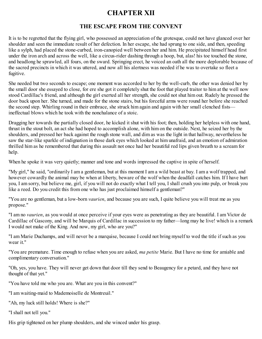## **CHAPTER XII**

#### **THE ESCAPE FROM THE CONVENT**

It is to be regretted that the flying girl, who possessed an appreciation of the grotesque, could not have glanced over her shoulder and seen the immediate result of her defection. In her escape, she had sprung to one side, and then, speeding like a sylph, had placed the stone-curbed, iron-canopied well between her and him. He precipitated himself head first under the iron arch and across the well, like a circus-rider dashing through a hoop, but, alas! his toe touched the stone, and headlong he sprawled, all fours, on the sward. Springing erect, he voiced an oath all the more deplorable because of the sacred precincts in which it was uttered, and now all his alertness was needed if he was to overtake so fleet a fugitive.

She needed but two seconds to escape; one moment was accorded to her by the well-curb, the other was denied her by the small door she essayed to close, for ere she got it completely shut the foot that played traitor to him at the well now stood Cardillac's friend, and although the girl exerted all her strength, she could not shut him out. Rudely he pressed the door back upon her. She turned, and made for the stone stairs, but his forceful arms were round her before she reached the second step. Whirling round in their embrace, she struck him again and again with her small clenched fists ineffectual blows which he took with the nonchalance of a stoic.

Dragging her towards the partially closed door, he kicked it shut with his foot; then, holding her helpless with one hand, thrust in the stout bolt, an act she had hoped to accomplish alone, with him on the outside. Next, he seized her by the shoulders, and pressed her back against the rough stone wall, and dim as was the light in that hallway, nevertheless he saw the star-like sparkle of indignation in those dark eyes which looked at him unafraid, and an emotion of admiration thrilled him as he remembered that during this assault not once had her beautiful red lips given breath to a scream for help.

When he spoke it was very quietly; manner and tone and words impressed the captive in spite of herself.

"My girl," he said, "ordinarily I am a gentleman, but at this moment I am a wild beast at bay. I am a wolf trapped, and however cowardly the animal may be when at liberty, beware of the wolf when the deadfall catches him. If I have hurt you, I am sorry, but believe me, girl, if you will not do exactly what I tell you, I shall crush you into pulp, or break you like a reed. Do you credit this from one who has just proclaimed himself a gentleman?"

"You are no gentleman, but a low-born *vaurien*, and because you are such, I quite believe you will treat me as you propose."

"I am no *vaurien*, as you would at once perceive if your eyes were as penetrating as they are beautiful. I am Victor de Cardillac of Gascony, and will be Marquis of Cardillac in succession to my father—long may he live! which is a remark I would not make of the King. And now, my girl, who are you?"

"I am Marie Duchamps, and will never be a marquise, because I could not bring myself to wed the title if such as you wear it."

"You are premature. Time enough to refuse when you are asked, *ma petite* Marie. But I have no time for amiable and complimentary conversation."

"Oh, yes, you have. They will never get down that door till they send to Beaugency for a petard, and they have not thought of that yet."

- "You have told me who you are. What are you in this convent?"
- "I am waiting-maid to Mademoiselle de Montreuil."
- "Ah, my luck still holds! Where is she?"
- "I shall not tell you."

His grip tightened on her plump shoulders, and she winced under his grasp.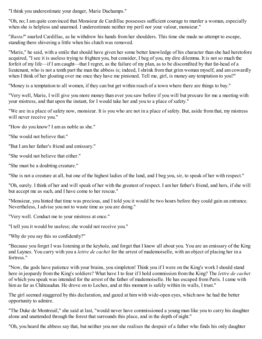"I think you underestimate your danger, Marie Duchamps."

"Oh, no; I am quite convinced that Monsieur de Cardillac possesses sufficient courage to murder a woman, especially when she is helpless and unarmed. I underestimate neither my peril nor your valour, monsieur."

"*Basta!*" snarled Cardillac, as he withdrew his hands from her shoulders. This time she made no attempt to escape, standing there shivering a little when his clutch was removed.

"Marie," he said, with a smile that should have given her some better knowledge of his character than she had heretofore acquired, "I see it is useless trying to frighten you, but consider, I beg of you, my dire dilemma. It is not so much the forfeit of my life—if I am caught—that I regret, as the failure of my plan, as to be discomfited by that fat-head of a lieutenant, who is not a tenth part the man the abbess is; indeed, I shrink from that grim woman myself, and am cowardly when I think of her gloating over me once they have me pinioned. Tell me, girl, is money any temptation to you?"

"Money is a temptation to all women, if they can but get within reach of a town where there are things to buy."

"Very well, Marie, I will give you more money than ever you saw before if you will but procure for me a meeting with your mistress, and that upon the instant, for I would take her and you to a place of safety."

"We are in a place of safety now, monsieur. It is you who are not in a place of safety. But, aside from that, my mistress will never receive you."

"How do you know? I am as noble as she."

"She would not believe that."

"But I am her father's friend and emissary."

"She would not believe that either."

"She must be a doubting creature."

"She is not a creature at all, but one of the highest ladies of the land, and I beg you, sir, to speak of her with respect."

"Oh, surely. I think of her and will speak of her with the greatest of respect. I am her father's friend, and hers, if she will but accept me as such, and I have come to her rescue."

"Monsieur, you hinted that time was precious, and I told you it would be two hours before they could gain an entrance. Nevertheless, I advise you not to waste time as you are doing."

"Very well. Conduct me to your mistress at once."

"I tell you it would be useless; she would not receive you."

"Why do you say this so confidently?"

"Because you forget I was listening at the keyhole, and forget that I know all about you. You are an emissary of the King and Luynes. You carry with you a *lettre de cachet* for the arrest of mademoiselle, with an object of placing her in a fortress."

"Now, the gods have patience with your brains, you simpleton! Think you if I were on the King's work I should stand here in jeopardy from the King's soldiers? What have I to fear if I hold commission from the King? The *lettre de cachet* of which you speak was intended for the arrest of the father of mademoiselle. He has escaped from Paris. I came with him as far as Châteaudun. He drove on to Loches, and at this moment is safely within its walls, I trust."

The girl seemed staggered by this declaration, and gazed at him with wide-open eyes, which now he had the better opportunity to admire.

"The Duke de Montreuil," she said at last, "would never have commissioned a young man like you to carry his daughter alone and unattended through the forest that surrounds this place, and in the depth of night."

"Oh, you heard the abbess say that, but neither you nor she realises the despair of a father who finds his only daughter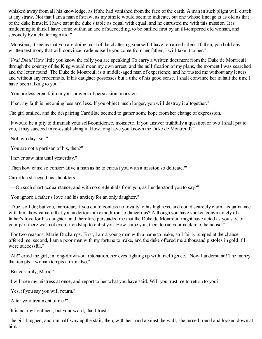whisked away from all his knowledge, as if she had vanished from the face of the earth. A man in such plight will clutch at any straw. Not that I am a man of straw, as my simile would seem to indicate, but one whose lineage is as old as that of the duke himself. I have sat at the duke's table as equal with equal, and he entrusted me with this mission. It is maddening to think I have come within an ace of succeeding, to be baffled first by an ill-tempered old woman, and secondly by a chattering maid."

"Monsieur, it seems that you are doing most of the chattering yourself. I have remained silent. If, then, you hold any written testimony that will convince mademoiselle you come from her father, I will take it to her."

"*Vrai Dieu!* How little you know the folly you are speaking! To carry a written document from the Duke de Montreuil through the country of the King would mean my own arrest, and the nullification of my plans, the moment I was searched and the letter found. The Duke de Montreuil is a middle-aged man of experience, and he trusted me without any letters and without any credentials. If his daughter possesses but a tithe of his good sense, I shall convince her in half the time I have been talking to you."

"You profess great faith in your powers of persuasion, monsieur."

"If so, my faith is becoming less and less. If you object much longer, you will destroy it altogether."

The girl smiled, and the despairing Cardillac seemed to gather some hope from her change of expression.

"It would be a pity to diminish your self-confidence, monsieur. If you answer truthfully a question or two I shall put to you, I may succeed in re-establishing it. How long have you known the Duke de Montreuil?"

"Not two days yet."

"You are not a partisan of his, then?"

"I never saw him until yesterday."

"Then how came so conservative a man as he to entrust you with a mission so delicate?"

Cardillac shrugged his shoulders.

"—On such short acquaintance, and with no credentials from you, as I understood you to say?"

"You ignore a father's love and his anxiety for an only daughter."

"True, so I do; but you, monsieur, if you could confess no loyalty to his highness, and could scarcely claim acquaintance with him, how came it that you undertook an expedition so dangerous? Although you have spoken convincingly of a father's love for his daughter, and therefore persuaded me that the Duke de Montreuil might have acted as you say, on your part there was not even friendship to enlist you. How came you, then, to run your neck into the noose?"

"For two reasons, Marie Duchamps. First, I am a young man with a name to make, so I fairly jumped at the chance offered me; second, I am a poor man with my fortune to make, and the duke offered me a thousand pistoles in gold if I were successful."

"Ah!" cried the girl, in long-drawn-out intonation, her eyes lighting up with intelligence. "Now I understand! The money that tempts a woman tempts a man also."

"But certainly, Marie."

"I will see my mistress at once, and report to her what you have said. Will you trust me to return to you?"

"Yes, if you say you will return."

"After your treatment of me?"

"It is not my treatment, but your word, that I trust."

The girl laughed, and ran half-way up the stair, then, with her hand against the wall, she turned round and looked down at him.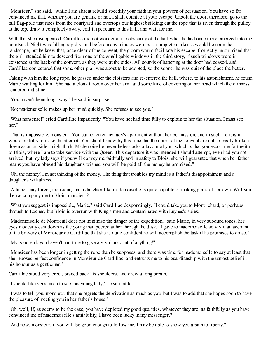"Monsieur," she said, "while I am absent rebuild speedily your faith in your powers of persuasion. You have so far convinced me that, whether you are genuine or not, I shall connive at your escape. Unbolt the door, therefore; go to the tall flag-pole that rises from the courtyard and overtops our highest building; cut the rope that is riven through the pulley at the top, draw it completely away, coil it up, return to this hall, and wait for me."

With that she disappeared. Cardillac did not wonder at the obscurity of the hall when he had once more emerged into the courtyard. Night was falling rapidly, and before many minutes were past complete darkness would be upon the landscape, but he knew that, once clear of the convent, the gloom would facilitate his escape. Correctly he surmised that the girl intended him to descend from one of the small gable windows in the third story, if such windows were in existence at the back of the convent, as they were at the sides. All sounds of battering at the door had ceased, and Cardillac conjectured that some other plan was about to be adopted, so the sooner he was quit of the place the better.

Taking with him the long rope, he passed under the cloisters and re-entered the hall, where, to his astonishment, he found Marie waiting for him. She had a cloak thrown over her arm, and some kind of covering on her head which the dimness rendered indistinct.

"You haven't been long away," he said in surprise.

"No; mademoiselle makes up her mind quickly. She refuses to see you."

"What nonsense!" cried Cardillac impatiently. "You have not had time fully to explain to her the situation. I must see her."

"That is impossible, monsieur. You cannot enter my lady's apartment without her permission, and in such a crisis it would be folly to make the attempt. You should know by this time that the doors of the convent are not so easily broken down as an outsider might think. Mademoiselle nevertheless asks a favour of you, which is that you escort me forthwith to Blois, where I am to take service with the Queen. This departure it was intended I should attempt, even had you not arrived, but my lady says if you will convey me faithfully and in safety to Blois, she will guarantee that when her father learns you have obeyed his daughter's wishes, you will be paid all the money he promised."

"Oh, the money! I'm not thinking of the money. The thing that troubles my mind is a father's disappointment and a daughter's wilfulness."

"A father may forget, monsieur, that a daughter like mademoiselle is quite capable of making plans of her own. Will you then accompany me to Blois, monsieur?"

"What you suggest is impossible, Marie," said Cardillac despondingly. "I could take you to Montrichard, or perhaps through to Loches, but Blois is overrun with King's men and contaminated with Luynes's spies."

"Mademoiselle de Montreuil does not minimise the danger of the expedition," said Marie, in very subdued tones, her eyes modestly cast down as the young man peered at her through the dusk. "I gave to mademoiselle so vivid an account of the bravery of Monsieur de Cardillac that she is quite confident he will accomplish the task if he promises to do so."

"My good girl, you haven't had time to give a vivid account of anything!"

"Monsieur has been longer in getting the rope than he supposes, and there was time for mademoiselle to say at least that she reposes perfect confidence in Monsieur de Cardillac, and entrusts me to his guardianship with the utmost belief in his honour as a gentleman."

Cardillac stood very erect, braced back his shoulders, and drew a long breath.

"I should like very much to see this young lady," he said at last.

"I was to tell you, monsieur, that she regrets the deprivation as much as you, but I was to add that she hopes soon to have the pleasure of meeting you in her father's house."

"Oh, well, if, as seems to be the case, you have depicted my good qualities, whatever they are, as faithfully as you have convinced me of mademoiselle's amiability, I have been lucky in my messenger."

"And now, monsieur, if you will be good enough to follow me, I may be able to show you a path to liberty."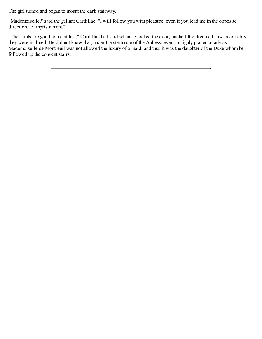The girl turned and began to mount the dark stairway.

 $\blacksquare$ 

"Mademoiselle," said the gallant Cardillac, "I will follow you with pleasure, even if you lead me in the opposite direction, to imprisonment."

"The saints are good to me at last," Cardillac had said when he locked the door, but he little dreamed how favourably they were inclined. He did not know that, under the stern rule of the Abbess, even so highly placed a lady as Mademoiselle de Montreuil was not allowed the luxury of a maid, and thus it was the daughter of the Duke whom he followed up the convent stairs.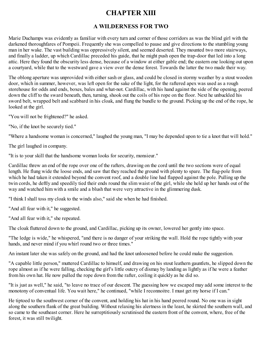# **CHAPTER XIII**

### **A WILDERNESS FOR TWO**

Marie Duchamps was evidently as familiar with every turn and corner of those corridors as was the blind girl with the darkened thoroughfares of Pompeii. Frequently she was compelled to pause and give directions to the stumbling young man in her wake. The vast building was oppressively silent, and seemed deserted. They mounted two more stairways, and finally a ladder, up which Cardillac preceded his guide, that he might push open the trap-door that led into a long attic. Here they found the obscurity less dense, because of a window at either gable end; the eastern one looking out upon a courtyard, while that to the westward gave a view over the dense forest. Towards the latter the two made their way.

The oblong aperture was unprovided with either sash or glass, and could be closed in stormy weather by a stout wooden door, which in summer, however, was left open for the sake of the light, for the raftered apex was used as a rough storehouse for odds and ends, boxes, bales and what-not. Cardillac, with his hand against the side of the opening, peered down the cliff to the sward beneath, then, turning, shook out the coils of his rope on the floor. Next he unbuckled his sword belt, wrapped belt and scabbard in his cloak, and flung the bundle to the ground. Picking up the end of the rope, he looked at the girl.

"You will not be frightened?" he asked.

"No, if the knot be securely tied."

"Where a handsome woman is concerned," laughed the young man, "I may be depended upon to tie a knot that will hold."

The girl laughed in company.

"It is to your skill that the handsome woman looks for security, monsieur."

Cardillac threw an end of the rope over one of the rafters, drawing on the cord until the two sections were of equal length. He flung wide the loose ends, and saw that they reached the ground with plenty to spare. The flag-pole from which he had taken it extended beyond the convent roof, and a double line had flapped against the pole. Pulling up the twin cords, he deftly and speedily tied their ends round the slim waist of the girl, while she held up her hands out of the way and watched him with a smile and a blush that were very attractive in the glimmering dusk.

"I think I shall toss my cloak to the winds also," said she when he had finished.

"And all fear with it," he suggested.

"And all fear with it," she repeated.

The cloak fluttered down to the ground, and Cardillac, picking up its owner, lowered her gently into space.

"The ledge is wide," he whispered, "and there is no danger of your striking the wall. Hold the rope tightly with your hands, and never mind if you whirl round two or three times."

An instant later she was safely on the ground, and had the knot unloosened before he could make the suggestion.

"A capable little person," muttered Cardillac to himself, and drawing on his stout leathern gauntlets, he slipped down the rope almost as if he were falling, checking the girl's little outcry of dismay by landing as lightly as if he were a feather from his own hat. He now pulled the rope down from the rafter, coiling it quickly as he did so.

"It is just as well," he said, "to leave no trace of our descent. The guessing how we escaped may add some interest to the monotony of conventual life. You wait here," he continued, "while I reconnoitre. I must get my horse if I can."

He tiptoed to the southwest corner of the convent, and holding his hat in his hand peered round. No one was in sight along the southern flank of the great building. Without relaxing his alertness in the least, he skirted the southern wall, and so came to the southeast corner. Here he surreptitiously scrutinised the eastern front of the convent, where, free of the forest, it was still twilight.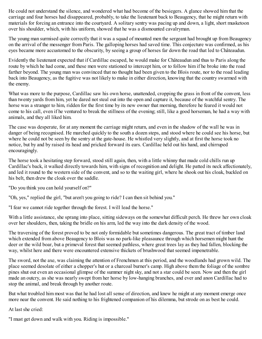He could not understand the silence, and wondered what had become of the besiegers. A glance showed him that the carriage and four horses had disappeared, probably, to take the lieutenant back to Beaugency, that he might return with materials for forcing an entrance into the courtyard. A solitary sentry was pacing up and down, a light, short musketoon over his shoulder, which, with his uniform, showed that he was a dismounted cavalryman.

The young man surmised quite correctly that it was a squad of mounted men the sergeant had brought up from Beaugency on the arrival of the messenger from Paris. The galloping horses had saved time. This conjecture was confirmed, as his eyes became more accustomed to the obscurity, by seeing a group of horses far down the road that led to Châteaudun.

Evidently the lieutenant expected that if Cardillac escaped, he would make for Châteaudun and thus to Paris along the route by which he had come, and these men were stationed to intercept him, or to follow him if he broke into the road farther beyond. The young man was convinced that no thought had been given to the Blois route, nor to the road leading back into Beaugency, as the fugitive was not likely to make in either direction, knowing that the country swarmed with the enemy.

What was more to the purpose, Cardillac saw his own horse, unattended, cropping the grass in front of the convent, less than twenty yards from him, yet he dared not steal out into the open and capture it, because of the watchful sentry. The horse was a stranger to him, ridden for the first time by its new owner that morning, therefore he feared it would not come to his call, even if he ventured to break the stillness of the evening; still, like a good horseman, he had a way with animals, and they all liked him.

The case was desperate, for at any moment the carriage might return, and even in the shadow of the wall he was in danger of being recognised. He marched quickly to the south a dozen steps, and stood where he could see his horse, but where he could not be seen by the sentry at the gate-house. He whistled very slightly, and at first the horse took no notice, but by and by raised its head and pricked forward its ears. Cardillac held out his hand, and chirruped encouragingly.

The horse took a hesitating step forward, stood still again, then, with a little whinny that made cold chills run up Cardillac's back, it walked directly towards him, with signs of recognition and delight. He patted its neck affectionately, and led it round to the western side of the convent, and so to the waiting girl, where he shook out his cloak, buckled on his belt, then drew the cloak over the saddle.

"Do you think you can hold yourself on?"

"Oh, yes," replied the girl, "but aren't you going to ride? I can then sit behind you."

"I fear we cannot ride together through the forest. I will lead the horse."

With a little assistance, she sprang into place, sitting sideways on the somewhat difficult perch. He threw her own cloak over her shoulders, then, taking the bridle on his arm, led the way into the dark density of the wood.

The traversing of the forest proved to be not only formidable but sometimes dangerous. The great tract of timber land which extended from above Beaugency to Blois was no park-like pleasaunce through which horsemen might hunt the deer or the wild boar, but a primeval forest that seemed pathless, where great trees lay as they had fallen, blocking the way, whilst here and there were encountered extensive thickets of brushwood that seemed impenetrable.

The sword, not the axe, was claiming the attention of Frenchmen at this period, and the woodlands had grown wild. The place seemed desolate of either a chopper's hut or a charcoal burner's camp. High above them the foliage of the sombre pines shut out even an occasional glimpse of the summer night sky, and not a star could be seen. Now and then the girl made an outcry, as she was nearly swept from her horse by low-hanging branches, and ever and anon Cardillac had to stop the animal, and break through by another route.

But what troubled him most was that he had lost all sense of direction, and knew he might at any moment emerge once more near the convent. He said nothing to his frightened companion of his dilemma, but strode on as best he could.

At last she cried:

"I must get down and walk with you. Riding is impossible."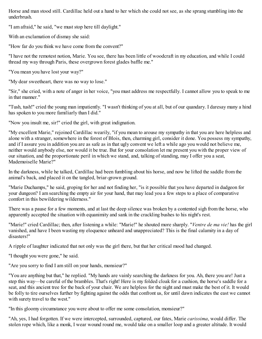Horse and man stood still. Cardillac held out a hand to her which she could not see, as she sprang stumbling into the underbrush.

"I am afraid," he said, "we must stop here till daylight."

With an exclamation of dismay she said:

"How far do you think we have come from the convent?"

"I have not the remotest notion, Marie. You see, there has been little of woodcraft in my education, and while I could thread my way through Paris, these overgrown forest glades baffle me."

"You mean you have lost your way?"

"My dear sweetheart, there was no way to lose."

"Sir," she cried, with a note of anger in her voice, "you must address me respectfully. I cannot allow you to speak to me in that manner."

"Tush, tush!" cried the young man impatiently. "I wasn't thinking of you at all, but of our quandary. I daresay many a hind has spoken to you more familiarly than I did."

"Now you insult me, sir!" cried the girl, with great indignation.

"My excellent Marie," rejoined Cardillac wearily, "if you mean to arouse my sympathy in that you are here helpless and alone with a stranger, somewhere in the forest of Blois, then, charming girl, consider it done. You possess my sympathy, and if I assure you in addition you are as safe as in that ugly convent we left a while ago you would not believe me, neither would anybody else, nor would it be true. But for your consolation let me present you with the proper view of our situation, and the proportionate peril in which we stand, and, talking of standing, may I offer you a seat, Mademoiselle Marie?"

In the darkness, while he talked, Cardillac had been fumbling about his horse, and now he lifted the saddle from the animal's back, and placed it on the tangled, briar-grown ground.

"Marie Duchamps," he said, groping for her and not finding her, "is it possible that you have departed in dudgeon for your dungeon? I am searching the empty air for your hand, that may lead you a few steps to a place of comparative comfort in this bewildering wilderness."

There was a pause for a few moments, and at last the deep silence was broken by a contented sigh from the horse, who apparently accepted the situation with equanimity and sank in the crackling bushes to his night's rest.

"Marie!" cried Cardillac; then, after listening a while: "Marie!" he shouted more sharply. "*Ventre de ma vie!* has the girl vanished, and have I been wasting my eloquence unheard and unappreciated? This is the final calamity in a day of disasters!"

A ripple of laughter indicated that not only was the girl there, but that her critical mood had changed.

"I thought you were gone," he said.

"Are you sorry to find I am still on your hands, monsieur?"

"You are anything but that," he replied. "My hands are vainly searching the darkness for you. Ah, there you are! Just a step this way—be careful of the brambles. That's right! Here is my folded cloak for a cushion, the horse's saddle for a seat, and this ancient tree for the back of your chair. We are helpless for the night and must make the best of it. It would be folly to tire ourselves further by fighting against the odds that confront us, for until dawn indicates the east we cannot with surety travel to the west."

"In this gloomy circumstance you were about to offer me some consolation, monsieur?"

"Ah, yes, I had forgotten. If we were intercepted, surrounded, captured, our fates, Marie *carissima*, would differ. The stolen rope which, like a monk, I wear wound round me, would take on a smaller loop and a greater altitude. It would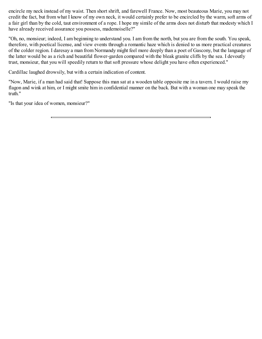encircle my neck instead of my waist. Then short shrift, and farewell France. Now, most beauteous Marie, you may not credit the fact, but from what I know of my own neck, it would certainly prefer to be encircled by the warm, soft arms of a fair girl than by the cold, taut environment of a rope. I hope my simile of the arms does not disturb that modesty which I have already received assurance you possess, mademoiselle?"

"Oh, no, monsieur; indeed, I am beginning to understand you. I am from the north, but you are from the south. You speak, therefore, with poetical license, and view events through a romantic haze which is denied to us more practical creatures of the colder region. I daresay a man from Normandy might feel more deeply than a poet of Gascony, but the language of the latter would be as a rich and beautiful flower-garden compared with the bleak granite cliffs by the sea. I devoutly trust, monsieur, that you will speedily return to that soft pressure whose delight you have often experienced."

Cardillac laughed drowsily, but with a certain indication of content.

"Now, Marie, if a man had said that! Suppose this man sat at a wooden table opposite me in a tavern. I would raise my flagon and wink at him, or I might smite him in confidential manner on the back. But with a woman one may speak the truth."

"Is that your idea of women, monsieur?"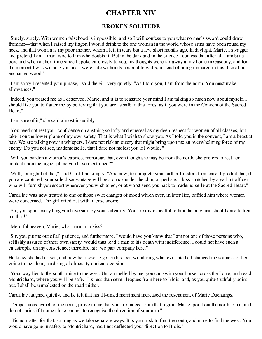## **CHAPTER XIV**

### **BROKEN SOLITUDE**

"Surely, surely. With women falsehood is impossible, and so I will confess to you what no man's sword could draw from me—that when I raised my flagon I would drink to the one woman in the world whose arms have been round my neck, and that woman is my poor mother, whom I left in tears but a few short months ago. In daylight, Marie, I swagger and pretend I am a man; woe to him who doubts it! But in the dark and in the silence I confess that after all I am but a boy, and when a short time since I spoke carelessly to you, my thoughts were far away at my home in Gascony, and for the moment I was wishing you and I were safe within its hospitable walls, instead of being immured in this dismal but enchanted wood."

"I am sorry I resented your phrase," said the girl very quietly. "As I told you, I am from the north. You must make allowances."

"Indeed, you treated me as I deserved, Marie, and it is to reassure your mind I am talking so much now about myself. I should like you to flatter me by believing that you are as safe in this forest as if you were in the Convent of the Sacred Heart<sup>"</sup>

"I am sure of it," she said almost inaudibly.

"You need not rest your confidence on anything so lofty and ethereal as my deep respect for women of all classes, but take it on the lower plane of my own safety. That is what I wish to show you. As I told you in the convent, I am a beast at bay. We are talking now in whispers. I dare not risk an outcry that might bring upon me an overwhelming force of my enemy. Do you not see, mademoiselle, that I dare not molest you if I would?"

"Will you pardon a woman's caprice, monsieur, that, even though she may be from the north, she prefers to rest her content upon the higher plane you have mentioned?"

"Well, I am glad of that," said Cardillac simply. "And now, to complete your further freedom from care, I predict that, if you are captured, your sole disadvantage will be a chuck under the chin, or perhaps a kiss snatched by a gallant officer, who will furnish you escort wherever you wish to go, or at worst send you back to mademoiselle at the Sacred Heart."

Cardillac was now treated to one of those swift changes of mood which ever, in later life, baffled him where women were concerned. The girl cried out with intense scorn:

"Sir, you spoil everything you have said by your vulgarity. You are disrespectful to hint that any man should dare to treat me thus!"

"Merciful heaven, Marie, what harm in a kiss?"

"Sir, you put me out of all patience, and furthermore, I would have you know that I am not one of those persons who, selfishly assured of their own safety, would thus lead a man to his death with indifference. I could not have such a catastrophe on my conscience; therefore, sir, we part company here."

He knew she had arisen, and now he likewise got on his feet, wondering what evil fate had changed the softness of her voice to the clear, hard ring of almost tyrannical decision.

"Your way lies to the south, mine to the west. Untrammelled by me, you can swim your horse across the Loire, and reach Montrichard, where you will be safe. 'Tis less than seven leagues from here to Blois, and, as you quite truthfully point out, I shall be unmolested on the road thither."

Cardillac laughed quietly, and he felt that his ill-timed merriment increased the resentment of Marie Duchamps.

"Tempestuous nymph of the north, prove to me that you are indeed from that region. Marie, point out the north to me, and do not shrink if I come close enough to recognise the direction of your arm."

"Tis no matter for that, so long as we take separate ways. It is your risk to find the south, and mine to find the west. You would have gone in safety to Montrichard, had I not deflected your direction to Blois."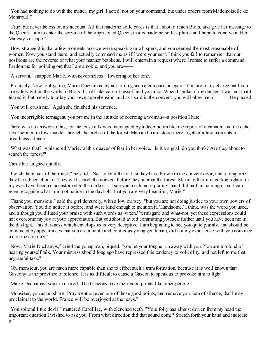"You had nothing to do with the matter, my girl. I acted, not on your command, but under orders from Mademoiselle de Montreuil."

"True; but nevertheless on my account. All that mademoiselle cares is that I should reach Blois, and give her message to the Queen. I am to enter the service of the imprisoned Queen; that is mademoiselle's plan, and I hope to connive at Her Majesty's escape."

"How strange it is that a few moments ago we were speaking in whispers, and you seemed the most reasonable of women. Now you stand there, and actually command me as if I were your serf. I think you fail to remember that our positions are the reverse of what your manner betokens. I will entertain a request where I refuse to suffer a command. Pardon me for pointing out that I am a noble, and you are——"

"A servant," snapped Marie, with nevertheless a lowering of her tone.

"Precisely. Now, oblige me, Marie Duchamps, by not forcing such a comparison again. You are in my charge until you are safely within the walls of Blois. I shall take care of myself and you also. When I spoke of my danger it was not that I feared it, but merely to allay your own apprehension, and as I said in the convent, you will obey me, or——" He paused.

"You will crush me." Again she finished his sentence.

"You incorrigible termagant, you put me in the attitude of coercing a woman—a position I hate."

There was no answer to this, for the tense talk was interrupted by a deep boom like the report of a cannon, and the echo reverberated in low thunder through the arches of the forest. Man and maid stood there together a few moments in breathless silence.

"What was that?" whispered Marie, with a quaver of fear in her voice. "Is it a signal, do you think? Are they about to search the forest?"

Cardillac laughed quietly.

"I wish them luck of their task," he said. "No. I take it that at last they have blown in the convent door, and a long time they have been about it. They will search the convent before they attempt the forest. Marie, either it is getting lighter, or my eyes have become accustomed to the darkness. I see you much more plainly than I did half an hour ago, and I can even recognise what I did not notice in the daylight, that you are very beautiful, Marie."

"Thank you, monsieur," said the girl demurely, with a low curtsey, "but you are not doing justice to your own powers of observation. You did notice it before, and were kind enough to mention it. 'Handsome,' I think, was the word you used, and although you diluted your praise with such words as 'vixen,' 'termagant' and what-not, yet these expressions could not overcome my joy at your appreciation. But you should avoid committing yourself further until you have seen me in the daylight. This darkness which envelops us is very deceptive. I am beginning to see you quite plainly, and should be convinced by appearances that you are a noble and courteous young gentleman, did not my experience with you convince me of the contrary."

"Now, Marie Duchamps," cried the young man, piqued, "you let your tongue run away with you. You are too fond of hearing yourself talk. Your mistress should long ago have repressed this tendency to volubility, and not left to me that ungrateful task."

"Oh, monsieur, you are much more capable than she to effect such a transformation, because it is well known that Gascony is the province of silence. It is as difficult to cause a Gascon to speak as to provoke him to fight."

"Marie Duchamps, you are uncivil! The Gascons have their good points like other people."

"Monsieur, you astonish me. Pray mention even one of those good points, and remove your ban of silence, that I may proclaim it to the world. France will be overjoyed at the news."

"You spiteful little devil!" muttered Cardillac, with clenched teeth. "Your folly has almost driven from my head the important question I wished to ask you. From what direction did that sound come? Stretch forth your hand and indicate it."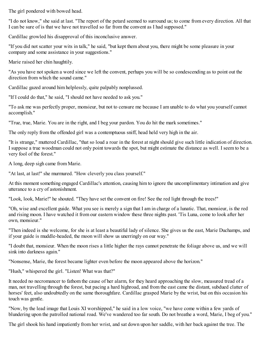The girl pondered with bowed head.

"I do not know," she said at last. "The report of the petard seemed to surround us; to come from every direction. All that I can be sure of is that we have not travelled so far from the convent as I had supposed."

Cardillac growled his disapproval of this inconclusive answer.

"If you did not scatter your wits in talk," he said, "but kept them about you, there might be some pleasure in your company and some assistance in your suggestions."

Marie raised her chin haughtily.

"As you have not spoken a word since we left the convent, perhaps you will be so condescending as to point out the direction from which the sound came."

Cardillac gazed around him helplessly, quite palpably nonplussed.

"If I could do that," he said, "I should not have needed to ask you."

"To ask me was perfectly proper, monsieur, but not to censure me because I am unable to do what you yourself cannot accomplish."

"True, true, Marie. You are in the right, and I beg your pardon. You do hit the mark sometimes."

The only reply from the offended girl was a contemptuous sniff, head held very high in the air.

"It is strange," muttered Cardillac, "that so loud a roar in the forest at night should give such little indication of direction. I suppose a true woodman could not only point towards the spot, but might estimate the distance as well. I seem to be a very fool of the forest."

A long, deep sigh came from Marie.

"At last, at last!" she murmured. "How cleverly you class yourself."

At this moment something engaged Cardillac's attention, causing him to ignore the uncomplimentary intimation and give utterance to a cry of astonishment.

"Look, look, Marie!" he shouted. "They have set the convent on fire! See the red light through the trees!"

"Oh, wise and excellent guide. What you see is merely a sign that I am in charge of a lunatic. That, monsieur, is the red and rising moon. I have watched it from our eastern window these three nights past. 'Tis Luna, come to look after her own, monsieur."

"Then indeed is she welcome, for she is at least a beautiful lady of silence. She gives us the east, Marie Duchamps, and if your guide is muddle-headed, the moon will show us unerringly on our way."

"I doubt that, monsieur. When the moon rises a little higher the rays cannot penetrate the foliage above us, and we will sink into darkness again."

"Nonsense, Marie, the forest became lighter even before the moon appeared above the horizon."

"Hush," whispered the girl. "Listen! What was that?"

It needed no necromancer to fathom the cause of her alarm, for they heard approaching the slow, measured tread of a man, not travelling through the forest, but pacing a hard highroad, and from the east came the distant, subdued clatter of horses' feet, also undoubtedly on the same thoroughfare. Cardillac grasped Marie by the wrist, but on this occasion his touch was gentle.

"Now, by the lead image that Louis XI worshipped," he said in a low voice, "we have come within a few yards of blundering upon the patrolled national road. We've wandered too far south. Do not breathe a word, Marie, I beg of you."

The girl shook his hand impatiently from her wrist, and sat down upon her saddle, with her back against the tree. The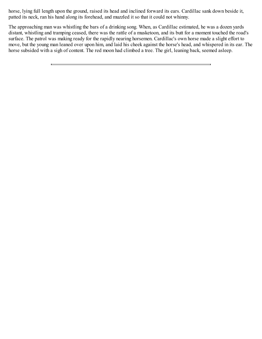horse, lying full length upon the ground, raised its head and inclined forward its ears. Cardillac sank down beside it, patted its neck, ran his hand along its forehead, and muzzled it so that it could not whinny.

The approaching man was whistling the bars of a drinking song. When, as Cardillac estimated, he was a dozen yards distant, whistling and tramping ceased, there was the rattle of a musketoon, and its butt for a moment touched the road's surface. The patrol was making ready for the rapidly nearing horsemen. Cardillac's own horse made a slight effort to move, but the young man leaned over upon him, and laid his cheek against the horse's head, and whispered in its ear. The horse subsided with a sigh of content. The red moon had climbed a tree. The girl, leaning back, seemed asleep.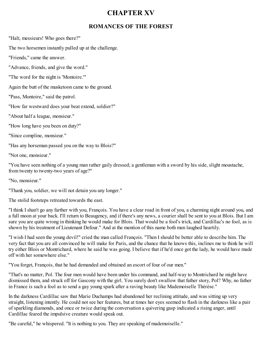### **CHAPTER XV**

#### **ROMANCES OF THE FOREST**

"Halt, messieurs! Who goes there?"

The two horsemen instantly pulled up at the challenge.

"Friends," came the answer.

"Advance, friends, and give the word."

"The word for the night is 'Montoire.'"

Again the butt of the musketoon came to the ground.

"Pass, Montoire," said the patrol.

"How far westward does your beat extend, soldier?"

"About half a league, monsieur."

"How long have you been on duty?"

"Since compline, monsieur."

"Has any horseman passed you on the way to Blois?"

"Not one, monsieur."

"You have seen nothing of a young man rather gaily dressed; a gentleman with a sword by his side, slight moustache, from twenty to twenty-two years of age?"

"No, monsieur."

"Thank you, soldier, we will not detain you any longer."

The stolid footsteps retreated towards the east.

"I think I shan't go any farther with you, François. You have a clear road in front of you, a charming night around you, and a full moon at your back. I'll return to Beaugency, and if there's any news, a courier shall be sent to you at Blois. But I am sure you are quite wrong in thinking he would make for Blois. That would be a fool's trick, and Cardillac's no fool, as is shown by his treatment of Lieutenant Defour." And at the mention of this name both men laughed heartily.

"I wish I had seen the young devil!" cried the man called François. "Then I should be better able to describe him. The very fact that you are all convinced he will make for Paris, and the chance that he knows this, inclines me to think he will try either Blois or Montrichard, where he said he was going. I believe that if he'd once got the lady, he would have made off with her somewhere else."

"You forget, François, that he had demanded and obtained an escort of four of our men."

"That's no matter, Pol. The four men would have been under his command, and half-way to Montrichard he might have dismissed them, and struck off for Gascony with the girl. You surely don't swallow that father story, Pol? Why, no father in France is such a fool as to send a gay young spark after a raving beauty like Mademoiselle Thérèse."

In the darkness Cardillac saw that Marie Duchamps had abandoned her reclining attitude, and was sitting up very straight, listening intently. He could not see her features, but at times her eyes seemed to flash in the darkness like a pair of sparkling diamonds, and once or twice during the conversation a quivering gasp indicated a rising anger, until Cardillac feared the impulsive creature would speak out.

"Be careful," he whispered. "It is nothing to you. They are speaking of mademoiselle."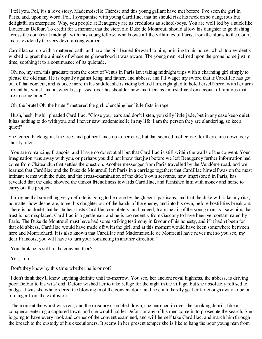"I tell you, Pol, it's a love story. Mademoiselle Thérèse and this young gallant have met before. I've seen the girl in Paris, and, upon my word, Pol, I sympathise with young Cardillac, that he should risk his neck on so dangerous but delightful an enterprise. Why, you people at Beaugency are as credulous as school-boys. You are well led by a stick like Lieutenant Defour. To credit for a moment that the stern old Duke de Montreuil should allow his daughter to go dashing across the country at midnight with this young fellow, who knows all the villainies of Paris, from the slums to the Court, and is evidently the very devil among women——"

Cardillac sat up with a muttered oath, and now the girl leaned forward to him, pointing to his horse, which too evidently wished to greet the animals of whose neighbourhood it was aware. The young man reclined upon the prone horse just in time, soothing it to a continuance of its quietude.

"Oh, no, my son, this graduate from the court of Venus in Paris isn't taking midnight trips with a charming girl simply to please the old man. He is equally against King, and father, and abbess, and I'll wager my sword that if Cardillac has got out of that convent, and is once more in his saddle, she is riding behind him, right glad to hold herself there, with her arm around his waist, and a sweet kiss passed over his shoulder now and then, as an instalment on account of raptures that are to come later."

"Oh, the brute! Oh, the brute!" muttered the girl, clenching her little fists in rage.

"Hush, hush, hush!" pleaded Cardillac. "Close your ears and don't listen, you silly little jade, but in any case keep quiet. It has nothing to do with you, and I never saw mademoiselle in my life. I am the person they are slandering, so keep quiet!"

She leaned back against the tree, and put her hands up to her ears, but that seemed ineffective, for they came down very shortly after.

"You are romancing, François, and I have no doubt at all but that Cardillac is still within the walls of the convent. Your imagination runs away with you, or perhaps you did not know that just before we left Beaugency further information had come from Châteaudun that settles the question. Another messenger from Paris travelled by the Vendôme road, and we learned that Cardillac and the Duke de Montreuil left Paris in a carriage together; that Cardillac himself was on the most intimate terms with the duke, and the cross-examination of the duke's own servants, now imprisoned in Paris, has revealed that the duke showed the utmost friendliness towards Cardillac, and furnished him with money and horse to carry out the project.

"I imagine that something very definite is going to be done by the Queen's partisans, and that the duke will take any risk, no matter how desperate, to get his daughter out of the hands of the enemy, and into his own, before hostilities break out. There is no doubt that her father trusts Cardillac completely, and indeed, from the air of the young man as I saw him, that trust is not misplaced. Cardillac is a gentleman, and he is too recently from Gascony to have been yet contaminated by Paris. The Duke de Montreuil must have had some striking testimony in favour of his honesty, and if it hadn't been for that old abbess, Cardillac would have made off with the girl, and at this moment would have been somewhere between here and Montrichard. It is also known that Cardillac and Mademoiselle de Montreuil have never met so you see, my dear François, you will have to turn your romancing in another direction."

"You think he is still in the convent, then?"

"Yes, I do."

"Don't they know by this time whether he is or not?"

"I don't think they'll know anything definite until to-morrow. You see, her ancient royal highness, the abbess, is driving poor Defour to his wits' end. Defour wished her to take refuge for the night in the village, but she absolutely refused to budge. It was she who ordered the blowing in of the convent door, and he could hardly get her far enough away to be out of danger from the explosion.

"The moment the wood was rent, and the masonry crumbled down, she marched in over the smoking debris, like a conqueror entering a captured town, and she would not let Defour or any of his men come in to prosecute the search. She is going to have every nook and corner of the convent examined, and will herself take Cardillac, and march him through the breach to the custody of his executioners. It seems in her present temper she is like to hang the poor young man from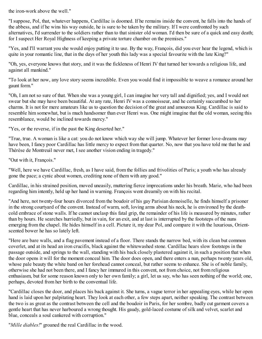the iron-work above the well."

"I suppose, Pol, that, whatever happens, Cardillac is doomed. If he remains inside the convent, he falls into the hands of the abbess, and if he wins his way outside, he is sure to be taken by the military. If I were confronted by such alternatives, I'd surrender to the soldiers rather than to that sinister old woman. I'd then be sure of a quick and easy death; for I suspect Her Royal Highness of keeping a private torture chamber on the premises."

"Yes, and I'll warrant you she would enjoy putting it to use. By the way, François, did you ever hear the legend, which is quite in your romantic line, that in the days of her youth this lady was a special favourite with the late King?"

"Oh, yes, everyone knows that story, and it was the fickleness of Henri IV that turned her towards a religious life, and against all mankind."

"To look at her now, any love story seems incredible. Even you would find it impossible to weave a romance around her gaunt form."

"Oh, I am not so sure of that. When she was a young girl, I can imagine her very tall and dignified; yes, and I would not swear but she may have been beautiful. At any rate, Henri IV was a connoisseur, and he certainly succumbed to her charms. It is not for mere amateurs like us to question the decision of the great and amourous King. Cardillac is said to resemble him somewhat, but is much handsomer than ever Henri was. One might imagine that the old woman, seeing this resemblance, would be inclined towards mercy."

"Yes, or the reverse, if in the past the King deserted her."

"True, true. A woman is like a cat: you do not know which way she will jump. Whatever her former love-dreams may have been, I fancy poor Cardillac has little mercy to expect from that quarter. No, now that you have told me that he and Thérèse de Montreuil never met, I see another vision ending in tragedy."

"Out with it, François."

"Well, here we have Cardillac, fresh, as I have said, from the follies and frivolities of Paris; a youth who has already gone the pace; a cynic about women, crediting none of them with any good."

Cardillac, in his strained position, moved uneasily, muttering fierce imprecations under his breath. Marie, who had been regarding him intently, held up her hand in warning. François went dreamily on with his recital.

"And here, not twenty-four hours divorced from the boudoir of his gay Parisian demoiselle, he finds himself a prisoner in the strong courtyard of the convent. Instead of warm, soft, loving arms about his neck, he is environed by the deathcold embrace of stone walls. If he cannot unclasp this fatal grip, the remainder of his life is measured by minutes, rather than by hours. He searches hurriedly, but in vain, for an exit, and at last is interrupted by the footsteps of the nuns emerging from the chapel. He hides himself in a cell. Picture it, my dear Pol, and compare it with the luxurious, Orientscented bower he has so lately left.

"Here are bare walls, and a flag pavement instead of a floor. There stands the narrow bed, with its clean but common coverlet, and at its head an iron crucifix, black against the whitewashed stone. Cardillac hears slow footsteps in the passage outside, and springs to the wall, standing with his back closely plastered against it, in such a position that when the door opens it will for the moment conceal him. The door does open, and there enters a nun, perhaps twenty years old, whose pale beauty the white band on her forehead cannot conceal, but rather seems to enhance. She is of noble family, otherwise she had not been there, and I fancy her immured in this convent, not from choice, not from religious enthusiasm, but for some reason known only to her own family; a girl, let us say, who has seen nothing of the world; one, perhaps, devoted from her birth to the conventual life.

"Cardillac closes the door, and places his back against it. She turns, a vague terror in her appealing eyes, while her open hand is laid upon her palpitating heart. They look at each other, a few steps apart, neither speaking. The contrast between the two is as great as the contrast between the cell and the boudoir in Paris, for her sombre, badly cut garment covers a gentle heart that has never harboured a wrong thought. His gaudy, gold-laced costume of silk and velvet, scarlet and blue, conceals a soul cankered with corruption."

"*Mille diables!*" groaned the real Cardillac in the wood.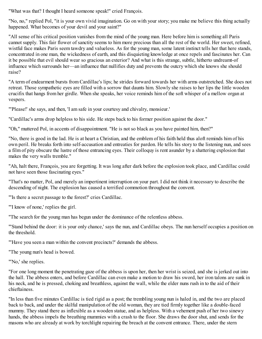"What was that? I thought I heard someone speak!" cried François.

"No, no," replied Pol, "it is your own vivid imagination. Go on with your story; you make me believe this thing actually happened. What becomes of your devil and your saint?"

"All sense of his critical position vanishes from the mind of the young man. Here before him is something all Paris cannot supply. This fair flower of sanctity seems to him more precious than all the rest of the world. Her sweet, refined, wistful face makes Paris seem tawdry and valueless. As for the young man, some latent instinct tells her that here stands, concentrated in one man, the wickedness of earth, and this disquieting knowledge at once repels and fascinates her. Can it be possible that evil should wear so gracious an exterior? And what is this strange, subtle, hitherto undreamt-of influence which surrounds her—an influence that nullifies duty and prevents the outcry which she knows she should raise?

"A term of endearment bursts from Cardillac's lips; he strides forward towards her with arms outstretched. She does not retreat. Those sympathetic eyes are filled with a sorrow that daunts him. Slowly she raises to her lips the little wooden crucifix that hangs from her girdle. When she speaks, her voice reminds him of the soft whisper of a mellow organ at vespers.

"'Please!' she says, and then, 'I am safe in your courtesy and chivalry, monsieur.'

"Cardillac's arms drop helpless to his side. He steps back to his former position against the door."

"Oh," muttered Pol, in accents of disappointment. "He is not so black as you have painted him, then?"

"No, there is good in the lad. He is at heart a Christian, and the emblem of his faith held thus aloft reminds him of his own peril. He breaks forth into self-accusation and entreaties for pardon. He tells his story to the listening nun, and sees a film of pity obscure the lustre of those entrancing eyes. Their colloquy is rent asunder by a shattering explosion that makes the very walls tremble."

"Ah, halt there, François, you are forgetting. It was long after dark before the explosion took place, and Cardillac could not have seen those fascinating eyes."

"That's no matter, Pol, and merely an impertinent interruption on your part. I did not think it necessary to describe the descending of night. The explosion has caused a terrified commotion throughout the convent.

"'Is there a secret passage to the forest?' cries Cardillac.

"'I know of none,' replies the girl.

"The search for the young man has begun under the dominance of the relentless abbess.

"'Stand behind the door: it is your only chance,' says the nun, and Cardillac obeys. The nun herself occupies a position on the threshold.

"'Have you seen a man within the convent precincts?' demands the abbess.

"The young nun's head is bowed.

"No,' she replies.

"For one long moment the penetrating gaze of the abbess is upon her, then her wrist is seized, and she is jerked out into the hall. The abbess enters, and before Cardillac can even make a motion to draw his sword, her iron talons are sunk in his neck, and he is pressed, choking and breathless, against the wall, while the elder nuns rush in to the aid of their chieftainess.

"In less than five minutes Cardillac is tied rigid as a post; the trembling young nun is haled in, and the two are placed back to back, and under the skilful manipulation of the old woman, they are tied firmly together like a double-faced mummy. They stand there as inflexible as a wooden statue, and as helpless. With a vehement push of her two sinewy hands, the abbess impels the breathing mummies with a crash to the floor. She draws the door shut, and sends for the masons who are already at work by torchlight repairing the breach at the convent entrance. There, under the stern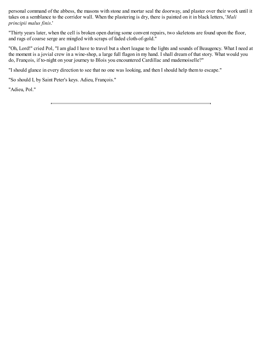personal command of the abbess, the masons with stone and mortar seal the doorway, and plaster over their work until it takes on a semblance to the corridor wall. When the plastering is dry, there is painted on it in black letters, '*Mali principii malus finis*.'

"Thirty years later, when the cell is broken open during some convent repairs, two skeletons are found upon the floor, and rags of coarse serge are mingled with scraps of faded cloth-of-gold."

"Oh, Lord!" cried Pol, "I am glad I have to travel but a short league to the lights and sounds of Beaugency. What I need at the moment is a jovial crew in a wine-shop, a large full flagon in my hand. I shall dream of that story. What would you do, François, if to-night on your journey to Blois you encountered Cardillac and mademoiselle?"

"I should glance in every direction to see that no one was looking, and then I should help them to escape."

"So should I, by Saint Peter's keys. Adieu, François."

"Adieu, Pol."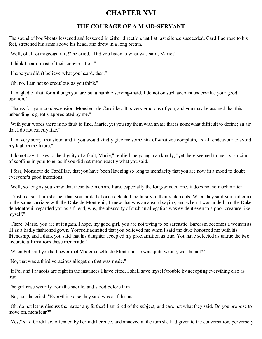## **CHAPTER XVI**

### **THE COURAGE OF A MAID-SERVANT**

The sound of hoof-beats lessened and lessened in either direction, until at last silence succeeded. Cardillac rose to his feet, stretched his arms above his head, and drew in a long breath.

"Well, of all outrageous liars!" he cried. "Did you listen to what was said, Marie?"

"I think I heard most of their conversation."

"I hope you didn't believe what you heard, then."

"Oh, no. I am not so credulous as you think."

"I am glad of that, for although you are but a humble serving-maid, I do not on such account undervalue your good opinion."

"Thanks for your condescension, Monsieur de Cardillac. It is very gracious of you, and you may be assured that this unbending is greatly appreciated by me."

"With your words there is no fault to find, Marie, yet you say them with an air that is somewhat difficult to define; an air that I do not exactly like."

"I am very sorry, monsieur, and if you would kindly give me some hint of what you complain, I shall endeavour to avoid my fault in the future."

"I do not say it rises to the dignity of a fault, Marie," replied the young man kindly, "yet there seemed to me a suspicion of scoffing in your tone, as if you did not mean exactly what you said."

"I fear, Monsieur de Cardillac, that you have been listening so long to mendacity that you are now in a mood to doubt everyone's good intentions."

"Well, so long as you know that these two men are liars, especially the long-winded one, it does not so much matter."

"Trust me, sir, I am sharper than you think. I at once detected the falsity of their statements. When they said you had come in the same carriage with the Duke de Montreuil, I knew that was an absurd saying, and when it was added that the Duke de Montreuil regarded you as a friend, why, the absurdity of such an allegation was evident even to a poor creature like myself."

"There, Marie, you are at it again. I hope, my good girl, you are not trying to be sarcastic. Sarcasm becomes a woman as ill as a badly fashioned gown. Yourself admitted that you believed me when I said the duke honoured me with his friendship, and I think you said that his daughter accepted my proclamation as true. You have selected as untrue the two accurate affirmations these men made."

"When Pol said you had never met Mademoiselle de Montreuil he was quite wrong, was he not?"

"No, that was a third veracious allegation that was made."

"If Pol and François are right in the instances I have cited, I shall save myself trouble by accepting everything else as true."

The girl rose wearily from the saddle, and stood before him.

"No, no," he cried. "Everything else they said was as false as——"

"Oh, do not let us discuss the matter any further! I am tired of the subject, and care not what they said. Do you propose to move on, monsieur?"

"Yes," said Cardillac, offended by her indifference, and annoyed at the turn she had given to the conversation, perversely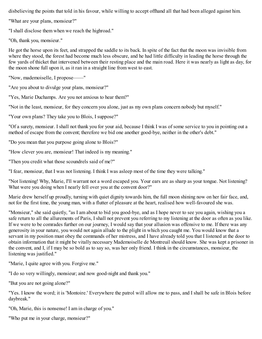disbelieving the points that told in his favour, while willing to accept offhand all that had been alleged against him.

"What are your plans, monsieur?"

"I shall disclose them when we reach the highroad."

"Oh, thank you, monsieur."

He got the horse upon its feet, and strapped the saddle to its back. In spite of the fact that the moon was invisible from where they stood, the forest had become much less obscure, and he had little difficulty in leading the horse through the few yards of thicket that intervened between their resting place and the main road. Here it was nearly as light as day, for the moon shone full upon it, as it ran in a straight line from west to east.

"Now, mademoiselle, I propose——"

"Are you about to divulge your plans, monsieur?"

"Yes, Marie Duchamps. Are you not anxious to hear them?"

"Not in the least, monsieur, for they concern you alone, just as my own plans concern nobody but myself."

"Your own plans? They take you to Blois, I suppose?"

"Of a surety, monsieur. I shall not thank you for your aid, because I think I was of some service to you in pointing out a method of escape from the convent; therefore we bid one another good-bye, neither in the other's debt."

"Do you mean that you purpose going alone to Blois?"

"How clever you are, monsieur! That indeed is my meaning."

"Then you credit what those scoundrels said of me?"

"I fear, monsieur, that I was not listening. I think I was asleep most of the time they were talking."

"Not listening! Why, Marie, I'll warrant not a word escaped you. Your ears are as sharp as your tongue. Not listening? What were you doing when I nearly fell over you at the convent door?"

Marie drew herself up proudly, turning with quiet dignity towards him, the full moon shining now on her fair face, and, not for the first time, the young man, with a flutter of pleasure at the heart, realised how well-favoured she was.

"Monsieur," she said quietly, "as I am about to bid you good-bye, and as I hope never to see you again, wishing you a safe return to all the allurements of Paris, I shall not prevent you referring to my listening at the door as often as you like. If we were to be comrades further on our journey, I would say that your allusion was offensive to me. If there was any generosity in your nature, you would not again allude to the plight in which you caught me. You would know that a servant in my position must obey the commands of her mistress, and I have already told you that I listened at the door to obtain information that it might be vitally necessary Mademoiselle de Montreuil should know. She was kept a prisoner in the convent, and I, if I may be so bold as to say so, was her only friend. I think in the circumstances, monsieur, the listening was justified."

"Marie, I quite agree with you. Forgive me."

"I do so very willingly, monsieur; and now good-night and thank you."

"But you are not going alone?"

"Yes. I know the word; it is 'Montoire.' Everywhere the patrol will allow me to pass, and I shall be safe in Blois before daybreak."

"Oh, Marie, this is nonsense! I am in charge of you."

"Who put me in your charge, monsieur?"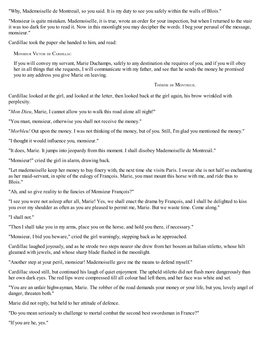"Why, Mademoiselle de Montreuil, so you said. It is my duty to see you safely within the walls of Blois."

"Monsieur is quite mistaken. Mademoiselle, it is true, wrote an order for your inspection, but when I returned to the stair it was too dark for you to read it. Now in this moonlight you may decipher the words. I beg your perusal of the message, monsieur."

Cardillac took the paper she handed to him, and read:

MONSIEUR VICTOR DE CARDILLAC:

If you will convey my servant, Marie Duchamps, safely to any destination she requires of you, and if you will obey her in all things that she requests, I will communicate with my father, and see that he sends the money he promised you to any address you give Marie on leaving.

THÉRÈSE DE MONTREUIL.

Cardillac looked at the girl, and looked at the letter, then looked back at the girl again, his brow wrinkled with perplexity.

"*Mon Dieu*, Marie, I cannot allow you to walk this road alone all night!"

"You must, monsieur, otherwise you shall not receive the money."

"*Morbleu!* Out upon the money. I was not thinking of the money, but of you. Still, I'm glad you mentioned the money."

"I thought it would influence you, monsieur."

"It does, Marie. It jumps into jeopardy from this moment. I shall disobey Mademoiselle de Montreuil."

"Monsieur!" cried the girl in alarm, drawing back.

"Let mademoiselle keep her money to buy finery with, the next time she visits Paris. I swear she is not half so enchanting as her maid-servant, in spite of the eulogy of François. Marie, you must mount this horse with me, and ride thus to Blois."

"Ah, and so give reality to the fancies of Monsieur François?"

"I see you were not asleep after all, Marie! Yes, we shall enact the drama by François, and I shall be delighted to kiss you over my shoulder as often as you are pleased to permit me, Marie. But we waste time. Come along."

"I shall not."

"Then I shall take you in my arms, place you on the horse, and hold you there, if necessary."

"Monsieur, I bid you beware," cried the girl warningly, stepping back as he approached.

Cardillac laughed joyously, and as he strode two steps nearer she drew from her bosom an Italian stiletto, whose hilt gleamed with jewels, and whose sharp blade flashed in the moonlight.

"Another step at your peril, monsieur! Mademoiselle gave me the means to defend myself."

Cardillac stood still, but continued his laugh of quiet enjoyment. The upheld stiletto did not flash more dangerously than her own dark eyes. The red lips were compressed till all colour had left them, and her face was white and set.

"You are an unfair highwayman, Marie. The robber of the road demands your money or your life, but you, lovely angel of danger, threaten both."

Marie did not reply, but held to her attitude of defence.

"Do you mean seriously to challenge to mortal combat the second best swordsman in France?"

"If you are he, yes."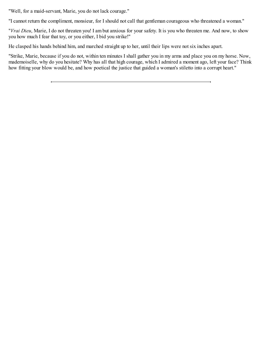"Well, for a maid-servant, Marie, you do not lack courage."

"I cannot return the compliment, monsieur, for I should not call that gentleman courageous who threatened a woman."

"*Vrai Dieu*, Marie, I do not threaten you! I am but anxious for your safety. It is you who threaten me. And now, to show you how much I fear that toy, or you either, I bid you strike!"

He clasped his hands behind him, and marched straight up to her, until their lips were not six inches apart.

"Strike, Marie, because if you do not, within ten minutes I shall gather you in my arms and place you on my horse. Now, mademoiselle, why do you hesitate? Why has all that high courage, which I admired a moment ago, left your face? Think how fitting your blow would be, and how poetical the justice that guided a woman's stiletto into a corrupt heart."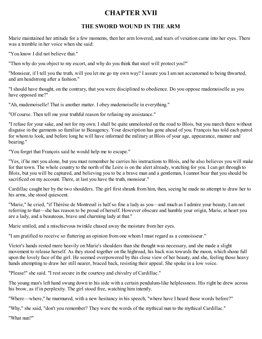### **CHAPTER XVII**

#### **THE SWORD WOUND IN THE ARM**

Marie maintained her attitude for a few moments, then her arm lowered, and tears of vexation came into her eyes. There was a tremble in her voice when she said:

"You know I did not believe that."

"Then why do you object to my escort, and why do you think that steel will protect you?"

"Monsieur, if I tell you the truth, will you let me go my own way? I assure you I am not accustomed to being thwarted, and am headstrong after a fashion."

"I should have thought, on the contrary, that you were disciplined to obedience. Do you oppose mademoiselle as you have opposed me?"

"Ah, mademoiselle! That is another matter. I obey mademoiselle in everything."

"Of course. Then tell me your truthful reason for refusing my assistance."

"I refuse for your sake, and not for my own. I shall be quite unmolested on the road to Blois, but you march there without disguise in the garments so familiar to Beaugency. Your description has gone ahead of you. François has told each patrol for whom to look, and before long he will have informed the military at Blois of your age, appearance, manner and bearing."

"You forget that François said he would help me to escape."

"Yes, if he met you alone, but you must remember he carries his instructions to Blois, and he also believes you will make for that town. The whole country to the north of the Loire is on the alert already, watching for you. I can get through to Blois, but you will be captured, and believing you to be a brave man and a gentleman, I cannot bear that you should be sacrificed on my account. There, at last you have the truth, monsieur."

Cardillac caught her by the two shoulders. The girl first shrank from him, then, seeing he made no attempt to draw her to his arms, she stood quiescent.

"Marie," he cried, "if Thérèse de Montreuil is half so fine a lady as you—and much as I admire your beauty, I am not referring to that—she has reason to be proud of herself. However obscure and humble your origin, Marie, at heart you are a lady, and a beauteous, brave and charming lady at that."

Marie smiled, and a mischievous twinkle chased away the moisture from her eyes.

"I am gratified to receive so flattering an opinion from one whom I must regard as a connoisseur."

Victor's hands rested more heavily on Marie's shoulders than she thought was necessary, and she made a slight movement to release herself. As they stood together on the highroad, his back was towards the moon, which shone full upon the lovely face of the girl. He seemed overpowered by this close view of her beauty, and she, feeling those heavy hands attempting to draw her still nearer, braced back, resisting their appeal. She spoke in a low voice.

"Please!" she said. "I rest secure in the courtesy and chivalry of Cardillac."

The young man's left hand swung down to his side with a certain pendulum-like helplessness. His right he drew across his brow, as if in perplexity. The girl stood free, watching him intently.

"Where—where," he murmured, with a new hesitancy in his speech, "where have I heard those words before?"

"Why," she said, "don't you remember? They were the words of the mythical nun to the mythical Cardillac."

"What nun?"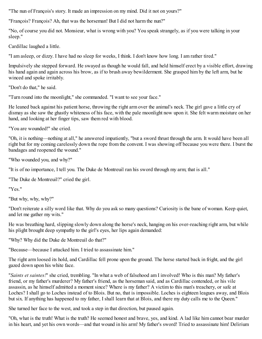"The nun of François's story. It made an impression on my mind. Did it not on yours?"

"François? François? Ah, that was the horseman! But I did not harm the nun?"

"No, of course you did not. Monsieur, what is wrong with you? You speak strangely, as if you were talking in your sleep."

Cardillac laughed a little.

"I am asleep, or dizzy. I have had no sleep for weeks, I think. I don't know how long. I am rather tired."

Impulsively she stepped forward. He swayed as though he would fall, and held himself erect by a visible effort, drawing his hand again and again across his brow, as if to brush away bewilderment. She grasped him by the left arm, but he winced and spoke irritably.

"Don't do that," he said.

"Turn round into the moonlight," she commanded. "I want to see your face."

He leaned back against his patient horse, throwing the right arm over the animal's neck. The girl gave a little cry of dismay as she saw the ghastly whiteness of his face, with the pale moonlight now upon it. She felt warm moisture on her hand, and looking at her finger tips, saw them red with blood.

"You are wounded!" she cried.

"Oh, it is nothing—nothing at all," he answered impatiently, "but a sword thrust through the arm. It would have been all right but for my coming carelessly down the rope from the convent. I was showing off because you were there. I burst the bandages and reopened the wound."

"Who wounded you, and why?"

"It is of no importance, I tell you. The Duke de Montreuil ran his sword through my arm; that is all."

"The Duke de Montreuil?" cried the girl.

"Yes."

"But why, why, why?"

"Don't reiterate a silly word like that. Why do you ask so many questions? Curiosity is the bane of woman. Keep quiet, and let me gather my wits."

He was breathing hard, slipping slowly down along the horse's neck, hanging on his over-reaching right arm, but while his plight brought deep sympathy to the girl's eyes, her lips again demanded:

"Why? Why did the Duke de Montreuil do that?"

"Because—because I attacked him. I tried to assassinate him."

The right arm loosed its hold, and Cardillac fell prone upon the ground. The horse started back in fright, and the girl gazed down upon his white face.

"*Saints et saintes!*" she cried, trembling. "In what a web of falsehood am I involved! Who is this man? My father's friend, or my father's murderer? My father's friend, as the horseman said, and as Cardillac contended, or his vile assassin, as he himself admitted a moment since? Where is my father? A victim to this man's treachery, or safe at Loches? I shall go to Loches instead of to Blois. But no, that is impossible. Loches is eighteen leagues away, and Blois but six. If anything has happened to my father, I shall learn that at Blois, and there my duty calls me to the Queen."

She turned her face to the west, and took a step in that direction, but paused again.

"Oh, what is the truth! What is the truth? He seemed honest and brave, yes, and kind. A lad like him cannot bear murder in his heart, and yet his own words—and that wound in his arm! My father's sword! Tried to assassinate him! Delirium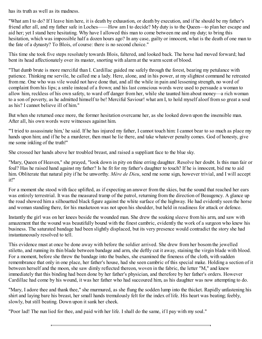has its truth as well as its madness.

"What am I to do? If I leave him here, it is death by exhaustion, or death by execution, and if he should be my father's friend after all, and my father safe in Loches——How am I to decide? My duty is to the Queen—to plan her escape and aid her; yet I stand here hesitating. Why have I allowed this man to come between me and my duty; to bring this hesitation, which was impossible half a dozen hours ago? In any case, guilty or innocent, what is the death of one man to the fate of a dynasty? To Blois, of course: there is no second choice."

This time she took five steps resolutely towards Blois, faltered, and looked back. The horse had moved forward; had bent its head affectionately over its master, snorting with alarm at the warm scent of blood.

"That dumb brute is more merciful than I. Cardillac guided me safely through the forest, bearing my petulance with patience. Thinking me servile, he called me a lady. Here, alone, and in his power, at my slightest command he retreated from me. One who was vile would not have done that, and all the while in pain and lessening strength, no word of complaint from his lips; a smile instead of a frown; and his last conscious words were used to persuade a woman to allow him, reckless of his own safety, to ward off danger from her, while she taunted him about money—a rich woman to a son of poverty, as he admitted himself to be! Merciful Saviour! what am I, to hold myself aloof from so great a soul as his? I cannot believe ill of him."

But when she returned once more, the former hesitation overcame her, as she looked down upon the insensible man. After all, his own words were witnesses against him.

"'I tried to assassinate him,' he said. If he has injured my father, I cannot touch him: I cannot bear to so much as place my hands upon him; and if he be a murderer, then must he lie there, and take whatever penalty comes. God of honesty, give me some inkling of the truth!"

She crossed her hands above her troubled breast, and raised a suppliant face to the blue sky.

"Mary, Queen of Heaven," she prayed, "look down in pity on thine erring daughter. Resolve her doubt. Is this man fair or foul? Has he raised hand against my father? Is he fit for my father's daughter to touch? If he is innocent, bid me to aid him. Obliterate that natural pity if he be unworthy. *Mère de Dieu*, send me some sign, however trivial, and I will accept it!"

For a moment she stood with face uplifted, as if expecting an answer from the skies, but the sound that reached her ears was entirely terrestrial. It was the measured tramp of the patrol, returning from the direction of Beaugency. A glance up the road showed him a silhouetted black figure against the white surface of the highway. He had evidently seen the horse and woman standing there, for his musketoon was not upon his shoulder, but held in readiness for attack or defence.

Instantly the girl was on her knees beside the wounded man. She drew the soaking sleeve from his arm, and saw with amazement that the wound was beautifully bound with the finest cambric, evidently the work of a surgeon who knew his business. The saturated bandage had been slightly displaced, but its very presence would contradict the story she had instantaneously resolved to tell.

This evidence must at once be done away with before the soldier arrived. She drew from her bosom the jewelled stiletto, and running its thin blade between bandage and arm, she deftly cut it away, staining the virgin blade with blood. For a moment, before she threw the bandage into the bushes, she examined the fineness of the cloth, with sudden remembrance that only in one place, her father's house, had she seen cambric of this special make. Holding a section of it between herself and the moon, she saw dimly reflected thereon, woven in the fabric, the letter "M," and knew immediately that this binding had been done by her father's physician, and therefore by her father's orders. However Cardillac had come by his wound, it was her father who had succoured him, as his daughter was now attempting to do.

"Mary, I adore thee and thank thee," she murmured, as she flung the sodden lump into the thicket. Rapidly unfastening his shirt and laying bare his breast, her small hands tremulously felt for the index of life. His heart was beating; feebly, slowly, but still beating. Down upon it sank her cheek.

"Poor lad! The nun lied for thee, and paid with her life. I shall do the same, if I pay with my soul."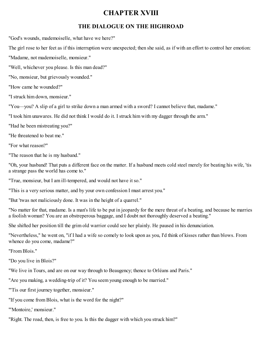### **CHAPTER XVIII**

#### **THE DIALOGUE ON THE HIGHROAD**

"God's wounds, mademoiselle, what have we here?"

The girl rose to her feet as if this interruption were unexpected; then she said, as if with an effort to control her emotion:

"Madame, not mademoiselle, monsieur."

"Well, whichever you please. Is this man dead?"

"No, monsieur, but grievously wounded."

"How came he wounded?"

"I struck him down, monsieur."

"You—you? A slip of a girl to strike down a man armed with a sword? I cannot believe that, madame."

"I took him unawares. He did not think I would do it. I struck him with my dagger through the arm."

"Had he been mistreating you?"

"He threatened to beat me."

"For what reason?"

"The reason that he is my husband."

"Oh, your husband! That puts a different face on the matter. If a husband meets cold steel merely for beating his wife, 'tis a strange pass the world has come to."

"True, monsieur, but I am ill-tempered, and would not have it so."

"This is a very serious matter, and by your own confession I must arrest you."

"But 'twas not maliciously done. It was in the height of a quarrel."

"No matter for that, madame. Is a man's life to be put in jeopardy for the mere threat of a beating, and because he marries a foolish woman? You are an obstreperous baggage, and I doubt not thoroughly deserved a beating."

She shifted her position till the grim old warrior could see her plainly. He paused in his denunciation.

"Nevertheless," he went on, "if I had a wife so comely to look upon as you, I'd think of kisses rather than blows. From whence do you come, madame?"

"From Blois."

"Do you live in Blois?"

"We live in Tours, and are on our way through to Beaugency; thence to Orléans and Paris."

"Are you making, a wedding-trip of it? You seem young enough to be married."

"'Tis our first journey together, monsieur."

"If you come from Blois, what is the word for the night?"

"'Montoire,' monsieur."

"Right. The road, then, is free to you. Is this the dagger with which you struck him?"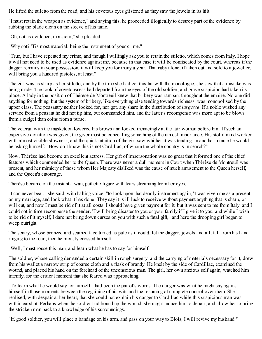He lifted the stiletto from the road, and his covetous eyes glistened as they saw the jewels in its hilt.

"I must retain the weapon as evidence," and saying this, he proceeded illogically to destroy part of the evidence by rubbing the blade clean on the sleeve of his tunic.

"Oh, not as evidence, monsieur," she pleaded.

"Why not? 'Tis most material, being the instrument of your crime."

"True, but I have repented my crime, and though I willingly ask you to retain the stiletto, which comes from Italy, I hope it will not need to be used as evidence against me, because in that case it will be confiscated by the court, whereas if the dagger remains in your possession, it will keep you for many a year. That ruby alone, if taken out and sold to a jeweller, will bring you a hundred pistoles, at least."

The girl was as sharp as her stiletto, and by the time she had got this far with the monologue, she saw that a mistake was being made. The look of covetousness had departed from the eyes of the old soldier, and grave suspicion had taken its place. A lady in the position of Thérèse de Montreuil knew that bribery was rampant throughout the empire. No one did anything for nothing, but the system of bribery, like everything else tending towards richness, was monopolised by the upper class. The peasantry neither looked for, nor got, any share in the distribution of *largesse*. If a noble wished any service from a peasant he did not tip him, but commanded him, and the latter's recompense was more apt to be blows from a cudgel than coins from a purse.

The veteran with the musketoon lowered his brows and looked menacingly at the fair woman before him. If such an expensive donation was given, the giver must be concealing something of the utmost importance. His stolid mind worked with almost visible slowness, and the quick intuition of the girl saw whither it was tending. In another minute he would be asking himself: "How do I know this is not Cardillac, of whom the whole country is in search?"

Now, Thérèse had become an excellent actress. Her gift of impersonation was so great that it formed one of the chief features which commended her to the Queen. There was never a dull moment in Court when Thérèse de Montreuil was present, and her mimicry of those whom Her Majesty disliked was the cause of much amusement to the Queen herself, and the Queen's entourage.

Thérèse became on the instant a wan, pathetic figure with tears streaming from her eyes.

"I can never bear," she said, with halting voice, "to look upon that deadly instrument again, 'Twas given me as a present on my marriage, and look what it has done! They say it is ill luck to receive without payment anything that is sharp, or will cut, and now I must be rid of it at all costs. I should have given payment for it, but it was sent to me from Italy, and I could not in time recompense the sender. 'Twill bring disaster to you or your family if I give it to you, and while I wish to be rid of it myself, I dare not bring down curses on you with such a fatal gift," and here the drooping girl began to weep outright.

The sentry, whose bronzed and seamed face turned as pale as it could, let the dagger, jewels and all, fall from his hand ringing to the road, then he piously crossed himself.

"Well, I must rouse this man, and learn what he has to say for himself."

The soldier, whose calling demanded a certain skill in rough surgery, and the carrying of materials necessary for it, drew from his wallet a narrow strip of coarse cloth and a flask of brandy. He knelt by the side of Cardillac, examined the wound, and placed his hand on the forehead of the unconscious man. The girl, her own anxious self again, watched him intently, for the critical moment that she feared was approaching.

"To learn what he would say for himself," had been the patrol's words. The danger was what he might say against himself in those moments between the regaining of his wits and the resuming of complete control over them. She realised, with despair at her heart, that she could not explain his danger to Cardillac while this suspicious man was within earshot. Perhaps when the soldier had bound up the wound, she might induce him to depart, and allow her to bring the stricken man back to a knowledge of his surroundings.

"If, good soldier, you will place a bandage on his arm, and pass on your way to Blois, I will revive my husband."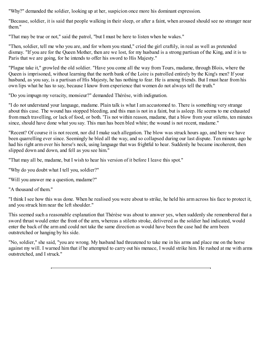"Why?" demanded the soldier, looking up at her, suspicion once more his dominant expression.

"Because, soldier, it is said that people walking in their sleep, or after a faint, when aroused should see no stranger near them"

"That may be true or not," said the patrol, "but I must be here to listen when he wakes."

"Then, soldier, tell me who you are, and for whom you stand," cried the girl craftily, in real as well as pretended dismay. "If you are for the Queen Mother, then are we lost, for my husband is a strong partisan of the King, and it is to Paris that we are going, for he intends to offer his sword to His Majesty."

"Plague take it," growled the old soldier. "Have you come all the way from Tours, madame, through Blois, where the Queen is imprisoned, without learning that the north bank of the Loire is patrolled entirely by the King's men? If your husband, as you say, is a partisan of His Majesty, he has nothing to fear. He is among friends. But I must hear from his own lips what he has to say, because I know from experience that women do not always tell the truth."

"Do you impugn my veracity, monsieur?" demanded Thérèse, with indignation.

"I do not understand your language, madame. Plain talk is what I am accustomed to. There is something very strange about this case. The wound has stopped bleeding, and this man is not in a faint, but is asleep. He seems to me exhausted from much travelling, or lack of food, or both. 'Tis not within reason, madame, that a blow from your stiletto, ten minutes since, should have done what you say. This man has been bled white; the wound is not recent, madame."

"Recent? Of course it is not recent, nor did I make such allegation. The blow was struck hours ago, and here we have been quarrelling ever since. Seemingly he bled all the way, and so collapsed during our last dispute. Ten minutes ago he had his right arm over his horse's neck, using language that was frightful to hear. Suddenly he became incoherent, then slipped down and down, and fell as you see him."

"That may all be, madame, but I wish to hear his version of it before I leave this spot."

- "Why do you doubt what I tell you, soldier?"
- "Will you answer me a question, madame?"
- "A thousand of them."

"I think I see how this was done. When he realised you were about to strike, he held his arm across his face to protect it, and you struck him near the left shoulder."

This seemed such a reasonable explanation that Thérèse was about to answer yes, when suddenly she remembered that a sword thrust would enter the front of the arm, whereas a stiletto stroke, delivered as the soldier had indicated, would enter the back of the arm and could not take the same direction as would have been the case had the arm been outstretched or hanging by his side.

"No, soldier," she said, "you are wrong. My husband had threatened to take me in his arms and place me on the horse against my will. I warned him that if he attempted to carry out his menace, I would strike him. He rushed at me with arms outstretched, and I struck."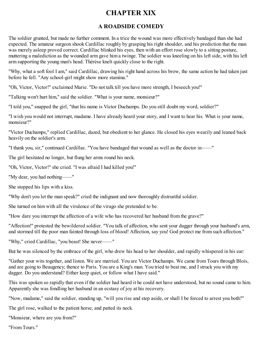# **CHAPTER XIX**

### **A ROADSIDE COMEDY**

The soldier grunted, but made no further comment. In a trice the wound was more effectively bandaged than she had expected. The amateur surgeon shook Cardillac roughly by grasping his right shoulder, and his prediction that the man was merely asleep proved correct. Cardillac blinked his eyes, then with an effort rose slowly to a sitting posture, muttering a malediction as the wounded arm gave him a twinge. The soldier was kneeling on his left side, with his left arm supporting the young man's head. Thérèse knelt quickly close to the right.

"Why, what a soft fool I am," said Cardillac, drawing his right hand across his brow, the same action he had taken just before he fell. "Any school-girl might show more stamina."

"Oh, Victor, Victor!" exclaimed Marie. "Do not talk till you have more strength, I beseech you!"

"Talking won't hurt him," said the soldier. "What is your name, monsieur?"

"I told you," snapped the girl, "that his name is Victor Duchamps. Do you still doubt my word, soldier?"

"I wish you would not interrupt, madame. I have already heard your story, and I want to hear his. What is your name, monsieur?"

"Victor Duchamps," replied Cardillac, dazed, but obedient to her glance. He closed his eyes wearily and leaned back heavily on the soldier's arm.

"I thank you, sir," continued Cardillac. "You have bandaged that wound as well as the doctor in——"

The girl hesitated no longer, but flung her arms round his neck.

"Oh, Victor, Victor!" she cried. "I was afraid I had killed you!"

"My dear, you had nothing——"

She stopped his lips with a kiss.

"Why don't you let the man speak?" cried the indignant and now thoroughly distrustful soldier.

She turned on him with all the virulence of the virago she pretended to be.

"How dare you interrupt the affection of a wife who has recovered her husband from the grave?"

"Affection!" protested the bewildered soldier. "You talk of affection, who sent your dagger through your husband's arm, and stormed till the poor man fainted through loss of blood! Affection, say you! God protect me from such affection."

"Why," cried Cardillac, "you beast! She never——"

But he was silenced by the embrace of the girl, who drew his head to her shoulder, and rapidly whispered in his ear:

"Gather your wits together, and listen. We are married. You are Victor Duchamps. We came from Tours through Blois, and are going to Beaugency; thence to Paris. You are a King's man. You tried to beat me, and I struck you with my dagger. Do you understand? Either keep quiet, or follow what I have said."

This was spoken so rapidly that even if the soldier had heard it he could not have understood, but no sound came to him. Apparently she was fondling her husband in an ecstasy of joy at his recovery.

"Now, madame," said the soldier, standing up, "will you rise and step aside, or shall I be forced to arrest you both?"

The girl rose, walked to the patient horse, and patted its neck.

"Monsieur, where are you from?"

"From Tours."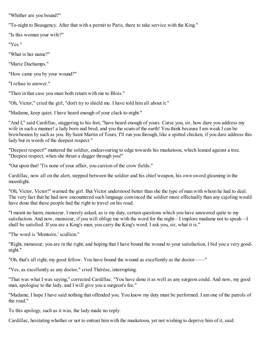"Whither are you bound?"

"To-night to Beaugency. After that with a permit to Paris, there to take service with the King."

"Is this woman your wife?"

"Yes."

"What is her name?"

"Marie Duchamps."

"How came you by your wound?"

"I refuse to answer."

"Then in that case you must both return with me to Blois."

"Oh, Victor," cried the girl, "don't try to shield me. I have told him all about it."

"Madame, keep quiet. I have heard enough of your clack to-night."

"And I," said Cardillac, staggering to his feet, "have heard enough of yours. Curse you, sir, how dare you address my wife in such a manner! a lady born and bred, and you the scum of the earth! You think because I am weak I can be browbeaten by such as you. By Saint Martin of Tours, I'll run you through, like a spitted chicken, if you dare address this lady but in words of the deepest respect."

"Deepest respect!" muttered the soldier, endeavouring to edge towards his musketoon, which leaned against a tree. "Deepest respect, when she thrust a dagger through you!"

"Out upon that! 'Tis none of your affair, you carrion of the crow fields."

Cardillac, now all on the alert, stepped between the soldier and his chief weapon, his own sword gleaming in the moonlight.

"Oh, Victor, Victor!" warned the girl. But Victor understood better than she the type of man with whom he had to deal. The very fact that he had now encountered such language convinced the soldier more effectually than any cajoling would have done that these people had the right to travel on his road.

"I meant no harm, monsieur. I merely asked, as is my duty, certain questions which you have answered quite to my satisfaction. And now, monsieur, if you will oblige me with the word for the night—I implore madame not to speak—I shall be satisfied. If you are a King's man, you carry the King's word. I ask you, sir, what it is."

"The word is 'Montoire,' scullion."

"Right, monsieur, you are in the right; and hoping that I have bound the wound to your satisfaction, I bid you a very goodnight."

"Oh, that's all right, my good fellow. You have bound the wound as excellently as the doctor——"

"Yes, as excellently as any doctor," cried Thérèse, interrupting.

"That was what I was saying," corrected Cardillac. "You have done it as well as any surgeon could. And now, my good man, apologise to the lady, and I will give you a surgeon's fee."

"Madame, I hope I have said nothing that offended you. You know my duty must be performed. I am one of the patrols of the road."

To this apology, such as it was, the lady made no reply.

Cardillac, hesitating whether or not to entrust him with the musketoon, yet not wishing to deprive him of it, said: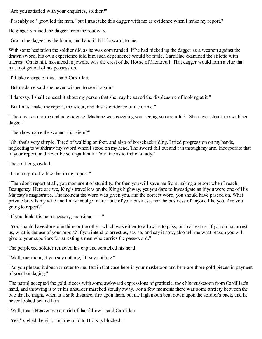"Are you satisfied with your enquiries, soldier?"

"Passably so," growled the man, "but I must take this dagger with me as evidence when I make my report."

He gingerly raised the dagger from the roadway.

"Grasp the dagger by the blade, and hand it, hilt forward, to me."

With some hesitation the soldier did as he was commanded. If he had picked up the dagger as a weapon against the drawn sword, his own experience told him such dependence would be futile. Cardillac examined the stiletto with interest. On its hilt, mosaiced in jewels, was the crest of the House of Montreuil. That dagger would form a clue that must not get out of his possession.

"I'll take charge of this," said Cardillac.

"But madame said she never wished to see it again."

"I daresay. I shall conceal it about my person that she may be saved the displeasure of looking at it."

"But I must make my report, monsieur, and this is evidence of the crime."

"There was no crime and no evidence. Madame was cozening you, seeing you are a fool. She never struck me with her dagger."

"Then how came the wound, monsieur?"

"Oh, that's very simple. Tired of walking on foot, and also of horseback riding, I tried progression on my hands, neglecting to withdraw my sword when I stood on my head. The sword fell out and ran through my arm. Incorporate that in your report, and never be so ungallant in Touraine as to indict a lady."

The soldier growled.

"I cannot put a lie like that in my report."

"Then don't report at all, you monument of stupidity, for then you will save me from making a report when I reach Beaugency. Here are we, King's travellers on the King's highway, yet you dare to investigate as if you were one of His Majesty's magistrates. The moment the word was given you, and the correct word, you should have passed on. What private brawls my wife and I may indulge in are none of your business, nor the business of anyone like you. Are you going to report?"

"If you think it is not necessary, monsieur——"

"You should have done one thing or the other, which was either to allow us to pass, or to arrest us. If you do not arrest us, what is the use of your report? If you intend to arrest us, say so, and say it now, also tell me what reason you will give to your superiors for arresting a man who carries the pass-word."

The perplexed soldier removed his cap and scratched his head.

"Well, monsieur, if you say nothing, I'll say nothing."

"As you please; it doesn't matter to me. But in that case here is your musketoon and here are three gold pieces in payment of your bandaging."

The patrol accepted the gold pieces with some awkward expressions of gratitude, took his musketoon from Cardillac's hand, and throwing it over his shoulder marched stoutly away. For a few moments there was some anxiety between the two that he might, when at a safe distance, fire upon them, but the high moon beat down upon the soldier's back, and he never looked behind him.

"Well, thank Heaven we are rid of that fellow," said Cardillac.

"Yes," sighed the girl, "but my road to Blois is blocked."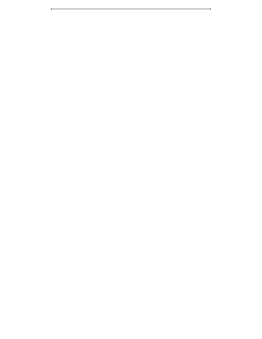$\equiv$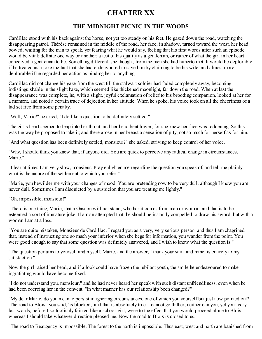# **CHAPTER XX**

#### **THE MIDNIGHT PICNIC IN THE WOODS**

Cardillac stood with his back against the horse, not yet too steady on his feet. He gazed down the road, watching the disappearing patrol. Thérèse remained in the middle of the road, her face, in shadow, turned toward the west, her head bowed, waiting for the man to speak, yet fearing what he would say, feeling that his first words after such an episode would be vital; definite one way or another; a test of his quality as a gentleman, or rather of what the girl in her heart conceived a gentleman to be. Something different, she thought, from the men she had hitherto met. It would be deplorable if he treated as a joke the fact that she had endeavoured to save him by claiming to be his wife, and almost more deplorable if he regarded her action as binding her to anything.

Cardillac did not change his gaze from the west till the stalwart soldier had faded completely away, becoming indistinguishable in the slight haze, which seemed like thickened moonlight, far down the road. When at last the disappearance was complete, he, with a slight, joyful exclamation of relief to his brooding companion, looked at her for a moment, and noted a certain trace of dejection in her attitude. When he spoke, his voice took on all the cheeriness of a lad set free from some penalty.

"Well, Marie!" he cried, "I do like a question to be definitely settled."

The girl's heart seemed to leap into her throat, and her head bent lower, for she knew her face was reddening. So this was the way he proposed to take it; and there arose in her breast a sensation of pity, not so much for herself as for him.

"And what question has been definitely settled, monsieur?" she asked, striving to keep control of her voice.

"Why, I should think you knew that, if anyone did. You are quick to perceive any radical change in circumstances, Marie."

"I fear at times I am very slow, monsieur. Pray enlighten me regarding the question you speak of, and tell me plainly what is the nature of the settlement to which you refer."

"Marie, you bewilder me with your changes of mood. You are pretending now to be very dull, although I know you are never dull. Sometimes I am disquieted by a suspicion that you are treating me lightly."

"Oh, impossible, monsieur!"

"There is one thing, Marie, that a Gascon will not stand, whether it comes from man or woman, and that is to be esteemed a sort of immature joke. If a man attempted that, he should be instantly compelled to draw his sword, but with a woman I am at a loss."

"You are quite mistaken, Monsieur de Cardillac. I regard you as a very, very serious person, and thus I am chagrined that, instead of instructing one so much your inferior when she begs for information, you wander from the point. You were good enough to say that some question was definitely answered, and I wish to know what the question is."

"The question pertains to yourself and myself, Marie, and the answer, I thank your saint and mine, is entirely to my satisfaction."

Now the girl raised her head, and if a look could have frozen the jubilant youth, the smile he endeavoured to make ingratiating would have become fixed.

"I do not understand you, monsieur," and he had never heard her speak with such distant unfriendliness, even when he had been coercing her in the convent. "In what manner has our relationship been changed?"

"My dear Marie, do you mean to persist in ignoring circumstances, one of which you yourself but just now pointed out? 'The road to Blois,' you said, 'is blocked,' and that is absolutely true. I cannot go thither, neither can you, yet your very last words, before I so foolishly fainted like a school-girl, were to the effect that you would proceed alone to Blois, whereas I should take whatever direction pleased me. Now the road to Blois is closed to us.

"The road to Beaugency is impossible. The forest to the north is impossible. Thus east, west and north are banished from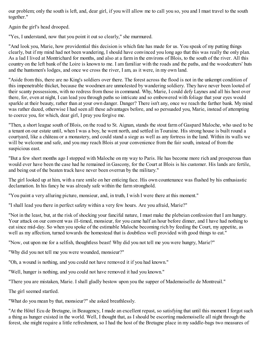our problem; only the south is left, and, dear girl, if you will allow me to call you so, you and I must travel to the south together."

Again the girl's head drooped.

"Yes, I understand, now that you point it out so clearly," she murmured.

"And look you, Marie, how providential this decision is which fate has made for us. You speak of my putting things clearly, but if my mind had not been wandering, I should have convinced you long ago that this was really the only plan. As a lad I lived at Montrichard for months, and also at a farm in the environs of Blois, to the south of the river. All this country on the left bank of the Loire is known to me. I am familiar with the roads and the paths, and the woodcutters' huts and the huntsmen's lodges, and once we cross the river, I am, as it were, in my own land.

"Aside from this, there are no King's soldiers over there. The forest across the flood is not in the unkempt condition of this impenetrable thicket, because the woodmen are unmolested by wandering soldiery. They have never been looted of their scanty possessions, with no redress from those in command. Why, Marie, I could defy Luynes and all his host over there, for, even at night, I can lead you through paths so intricate and so embowered with foliage that your eyes would sparkle at their beauty, rather than at your own danger. Danger? There isn't any, once we reach the farther bank. My mind was rather dazed, otherwise I had seen all these advantages before, and so persuaded you, Marie, instead of attempting to coerce you, for which, dear girl, I pray you forgive me.

"Then, a short league south of Blois, on the road to St. Aignan, stands the stout farm of Gaspard Maloche, who used to be a tenant on our estate until, when I was a boy, he went north, and settled in Touraine. His strong house is built round a courtyard, like a château or a monastery, and could stand a siege as well as any fortress in the land. Within its walls we will be welcome and safe, and you may reach Blois at your convenience from the fair south, instead of from the suspicious east.

"But a few short months ago I stopped with Maloche on my way to Paris. He has become more rich and prosperous than would ever have been the case had he remained in Gascony, for the Court at Blois is his customer. His lands are fertile, and being out of the beaten track have never been overrun by the military."

The girl looked up at him, with a rare smile on her enticing face. His own countenance was flushed by his enthusiastic declamation. In his fancy he was already safe within the farm stronghold.

"You paint a very alluring picture, monsieur, and, in truth, I wish I were there at this moment."

"I shall lead you there in perfect safety within a very few hours. Are you afraid, Marie?"

"Not in the least, but, at the risk of shocking your fanciful nature, I must make the plebeian confession that I am hungry. Your attack on our convent was ill-timed, monsieur, for you came half an hour before dinner, and I have had nothing to eat since mid-day. So when you spoke of the estimable Maloche becoming rich by feeding the Court, my appetite, as well as my affection, turned towards the homestead that is doubtless well provided with good things to eat."

"Now, out upon me for a selfish, thoughtless beast! Why did you not tell me you were hungry, Marie?"

"Why did you not tell me you were wounded, monsieur?"

"Oh, a wound is nothing, and you could not have removed it if you had known."

"Well, hunger is nothing, and you could not have removed it had you known."

"There you are mistaken, Marie. I shall gladly bestow upon you the supper of Mademoiselle de Montreuil."

The girl seemed startled.

"What do you mean by that, monsieur?" she asked breathlessly.

"At the Hôtel Ecu de Bretagne, in Beaugency, I made an excellent repast, so satisfying that until this moment I forgot such a thing as hunger existed in the world. Well, I thought that, as I should be escorting mademoiselle all night through the forest, she might require a little refreshment, so I had the host of the Bretagne place in my saddle-bags two measures of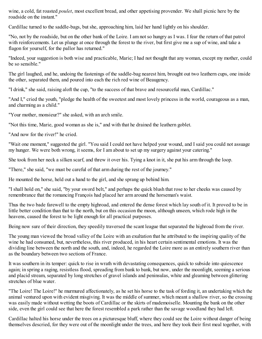wine, a cold, fat roasted *poulet*, most excellent bread, and other appetising provender. We shall picnic here by the roadside on the instant."

Cardillac turned to the saddle-bags, but she, approaching him, laid her hand lightly on his shoulder.

"No, not by the roadside, but on the other bank of the Loire. I am not so hungry as I was. I fear the return of that patrol with reinforcements. Let us plunge at once through the forest to the river, but first give me a sup of wine, and take a flagon for yourself, for the pallor has returned."

"Indeed, your suggestion is both wise and practicable, Marie; I had not thought that any woman, except my mother, could be so sensible."

The girl laughed, and he, undoing the fastenings of the saddle-bag nearest him, brought out two leathern cups, one inside the other, separated them, and poured into each the rich red wine of Beaugency.

"I drink," she said, raising aloft the cup, "to the success of that brave and resourceful man, Cardillac."

"And I," cried the youth, "pledge the health of the sweetest and most lovely princess in the world, courageous as a man, and charming as a child."

"Your mother, monsieur?" she asked, with an arch smile.

"Not this time, Marie, good woman as she is," and with that he drained the leathern goblet.

"And now for the river!" he cried.

"Wait one moment," suggested the girl. "You said I could not have helped your wound, and I said you could not assuage my hunger. We were both wrong, it seems, for I am about to set up my surgery against your catering."

She took from her neck a silken scarf, and threw it over his. Tying a knot in it, she put his arm through the loop.

"There," she said, "we must be careful of that arm during the rest of the journey."

He mounted the horse, held out a hand to the girl, and she sprang up behind him.

"I shall hold on," she said, "by your sword belt," and perhaps the quick blush that rose to her cheeks was caused by remembrance that the romancing François had placed her arm around the horseman's waist.

Thus the two bade farewell to the empty highroad, and entered the dense forest which lay south of it. It proved to be in little better condition than that to the north, but on this occasion the moon, although unseen, which rode high in the heavens, caused the forest to be light enough for all practical purposes.

Being now sure of their direction, they speedily traversed the scant league that separated the highroad from the river.

The young man viewed the broad valley of the Loire with an exultation that he attributed to the inspiring quality of the wine he had consumed, but, nevertheless, this river produced, in his heart certain sentimental emotions. It was the dividing line between the north and the south, and, indeed, he regarded the Loire more as an entirely southern river than as the boundary between two sections of France.

It was southern in its temper: quick to rise in wrath with devastating consequences, quick to subside into quiescence again; in spring a raging, resistless flood, spreading from bank to bank, but now, under the moonlight, seeming a serious and placid stream, separated by long stretches of gravel islands and peninsulas, white and gleaming between glittering stretches of blue water.

"The Loire! The Loire!" he murmured affectionately, as he set his horse to the task of fording it, an undertaking which the animal ventured upon with evident misgiving. It was the middle of summer, which meant a shallow river, so the crossing was easily made without wetting the boots of Cardillac or the skirts of mademoiselle. Mounting the bank on the other side, even the girl could see that here the forest resembled a park rather than the savage woodland they had left.

Cardillac halted his horse under the trees on a picturesque bluff, where they could see the Loire without danger of being themselves descried, for they were out of the moonlight under the trees, and here they took their first meal together, with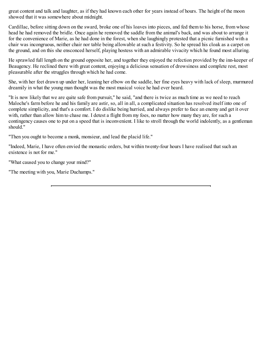great content and talk and laughter, as if they had known each other for years instead of hours. The height of the moon showed that it was somewhere about midnight.

Cardillac, before sitting down on the sward, broke one of his loaves into pieces, and fed them to his horse, from whose head he had removed the bridle. Once again he removed the saddle from the animal's back, and was about to arrange it for the convenience of Marie, as he had done in the forest, when she laughingly protested that a picnic furnished with a chair was incongruous, neither chair nor table being allowable at such a festivity. So he spread his cloak as a carpet on the ground, and on this she ensconced herself, playing hostess with an admirable vivacity which he found most alluring.

He sprawled full length on the ground opposite her, and together they enjoyed the refection provided by the inn-keeper of Beaugency. He reclined there with great content, enjoying a delicious sensation of drowsiness and complete rest, most pleasurable after the struggles through which he had come.

She, with her feet drawn up under her, leaning her elbow on the saddle, her fine eyes heavy with lack of sleep, murmured dreamily in what the young man thought was the most musical voice he had ever heard.

"It is now likely that we are quite safe from pursuit," he said, "and there is twice as much time as we need to reach Maloche's farm before he and his family are astir, so, all in all, a complicated situation has resolved itself into one of complete simplicity, and that's a comfort. I do dislike being hurried, and always prefer to face an enemy and get it over with, rather than allow him to chase me. I detest a flight from my foes, no matter how many they are, for such a contingency causes one to put on a speed that is inconvenient. I like to stroll through the world indolently, as a gentleman should."

"Then you ought to become a monk, monsieur, and lead the placid life."

"Indeed, Marie, I have often envied the monastic orders, but within twenty-four hours I have realised that such an existence is not for me."

"What caused you to change your mind?"

"The meeting with you, Marie Duchamps."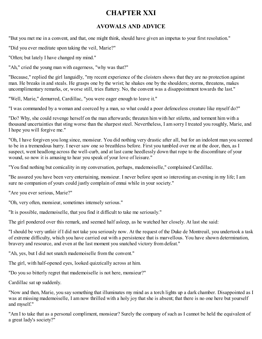# **CHAPTER XXI**

#### **AVOWALS AND ADVICE**

"But you met me in a convent, and that, one might think, should have given an impetus to your first resolution."

"Did you ever meditate upon taking the veil, Marie?"

"Often; but lately I have changed my mind."

"Ah," cried the young man with eagerness, "why was that?"

"Because," replied the girl languidly, "my recent experience of the cloisters shows that they are no protection against man. He breaks in and steals. He grasps one by the wrist; he shakes one by the shoulders; storms, threatens, makes uncomplimentary remarks, or, worse still, tries flattery. No, the convent was a disappointment towards the last."

"Well, Marie," demurred, Cardillac, "you were eager enough to leave it."

"I was commanded by a woman and coerced by a man, so what could a poor defenceless creature like myself do?"

"Do? Why, she could revenge herself on the man afterwards; threaten him with her stiletto, and torment him with a thousand uncertainties that sting worse than the sharpest steel. Nevertheless, I am sorry I treated you roughly, Marie, and I hope you will forgive me."

"Oh, I have forgiven you long since, monsieur. You did nothing very drastic after all, but for an indolent man you seemed to be in a tremendous hurry. I never saw one so breathless before. First you tumbled over me at the door, then, as I suspect, went headlong across the well-curb, and at last came heedlessly down that rope to the discomfiture of your wound, so now it is amusing to hear you speak of your love of leisure."

"You find nothing but comicality in my conversation, perhaps, mademoiselle," complained Cardillac.

"Be assured you have been very entertaining, monsieur. I never before spent so interesting an evening in my life; I am sure no companion of yours could justly complain of ennui while in your society."

"Are you ever serious, Marie?"

"Oh, very often, monsieur, sometimes intensely serious."

"It is possible, mademoiselle, that you find it difficult to take me seriously."

The girl pondered over this remark, and seemed half asleep, as he watched her closely. At last she said:

"I should be very unfair if I did not take you seriously now. At the request of the Duke de Montreuil, you undertook a task of extreme difficulty, which you have carried out with a persistence that is marvellous. You have shown determination, bravery and resource, and even at the last moment you snatched victory from defeat."

"Ah, yes, but I did not snatch mademoiselle from the convent."

The girl, with half-opened eyes, looked quizzically across at him.

"Do you so bitterly regret that mademoiselle is not here, monsieur?"

Cardillac sat up suddenly.

"Now and then, Marie, you say something that illuminates my mind as a torch lights up a dark chamber. Disappointed as I was at missing mademoiselle, I am now thrilled with a holy joy that she is absent; that there is no one here but yourself and myself."

"Am I to take that as a personal compliment, monsieur? Surely the company of such as I cannot be held the equivalent of a great lady's society?"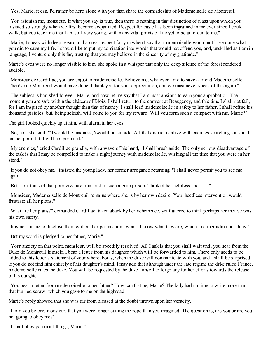"Yes, Marie, it can. I'd rather be here alone with you than share the comradeship of Mademoiselle de Montreuil."

"You astonish me, monsieur. If what you say is true, then there is nothing in that distinction of class upon which you insisted so strongly when we first became acquainted. Respect for caste has been ingrained in me ever since I could walk, but you teach me that I am still very young, with many vital points of life yet to be unfolded to me."

"Marie, I speak with deep regard and a great respect for you when I say that mademoiselle would not have done what you did to save my life. I should like to put my admiration into words that would not offend you, and, unskilled as I am in language, I venture only this far, trusting that you may believe in the sincerity of my gratitude."

Marie's eyes were no longer visible to him; she spoke in a whisper that only the deep silence of the forest rendered audible.

"Monsieur de Cardillac, you are unjust to mademoiselle. Believe me, whatever I did to save a friend Mademoiselle Thérèse de Montreuil would have done. I thank you for your appreciation, and we must never speak of this again."

"The subject is banished forever, Marie, and now let me say that I am most anxious to earn your approbation. The moment you are safe within the château of Blois, I shall return to the convent at Beaugency, and this time I shall not fail, for I am inspired by another thought than that of money. I shall lead mademoiselle in safety to her father. I shall refuse his thousand pistoles, but, being selfish, will come to you for my reward. Will you form such a compact with me, Marie?"

The girl looked quickly up at him, with alarm in her eyes.

"No, no," she said. "'Twould be madness; 'twould be suicide. All that district is alive with enemies searching for you. I cannot permit it; I will not permit it."

"My enemies," cried Cardillac grandly, with a wave of his hand, "I shall brush aside. The only serious disadvantage of the task is that I may be compelled to make a night journey with mademoiselle, wishing all the time that you were in her stead."

"If you do not obey me," insisted the young lady, her former arrogance returning, "I shall never permit you to see me again."

"But—but think of that poor creature immured in such a grim prison. Think of her helpless and——"

"Monsieur, Mademoiselle de Montreuil remains where she is by her own desire. Your heedless intervention would frustrate all her plans."

"What are her plans?" demanded Cardillac, taken aback by her vehemence, yet flattered to think perhaps her motive was his own safety.

"It is not for me to disclose them without her permission, even if I know what they are, which I neither admit nor deny."

"But my word is pledged to her father, Marie."

"Your anxiety on that point, monsieur, will be speedily resolved. All I ask is that you shall wait until you hear from the Duke de Montreuil himself. I bear a letter from his daughter which will be forwarded to him. There only needs to be added to this letter a statement of your whereabouts, when the duke will communicate with you, and I shall be surprised if you do not find him entirely of his daughter's mind. I may add that although under the late régime the duke ruled France, mademoiselle rules the duke. You will be requested by the duke himself to forgo any further efforts towards the release of his daughter."

"You bear a letter from mademoiselle to her father? How can that be, Marie? The lady had no time to write more than that hurried scrawl which you gave to me on the highroad."

Marie's reply showed that she was far from pleased at the doubt thrown upon her veracity.

"I told you before, monsieur, that you were longer cutting the rope than you imagined. The question is, are you or are you not going to obey me?"

"I shall obey you in all things, Marie."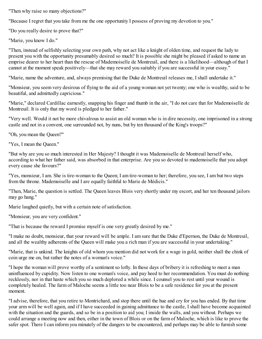"Then why raise so many objections?"

"Because I regret that you take from me the one opportunity I possess of proving my devotion to you."

"Do you really desire to prove that?"

"Marie, you know I do."

"Then, instead of selfishly selecting your own path, why not act like a knight of olden time, and request the lady to present you with the opportunity presumably desired so much? It is possible she might be pleased if asked to name an emprise dearer to her heart than the rescue of Mademoiselle de Montreuil, and there is a likelihood—although of that I cannot at the moment speak positively—that she may reward you suitably if you are successful in your essay."

"Marie, name the adventure, and, always premising that the Duke de Montreuil releases me, I shall undertake it."

"Monsieur, you seem very desirous of flying to the aid of a young woman not yet twenty; one who is wealthy, said to be beautiful, and admittedly capricious."

"Marie," declared Cardillac earnestly, snapping his finger and thumb in the air, "I do not care that for Mademoiselle de Montreuil. It is only that my word is pledged to her father."

"Very well. Would it not be more chivalrous to assist an old woman who is in dire necessity, one imprisoned in a strong castle and not in a convent, one surrounded not, by nuns, but by ten thousand of the King's troops?"

"Oh, you mean the Queen?"

"Yes, I mean the Queen."

"But why are you so much interested in Her Majesty? I thought it was Mademoiselle de Montreuil herself who, according to what her father said, was absorbed in that enterprise. Are you so devoted to mademoiselle that you adopt every cause she favours?"

"Yes, monsieur, I am. She is tire-woman to the Queen; I am tire-woman to her; therefore, you see, I am but two steps from the throne. Mademoiselle and I are equally faithful to Marie de Médicis."

"Then, Marie, the question is settled. The Queen leaves Blois very shortly under my escort, and her ten thousand jailors may go hang."

Marie laughed quietly, but with a certain note of satisfaction.

"Monsieur, you are very confident."

"That is because the reward I promise myself is one very greatly desired by me."

"I make no doubt, monsieur, that your reward will be ample. I am sure that the Duke d'Epernon, the Duke de Montreuil, and all the wealthy adherents of the Queen will make you a rich man if you are successful in your undertaking."

"Marie, that is unkind. The knights of old whom you mention did not work for a wage in gold, neither shall the chink of coin urge me on, but rather the notes of a woman's voice."

"I hope the woman will prove worthy of a sentiment so lofty. In these days of bribery it is refreshing to meet a man uninfluenced by cupidity. Now listen to one woman's voice, and pay heed to her recommendation. You must do nothing recklessly, nor in that haste which you so much deplored a while since. I counsel you to rest until your wound is completely healed. The farm of Maloche seems a little too near Blois to be a safe residence for you at the present moment.

"I advise, therefore, that you retire to Montrichard, and stop there until the hue and cry for you has ended. By that time your arm will be well again, and if I have succeeded in gaining admittance to the castle, I shall have become acquainted with the situation and the guards, and so be in a position to aid you; I inside the walls, and you without. Perhaps we could arrange a meeting now and then, either in the town of Blois or on the farm of Maloche, which is like to prove the safer spot. There I can inform you minutely of the dangers to be encountered, and perhaps may be able to furnish some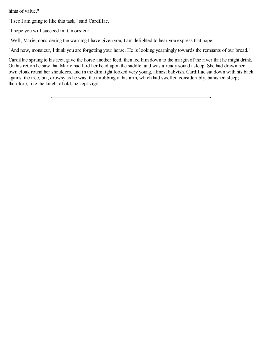hints of value."

"I see I am going to like this task," said Cardillac.

"I hope you will succeed in it, monsieur."

"Well, Marie, considering the warning I have given you, I am delighted to hear you express that hope."

"And now, monsieur, I think you are forgetting your horse. He is looking yearningly towards the remnants of our bread."

Cardillac sprang to his feet, gave the horse another feed, then led him down to the margin of the river that he might drink. On his return he saw that Marie had laid her head upon the saddle, and was already sound asleep. She had drawn her own cloak round her shoulders, and in the dim light looked very young, almost babyish. Cardillac sat down with his back against the tree, but, drowsy as he was, the throbbing in his arm, which had swelled considerably, banished sleep; therefore, like the knight of old, he kept vigil.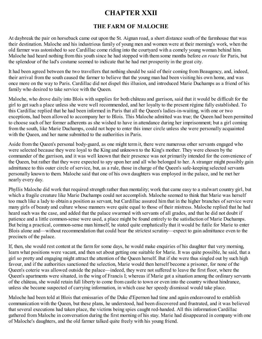# **CHAPTER XXII**

#### **THE FARM OF MALOCHE**

At daybreak the pair on horseback came out upon the St. Aignan road, a short distance south of the farmhouse that was their destination. Maloche and his industrious family of young men and women were at their morning's work, when the old farmer was astonished to see Cardillac come riding into the courtyard with a comely young woman behind him. Maloche had heard nothing from this youth since he had stopped with them some months before *en route* for Paris, but the splendour of the lad's costume seemed to indicate that he had met prosperity in the great city.

It had been agreed between the two travellers that nothing should be said of their coming from Beaugency, and, indeed, their arrival from the south caused the farmer to believe that the young man had been visiting his own home, and was once more on the way to Paris. Cardillac did not dispel this illusion, and introduced Marie Duchamps as a friend of his family who desired to take service with the Queen.

Maloche, who drove daily into Blois with supplies for both château and garrison, said that it would be difficult for the girl to get such a place unless she were well recommended, and her loyalty to the present régime fully established. To this Cardillac replied that he had been informed in Paris that all the Queen's ladies-in-waiting, with one or two exceptions, had been allowed to accompany her to Blois. This Maloche admitted was true; the Queen had been permitted to choose such of her former adherents as she wished to have in attendance during her imprisonment; but a girl coming from the south, like Marie Duchamps, could not hope to enter this inner circle unless she were personally acquainted with the Queen, and her name submitted to the authorities in Paris.

Aside from the Queen's personal body-guard, as one might term it, there were numerous other servants engaged who were selected because they were loyal to the King and unknown to the King's mother. They were chosen by the commander of the garrison, and it was well known that their presence was not primarily intended for the convenience of the Queen, but rather that they were expected to spy upon her and all who belonged to her. A stranger might possibly gain admittance to this outer circle of service, but, as a rule, those in charge of the Queen's safe-keeping selected servants personally known to them. Maloche said that one of his own daughters was employed in the palace, and he met her nearly every day.

Phyllis Maloche did work that required strength rather than mentality; work that came easy to a stalwart country girl, but which a fragile creature like Marie Duchamps could not accomplish. Maloche seemed to think that Marie was herself too much like a lady to obtain a position as servant, but Cardillac assured him that in the higher branches of service were many girls of beauty and culture whose manners were quite equal to those of their mistress. Maloche replied that he had heard such was the case, and added that the palace swarmed with servants of all grades, and that he did not doubt if patience and a little common-sense were used, a place might be found entirely to the satisfaction of Marie Duchamps. But being a practical, common-sense man himself, he stated quite emphatically that it would be futile for Marie to enter Blois alone and—without recommendation that could bear the strictest scrutiny—expect to gain admittance even to the precincts of the palace.

If, then, she would rest content at the farm for some days, he would make enquiries of his daughter that very morning, learn what positions were vacant, and then set about getting one suitable for Marie. It was quite possible, he said, that a girl so pretty and engaging might attract the attention of the Queen herself. But if she were thus singled out by such high favour, and if the authorities sanctioned the selection, Marie would then herself become a prisoner, for none of the Queen's coterie was allowed outside the palace—indeed, they were not suffered to leave the first floor, where the Queen's apartments were situated, in the wing of Francis I; whereas if Marie got a situation among the ordinary servants of the château, she would retain full liberty to come from castle to town or even into the country without hindrance, unless she became suspected of carrying information, in which case her speedy dismissal would take place.

Maloche had been told at Blois that emissaries of the Duke d'Epernon had time and again endeavoured to establish communication with the Queen, but these plans, he understood, had been discovered and frustrated, and it was believed that several executions had taken place, the victims being spies caught red-handed. All this information Cardillac gathered from Maloche in conversation during the first morning of his stay. Marie had disappeared in company with one of Maloche's daughters, and the old farmer talked quite freely with his young friend.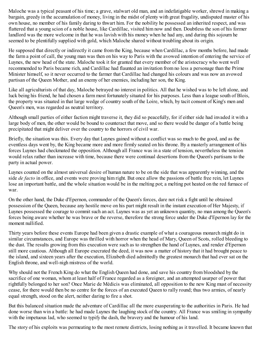Maloche was a typical peasant of his time; a grave, stalwart old man, and an indefatigable worker, shrewd in making a bargain, greedy in the accumulation of money, living in the midst of plenty with great frugality, undisputed master of his own house, no member of his family daring to thwart him. For the nobility he possessed an inherited respect, and was flattered that a young scion of a noble house, like Cardillac, visited him now and then. Doubtless the son of his former landlord was the more welcome in that he was lavish with his money when he had any, and during this sojourn he seemed to be plentifully supplied with gold, which Maloche shared without troubling about its origin.

He supposed that directly or indirectly it came from the King, because when Cardillac, a few months before, had made the farm a point of call, the young man was then on his way to Paris with the avowed intention of entering the service of Luynes, the new head of the state. Maloche took it for granted that every member of the aristocracy who went well recommended to Paris became rich, and Cardillac had flaunted an invitation from no less a personage than the Prime Minister himself, so it never occurred to the farmer that Cardillac had changed his colours and was now an avowed partisan of the Queen Mother, and an enemy of her enemies, including her son, the King.

Like all agriculturists of that day, Maloche betrayed no interest in politics. All that he wished was to be left alone, and luck being his friend, he had chosen a farm most fortunately situated for his purposes. Less than a league south of Blois, the property was situated in that large wedge of country south of the Loire, which, by tacit consent of King's men and Queen's men, was regarded as neutral territory.

Although small parties of either faction might traverse it, they did so peacefully, for if either side had invaded it with a large body of men, the other would be bound to counteract that move, and so there would be danger of a battle being precipitated that might deliver over the country to the horrors of civil war.

Briefly, the situation was this. Every day that Luynes gained without a conflict was so much to the good, and as the eventless days went by, the King became more and more firmly seated on his throne. By a masterly arrangement of his forces Luynes had checkmated the opposition. Although all France was in a state of tension, nevertheless the tension would relax rather than increase with time, because there were continual desertions from the Queen's partisans to the party in actual power.

Luynes counted on the almost universal desire of human nature to be on the side that was apparently winning, and the side *de facto* in office, and events were proving him right. But once allow the passions of battle free rein, let Luynes lose an important battle, and the whole situation would be in the melting pot; a melting pot heated on the red furnace of war.

On the other hand, the Duke d'Epernon, commander of the Queen's forces, dare not risk a fight until he obtained possession of the Queen, because any hostile move on his part might result in the instant execution of Her Majesty, if Luynes possessed the courage to commit such an act. Luynes was as yet an unknown quantity, no man among the Queen's forces being aware whether he was brave or the reverse, therefore the strong force under the Duke d'Epernon lay for the moment nullified.

Thirty years before these events Europe had been given a drastic example of what a courageous monarch might do in similar circumstances, and Europe was thrilled with horror when the head of Mary, Queen of Scots, rolled bleeding to the dust. The results growing from this execution were such as to strengthen the hand of Luynes, and render d'Epernon still more cautious. Although all Europe execrated the deed, it was now a matter of history that it had brought peace to the island, and sixteen years after the execution, Elizabeth died admittedly the greatest monarch that had ever sat on the English throne, and well-nigh mistress of the world.

Why should not the French King do what the English Queen had done, and save his country from bloodshed by the sacrifice of one woman, whom at least half of France regarded as a foreigner, and an attempted usurper of power that rightfully belonged to her son? Once Marie de Médicis was eliminated, all opposition to the new King must of necessity cease, for there would then be no centre for the forces of an executed Queen to rally round; thus two armies, of nearly equal strength, stood on the alert, neither daring to fire a shot.

But this balanced situation made the adventure of Cardillac all the more exasperating to the authorities in Paris. He had done worse than win a battle: he had made Luynes the laughing stock of the country. All France was smiling in sympathy with the impetuous lad, who seemed to typify the dash, the bravery and the humour of his land.

The story of his exploits was permeating to the most remote districts, losing nothing as it travelled. It became known that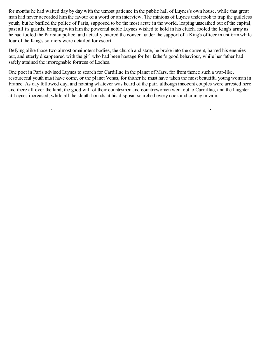for months he had waited day by day with the utmost patience in the public hall of Luynes's own house, while that great man had never accorded him the favour of a word or an interview. The minions of Luynes undertook to trap the guileless youth, but he baffled the police of Paris, supposed to be the most acute in the world, leaping unscathed out of the capital, past all its guards, bringing with him the powerful noble Luynes wished to hold in his clutch, fooled the King's army as he had fooled the Parisian police, and actually entered the convent under the support of a King's officer in uniform while four of the King's soldiers were detailed for escort.

Defying alike those two almost omnipotent bodies, the church and state, he broke into the convent, barred his enemies out, and utterly disappeared with the girl who had been hostage for her father's good behaviour, while her father had safely attained the impregnable fortress of Loches.

One poet in Paris advised Luynes to search for Cardillac in the planet of Mars, for from thence such a war-like, resourceful youth must have come, or the planet Venus, for thither he must have taken the most beautiful young woman in France. As day followed day, and nothing whatever was heard of the pair, although innocent couples were arrested here and there all over the land, the good will of their countrymen and countrywomen went out to Cardillac, and the laughter at Luynes increased, while all the sleuth-hounds at his disposal searched every nook and cranny in vain.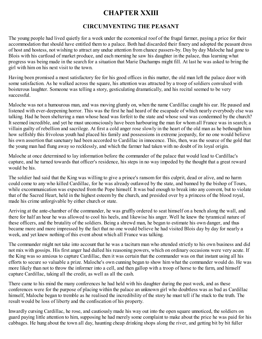# **CHAPTER XXIII**

#### **CIRCUMVENTING THE PEASANT**

The young people had lived quietly for a week under the economical roof of the frugal farmer, paying a price for their accommodation that should have entitled them to a palace. Both had discarded their finery and adopted the peasant dress of host and hostess, not wishing to attract any undue attention from chance passers-by. Day by day Maloche had gone to Blois with his cartload of market produce, and each morning he saw his daughter in the palace, thus learning what progress was being made in the search for a situation that Marie Duchamps might fill. At last he was asked to bring the girl with him on his next visit to the town.

Having been promised a most satisfactory fee for his good offices in this matter, the old man left the palace door with some satisfaction. As he walked across the square, his attention was attracted by a troop of soldiers convulsed with boisterous laughter. Someone was telling a story, gesticulating dramatically, and his recital seemed to be very successful.

Maloche was not a humourous man, and was moving glumly on, when the name Cardillac caught his ear. He paused and listened with ever-deepening horror. This was the first he had heard of the escapade of which nearly everybody else was talking. Had he been sheltering a man whose head was forfeit to the state and whose soul was condemned by the church? It seemed incredible, and yet he must unconsciously have been harbouring the man for whom all France was in search; a villain guilty of rebellion and sacrilege. At first a cold anger rose slowly in the heart of the old man as he bethought him how selfishly this frivolous youth had placed his family and possessions in extreme jeopardy, for no one would believe his own assertion that sanctuary had been accorded to Cardillac in innocence. This, then, was the source of the gold that the young man had flung away so recklessly, and which the farmer had taken with no doubt of its loyal origin.

Maloche at once determined to lay information before the commander of the palace that would lead to Cardillac's capture, and he turned towards that officer's residence, his steps in no way impeded by the thought that a great reward would be his.

The soldier had said that the King was willing to give a prince's ransom for this culprit, dead or alive, and no harm could come to any who killed Cardillac, for he was already outlawed by the state, and banned by the bishop of Tours, while excommunication was expected from the Pope himself. It was bad enough to break into any convent, but to violate that of the Sacred Heart, held in the highest esteem by the church, and presided over by a princess of the blood royal, made his crime unforgivable by either church or state.

Arriving at the ante-chamber of the commander, he was gruffly ordered to seat himself on a bench along the wall, and there for half an hour he was allowed to cool his heels, and likewise his anger. Well he knew the tyrannical nature of these officers, and the brutality of the soldiers. Being a shrewd man, he began to estimate his own danger, and thus became more and more impressed by the fact that no one would believe he had visited Blois day by day for nearly a week, and yet knew nothing of this event about which all France was talking.

The commander might not take into account that he was a taciturn man who attended strictly to his own business and did not mix with gossips. His first anger had dulled his reasoning powers, which on ordinary occasions were very acute. If the King was so anxious to capture Cardillac, then it was certain that the commander was on that instant using all his efforts to secure so valuable a prize. Maloche's own cunning began to show him what the commander would do. He was more likely than not to throw the informer into a cell, and then gallop with a troop of horse to the farm, and himself capture Cardillac, taking all the credit, as well as all the cash.

There came to his mind the many conferences he had held with his daughter during the past week, and as these conferences were for the purpose of placing within the palace an unknown girl who doubtless was as bad as Cardillac himself, Maloche began to tremble as he realised the incredibility of the story he must tell if he stuck to the truth. The result would be loss of liberty and the confiscation of his property.

Inwardly cursing Cardillac, he rose, and cautiously made his way out into the open square unnoticed, the soldiers on guard paying little attention to him, supposing he had merely some complaint to make about the price he was paid for his cabbages. He hung about the town all day, haunting cheap drinking shops along the river, and getting bit by bit fuller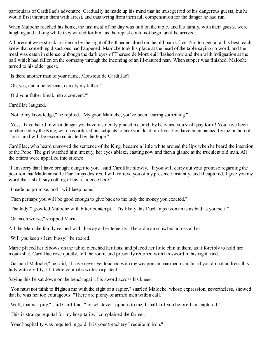particulars of Cardillac's adventure. Gradually he made up his mind that he must get rid of his dangerous guests, but he would first threaten them with arrest, and thus wring from them full compensation for the danger he had run.

When Maloche reached his home, the last meal of the day was laid on the table, and his family, with their guests, were laughing and talking while they waited for him, as the repast could not begin until he arrived.

All present were struck to silence by the sight of the thunder-cloud on the old man's face. Not too genial at his best, each knew that something disastrous had happened. Maloche took his place at the head of the table saying no word, and the meal was eaten in silence, although the dark eyes of Thérèse de Montreuil flashed now and then with indignation at the pall which had fallen on the company through the incoming of an ill-natured man. When supper was finished, Maloche turned to his elder guest.

"Is there another man of your name, Monsieur de Cardillac?"

"Oh, yes, and a better man, namely my father."

"Did your father break into a convent?"

Cardillac laughed.

"Not to my knowledge," he replied. "My good Maloche, you've been hearing something."

"Yes, I have heard in what danger you have insolently placed me, and, by heavens, you shall pay for it! You have been condemned by the King, who has ordered his subjects to take you dead or alive. You have been banned by the bishop of Tours, and will be excommunicated by the Pope."

Cardillac, who heard unmoved the sentence of the King, became a little white around the lips when he heard the intention of the Pope. The girl watched him intently, her eyes ablaze, casting now and then a glance at the truculent old man. All the others were appalled into silence.

"I am sorry that I have brought danger to you," said Cardillac slowly. "If you will carry out your promise regarding the position that Mademoiselle Duchamps desires, I will relieve you of my presence instantly, and if captured, I give you my word that I shall say nothing of my residence here."

"I made no promise, and I will keep none."

"Then perhaps you will be good enough to give back to the lady the money you exacted."

"The lady!" growled Maloche with bitter contempt. "'Tis likely this Duchamps woman is as bad as yourself."

"Or much worse," snapped Marie.

All the Maloche family gasped with dismay at her temerity. The old man scowled across at her.

"Will you keep silent, hussy!" he roared.

Marie placed her elbows on the table, clenched her fists, and placed her little chin in them, as if forcibly to hold her mouth shut. Cardillac rose quietly, left the room, and presently returned with his sword in his right hand.

"Gaspard Maloche," he said, "I have never yet touched with my weapon an unarmed man, but if you do not address this lady with civility, I'll tickle your ribs with sharp steel."

Saying this he sat down on the bench again, his sword across his knees.

"You must not think to frighten me with the sight of a rapier," snarled Maloche, whose expression, nevertheless, showed that he was not too courageous. "There are plenty of armed men within call."

"Well, that is a pity," said Cardillac, "for whatever happens to me, I shall kill you before I am captured."

"This is strange requital for my hospitality," complained the farmer.

"Your hospitality was requited in gold. It is your treachery I requite in iron."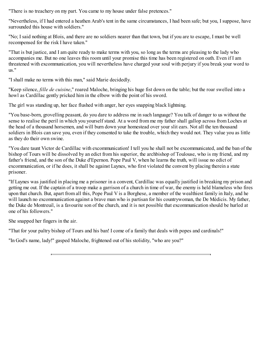"There is no treachery on my part. You came to my house under false pretences."

"Nevertheless, if I had entered a heathen Arab's tent in the same circumstances, I had been safe; but you, I suppose, have surrounded this house with soldiers."

"No; I said nothing at Blois, and there are no soldiers nearer than that town, but if you are to escape, I must be well recompensed for the risk I have taken."

"That is but justice, and I am quite ready to make terms with you, so long as the terms are pleasing to the lady who accompanies me. But no one leaves this room until your promise this time has been registered on oath. Even if I am threatened with excommunication, you will nevertheless have charged your soul with perjury if you break your word to us."

"I shall make no terms with this man," said Marie decidedly.

"Keep silence, *fille de cuisine*," roared Maloche, bringing his huge fist down on the table; but the roar swelled into a howl as Cardillac gently pricked him in the elbow with the point of his sword.

The girl was standing up, her face flushed with anger, her eyes snapping black lightning.

"You base-born, grovelling peasant, do you dare to address me in such language? You talk of danger to us without the sense to realise the peril in which you yourself stand. At a word from me my father shall gallop across from Loches at the head of a thousand horsemen, and will burn down your homestead over your slit ears. Not all the ten thousand soldiers in Blois can save you, even if they consented to take the trouble, which they would not. They value you as little as they do their own swine.

"You dare taunt Victor de Cardillac with excommunication! I tell you he shall not be excommunicated, and the ban of the bishop of Tours will be dissolved by an edict from his superior, the archbishop of Toulouse, who is my friend, and my father's friend, and the son of the Duke d'Epernon. Pope Paul V, when he learns the truth, will issue no edict of excommunication, or if he does, it shall be against Luynes, who first violated the convent by placing therein a state prisoner.

"If Luynes was justified in placing me a prisoner in a convent, Cardillac was equally justified in breaking my prison and getting me out. If the captain of a troop make a garrison of a church in time of war, the enemy is held blameless who fires upon that church. But, apart from all this, Pope Paul V is a Borghese, a member of the wealthiest family in Italy, and he will launch no excommunication against a brave man who is partisan for his countrywoman, the De Médicis. My father, the Duke de Montreuil, is a favourite son of the church, and it is not possible that excommunication should be hurled at one of his followers."

She snapped her fingers in the air.

"That for your paltry bishop of Tours and his ban! I come of a family that deals with popes and cardinals!"

"In God's name, lady!" gasped Maloche, frightened out of his stolidity, "who are you?"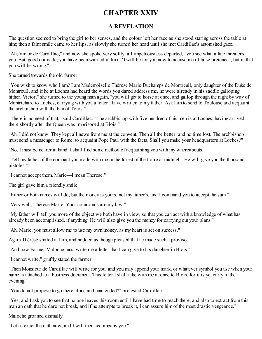# **CHAPTER XXIV**

#### **A REVELATION**

The question seemed to bring the girl to her senses, and the colour left her face as she stood staring across the table at him; then a faint smile came to her lips, as slowly she turned her head until she met Cardillac's astonished gaze.

"Ah, Victor de Cardillac," and now she spoke very softly, all impetuousness departed, "you see what a fate threatens you. But, good comrade, you have been warned in time. 'Twill be for you now to accuse me of false pretences, but in that you will be wrong."

She turned towards the old farmer.

"You wish to know who I am? I am Mademoiselle Thérèse Marie Duchamps de Montreuil, only daughter of the Duke de Montreuil, and if he at Loches had heard the words you dared address me, he were already in his saddle galloping hither. Victor," she turned to the young man again, "you will get to horse at once, and gallop through the night by way of Montrichard to Loches, carrying with you a letter I have written to my father. Ask him to send to Toulouse and acquaint the archbishop with the ban of Tours."

"There is no need of that," said Cardillac. "The archbishop with five hundred of his men is at Loches, having arrived there shortly after the Queen was imprisoned at Blois."

"Ah, I did not know. They kept all news from me at the convent. Then all the better, and no time lost. The archbishop must send a messenger to Rome, to acquaint Pope Paul with the facts. Shall you make your headquarters at Loches?"

"No, I must be nearer at hand. I shall find some method of acquainting you with my whereabouts."

"Tell my father of the compact you made with me in the forest of the Loire at midnight. He will give you the thousand pistoles."

"I cannot accept them, Marie—I mean Thérèse."

The girl gave him a friendly smile.

"Either or both names will do, but the money is yours, not my father's, and I command you to accept the sum."

"Very well, Thérèse Marie. Your commands are my law."

"My father will tell you more of the object we both have in view, so that you can act with a knowledge of what has already been accomplished, if anything. He will also give you the money for carrying out your plans."

"Ah, Marie, you must allow me to use my own money, as my heart is set on success."

Again Thérèse smiled at him, and nodded as though pleased that he made such a proviso.

"And now Farmer Maloche must write me a letter that I can give to his daughter in Blois."

"I cannot write," gruffly stated the farmer.

"Then Monsieur de Cardillac will write for you, and you may append your mark, or whatever symbol you use when your name is attached to a business document. This letter I shall take with me at once to Blois, for it is yet early in the evening."

"You do not propose to go there alone and unattended?" protested Cardillac.

"Yes, and I ask you to see that no one leaves this room until I have had time to reach there, and also to extract from this man an oath that he dare not break, and if he attempts to break it, I can assure him of the most drastic vengeance."

Maloche groaned dismally.

"Let us exact the oath now, and I will then accompany you."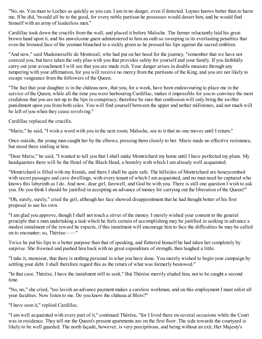"No, no. You must to Loches as quickly as you can. I am in no danger, even if detected. Luynes knows better than to harm me. If he did, 'twould all be to the good, for every noble partisan he possesses would desert him, and he would find himself with an army of leaderless men."

Cardillac took down the crucifix from the wall, and placed it before Maloche. The farmer reluctantly laid his great brown hand upon it, and his unwelcome guest administered to him an oath so sweeping in its everlasting penalties that even the bronzed face of the yeoman blanched to a sickly green as he pressed his lips against the sacred emblem.

"And now," said Mademoiselle de Montreuil, who had put on her hood for the journey, "remember that we have not coerced you, but have taken the only plan with you that provides safety for yourself and your family. If you faithfully carry out your avouchment I will see that you are made rich. Your danger arises in double measure through any tampering with your affirmation, for you will receive no mercy from the partisans of the King, and you are not likely to escape vengeance from the followers of the Queen.

"The fact that your daughter is in the château now, that you, for a week, have been endeavouring to place me in the service of the Queen, while all the time you were harbouring Cardillac, makes it impossible for you to convince the most credulous that you are not up to the lips in conspiracy; therefore be sure that confession will only bring the swifter punishment upon you from both sides. You will find yourself between the upper and nether millstones, and not much will be left of you when they cease revolving."

Cardillac replaced the crucifix.

"Marie," he said, "I wish a word with you in the next room. Maloche, see to it that no one moves until I return."

Once outside, the young man caught her by the elbows, pressing them closely to her. Marie made no effective resistance, but stood there smiling at him.

"Dear Marie," he said, "I wanted to tell you that I shall make Montrichard my home until I have perfected my plans. My headquarters there will be the Hotel of the Black Head, a hostelry with which I am already well acquainted.

"Montrichard is filled with my friends, and there I shall be quite safe. The hillsides of Montrichard are honeycombed with secret passages and cave dwellings, with every tenant of which I am acquainted, and no man need be captured who knows this labyrinth as I do. And now, dear girl, farewell, and God be with you. There is still one question I wish to ask you. Do you think I should be justified in accepting an advance of money for carrying out the liberation of the Queen?"

"Oh, surely, surely," cried the girl, although her face showed disappointment that he had thought better of his first proposal to use his own.

"I am glad you approve, though I shall not touch a stiver of the money. I merely wished your consent to the general principle that a man undertaking a task which he feels certain of accomplishing may be justified in seeking in advance a modest instalment of the reward he expects, if this instalment will encourage him to face the difficulties he may be called on to encounter; so, Thérèse——"

Twice he put his lips to a better purpose than that of speaking, and flattered himself he had taken her completely by surprise. She frowned and pushed him back with no great expenditure of strength, then laughed a little.

"I take it, monsieur, that there is nothing personal in what you have done. You merely wished to begin your campaign by settling your debt. I shall therefore regard this as the return of what was formerly bestowed."

"In that case, Thérèse, I have the instalment still to seek." But Thérèse merrily eluded him, not to be caught a second time.

"No, no," she cried, "too lavish an advance payment makes a careless workman, and on this employment I must enlist all your faculties. Now listen to me. Do you know the château at Blois?"

"I have seen it," replied Cardillac.

"I am well acquainted with every part of it," continued Thérèse, "for I lived there on several occasions while the Court was in residence. They tell me the Queen's present apartments are on the first floor. The side towards the courtyard is likely to be well guarded. The north façade, however, is very precipitious, and being without an exit, Her Majesty's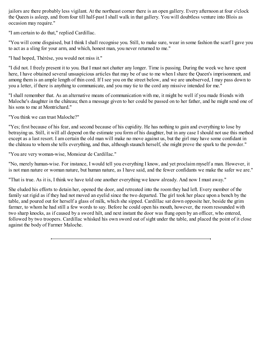jailors are there probably less vigilant. At the northeast corner there is an open gallery. Every afternoon at four o'clock the Queen is asleep, and from four till half-past I shall walk in that gallery. You will doubtless venture into Blois as occasion may require."

"I am certain to do that," replied Cardillac.

"You will come disguised, but I think I shall recognise you. Still, to make sure, wear in some fashion the scarf I gave you to act as a sling for your arm, and which, honest man, you never returned to me."

"I had hoped, Thérèse, you would not miss it."

"I did not. I freely present it to you. But I must not chatter any longer. Time is passing. During the week we have spent here, I have obtained several unsuspicious articles that may be of use to me when I share the Queen's imprisonment, and among them is an ample length of thin cord. If I see you on the street below, and we are unobserved, I may pass down to you a letter, if there is anything to communicate, and you may tie to the cord any missive intended for me."

"I shall remember that. As an alternative means of communication with me, it might be well if you made friends with Maloche's daughter in the château; then a message given to her could be passed on to her father, and he might send one of his sons to me at Montrichard."

"You think we can trust Maloche?"

"Yes; first because of his fear, and second because of his cupidity. He has nothing to gain and everything to lose by betraying us. Still, it will all depend on the estimate you form of his daughter, but in any case I should not use this method except as a last resort. I am certain the old man will make no move against us, but the girl may have some confidant in the château to whom she tells everything, and thus, although staunch herself, she might prove the spark to the powder."

"You are very woman-wise, Monsieur de Cardillac."

"No, merely human-wise. For instance, I would tell you everything I know, and yet proclaim myself a man. However, it is not man nature or woman nature, but human nature, as I have said, and the fewer confidants we make the safer we are."

"That is true. As it is, I think we have told one another everything we know already. And now I must away."

She eluded his efforts to detain her, opened the door, and retreated into the room they had left. Every member of the family sat rigid as if they had not moved an eyelid since the two departed. The girl took her place upon a bench by the table, and poured out for herself a glass of milk, which she sipped. Cardillac sat down opposite her, beside the grim farmer, to whom he had still a few words to say. Before he could open his mouth, however, the room resounded with two sharp knocks, as if caused by a sword hilt, and next instant the door was flung open by an officer, who entered, followed by two troopers. Cardillac whisked his own sword out of sight under the table, and placed the point of it close against the body of Farmer Maloche.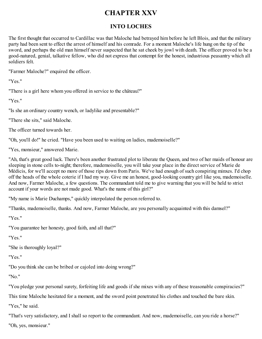# **CHAPTER XXV**

#### **INTO LOCHES**

The first thought that occurred to Cardillac was that Maloche had betrayed him before he left Blois, and that the military party had been sent to effect the arrest of himself and his comrade. For a moment Maloche's life hung on the tip of the sword, and perhaps the old man himself never suspected that he sat cheek by jowl with death. The officer proved to be a good-natured, genial, talkative fellow, who did not express that contempt for the honest, industrious peasantry which all soldiers felt.

"Farmer Maloche?" enquired the officer.

"Yes."

"There is a girl here whom you offered in service to the château?"

"Yes."

"Is she an ordinary country wench, or ladylike and presentable?"

"There she sits," said Maloche.

The officer turned towards her.

"Oh, you'll do!" he cried. "Have you been used to waiting on ladies, mademoiselle?"

"Yes, monsieur," answered Marie.

"Ah, that's great good luck. There's been another frustrated plot to liberate the Queen, and two of her maids of honour are sleeping in stone cells to-night; therefore, mademoiselle, you will take your place in the direct service of Marie de Médicis, for we'll accept no more of those rips down from Paris. We've had enough of such conspiring minxes. I'd chop off the heads of the whole coterie if I had my way. Give me an honest, good-looking country girl like you, mademoiselle. And now, Farmer Maloche, a few questions. The commandant told me to give warning that you will be held to strict account if your words are not made good. What's the name of this girl?"

"My name is Marie Duchamps," quickly interpolated the person referred to.

"Thanks, mademoiselle, thanks. And now, Farmer Maloche, are you personally acquainted with this damsel?"

"Yes."

"You guarantee her honesty, good faith, and all that?"

"Yes."

"She is thoroughly loyal?"

"Yes."

"Do you think she can be bribed or cajoled into doing wrong?"

"No."

"You pledge your personal surety, forfeiting life and goods if she mixes with any of these treasonable conspiracies?"

This time Maloche hesitated for a moment, and the sword point penetrated his clothes and touched the bare skin.

"Yes," he said.

"That's very satisfactory, and I shall so report to the commandant. And now, mademoiselle, can you ride a horse?" "Oh, yes, monsieur."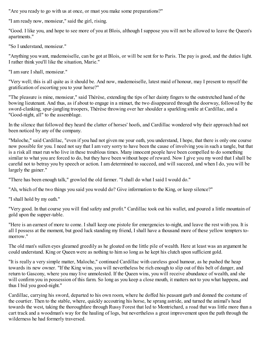"Are you ready to go with us at once, or must you make some preparations?"

"I am ready now, monsieur," said the girl, rising.

"Good. I like you, and hope to see more of you at Blois, although I suppose you will not be allowed to leave the Queen's apartments."

"So I understand, monsieur."

"Anything you want, mademoiselle, can be got at Blois, or will be sent for to Paris. The pay is good, and the duties light. I rather think you'll like the situation, Marie."

"I am sure I shall, monsieur."

"Very well; this is all quite as it should be. And now, mademoiselle, latest maid of honour, may I present to myself the gratification of escorting you to your horse?"

"The pleasure is mine, monsieur," said Thérèse, extending the tips of her dainty fingers to the outstretched hand of the bowing lieutenant. And thus, as if about to engage in a minuet, the two disappeared through the doorway, followed by the sword-clanking, spur-jangling troopers, Thérèse throwing over her shoulder a sparkling smile at Cardillac, and a "Good-night, all" to the assemblage.

In the silence that followed they heard the clatter of horses' hoofs, and Cardillac wondered why their approach had not been noticed by any of the company.

"Maloche," said Cardillac, "even if you had not given me your oath, you understand, I hope, that there is only one course now possible for you. I need not say that I am very sorry to have been the cause of involving you in such a tangle, but that is a risk all must run who live in these troublous times. Many innocent people have been compelled to do something similar to what you are forced to do, but they have been without hope of reward. Now I give you my word that I shall be careful not to betray you by speech or action. I am determined to succeed, and will succeed, and when I do, you will be largely the gainer."

"There has been enough talk," growled the old farmer. "I shall do what I said I would do."

"Ah, which of the two things you said you would do? Give information to the King, or keep silence?"

"I shall hold by my oath."

"Very good. In that course you will find safety and profit." Cardillac took out his wallet, and poured a little mountain of gold upon the supper-table.

"Here is an earnest of more to come. I shall keep one pistole for emergencies to-night, and leave the rest with you. It is all I possess at the moment, but good luck standing my friend, I shall have a thousand more of these yellow tempters tomorrow."

The old man's sullen eyes gleamed greedily as he gloated on the little pile of wealth. Here at least was an argument he could understand. King or Queen were as nothing to him so long as he kept his clutch upon sufficient gold.

"It is really a very simple matter, Maloche," continued Cardillac with careless good humour, as he pushed the heap towards its new owner. "If the King wins, you will nevertheless be rich enough to slip out of this belt of danger, and return to Gascony, where you may live unmolested. If the Queen wins, you will receive abundance of wealth, and she will confirm you in possession of this farm. So long as you keep a close mouth, it matters not to you what happens, and thus I bid you good-night."

Cardillac, carrying his sword, departed to his own room, where he doffed his peasant garb and donned the costume of the courtier. Then to the stable, where, quickly accoutring his horse, he sprang astride, and turned the animal's head towards the west, taking the thoroughfare through Russy Forest that led to Montrichard, a road that was little more than a cart track and a woodman's way for the hauling of logs, but nevertheless a great improvement upon the path through the wilderness he had formerly traversed.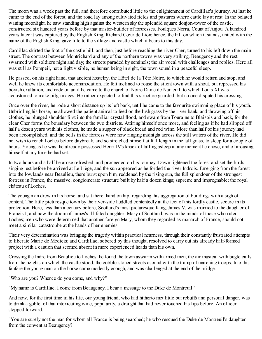The moon was a week past the full, and therefore contributed little to the enlightenment of Cardillac's journey. At last he came to the end of the forest, and the road lay among cultivated fields and pastures where cattle lay at rest. In the belated waning moonlight, he saw standing high against the western sky the splendid square donjon-tower of the castle, constructed six hundred years before by that master-builder of fortresses, Foulques Nerra, Count of Anjou. A hundred years later it was captured by the English King, Richard Cœur de Lion; hence, the hill on which it stands, united with the name of the English King, gave title to the village and castle which it bears to this day.

Cardillac skirted the foot of the castle hill, and then, just before reaching the river Cher, turned to his left down the main street. The contrast between Montrichard and any of the northern towns was very striking. Beaugency and the rest swarmed with soldiers night and day; the streets paraded by sentinels; the air vocal with challenges and replies. Here all was still as Pompeii, not a light visible, no human being in sight, the town sound in a peaceful sleep.

He passed, on his right hand, that ancient hostelry, the Hôtel de la Tête Noire, to which he would return and stop, and well he knew its comfortable accommodation. He felt inclined to rouse the silent town with a shout, but repressed his boyish exultation, and rode on until he came to the church of Notre Dame de Nanteuil, to which Louis XI was accustomed to make pilgrimages. He rather expected to find this structure guarded, but no one disputed his crossing.

Once over the river, he rode a short distance up its left bank, until he came to the favourite swimming place of his youth. Unbridling his horse, he allowed the patient animal to feed on the lush grass by the river bank, and throwing off his clothes, he plunged shoulder first into the familiar crystal flood, and swam from Touraine to Blaisois and back, for the clear Cher forms the boundary between the two districts. Attiring himself once more, and feeling as if he had slipped off half a dozen years with his clothes, he made a supper of black bread and red wine. More than half of his journey had been accomplished, and the bells in the fortress were now ringing midnight across the still waters of the river. He did not wish to reach Loches before daybreak, and so stretched himself at full length in the tall grass, to sleep for a couple of hours. Young as he was, he already possessed Henri IV's knack of falling asleep at any moment he chose, and of arousing himself at any time he had set.

In two hours and a half he arose refreshed, and proceeded on his journey. Dawn lightened the forest and set the birds singing just before he arrived at Le Liège, and the sun appeared as he forded the river Indrois. Emerging from the forest into the lowlands near Beaulieu, there burst upon him, reddened by the rising sun, the full splendour of the strongest fortress in France, the massive, conglomerate structure built by half a dozen kings; supreme and impregnable; the royal château of Loches.

The young man drew in his horse, and sat there, hand on hip, regarding this aggregation of buildings with a sigh of content. The little picturesque town by the river-side huddled contentedly at the feet of this lordly castle, secure in its protection. Here, less than a century before, Scotland's most picturesque King, James V, was married to the daughter of Francis I, and now the doom of James's ill-fated daughter, Mary of Scotland, was in the minds of those who ruled Loches; men who were determined that another foreign Mary, whom they regarded as monarch of France, should not meet a similar catastrophe at the hands of her enemies.

Their very determination was bringing the tragedy within practical nearness, through their constantly frustrated attempts to liberate Marie de Médicis; and Cardillac, sobered by this thought, resolved to carry out his already half-formed project with a caution that seemed absent in more experienced heads than his own.

Crossing the Indre from Beaulieu to Loches, he found the town aswarm with armed men, the air musical with bugle calls from the heights on which the castle stood, the cobble-stoned streets asound with the tramp of marching troops. Into this fanfare the young man on the horse came modestly enough, and was challenged at the end of the bridge.

"Who are you? Whence do you come, and why?"

"My name is Cardillac. I come from Beaugency. I bear a message to the Duke de Montreuil."

And now, for the first time in his life, our young friend, who had hitherto met little but rebuffs and personal danger, was to drink a goblet of that intoxicating wine, popularity, a draught that had never touched his lips before. An officer stepped forward.

"You are surely not the man for whom all France is being searched; he who rescued the Duke de Montreuil's daughter from the convent at Beaugency?"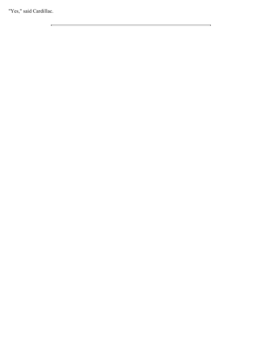"Yes," said Cardillac.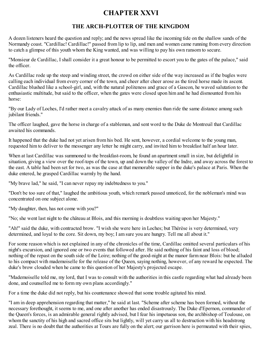# **CHAPTER XXVI**

#### **THE ARCH-PLOTTER OF THE KINGDOM**

A dozen listeners heard the question and reply; and the news spread like the incoming tide on the shallow sands of the Normandy coast. "Cardillac! Cardillac!" passed from lip to lip, and men and women came running from every direction to catch a glimpse of this youth whom the King wanted, and was willing to pay his own ransom to secure.

"Monsieur de Cardillac, I shall consider it a great honour to be permitted to escort you to the gates of the palace," said the officer.

As Cardillac rode up the steep and winding street, the crowd on either side of the way increased as if the bugles were calling each individual from every corner of the town, and cheer after cheer arose as the tired horse made its ascent. Cardillac blushed like a school-girl, and, with the natural politeness and grace of a Gascon, he waved salutation to the enthusiastic multitude, but said to the officer, when the gates were closed upon him and he had dismounted from his horse:

"By our Lady of Loches, I'd rather meet a cavalry attack of as many enemies than ride the same distance among such jubilant friends."

The officer laughed, gave the horse in charge of a stableman, and sent word to the Duke de Montreuil that Cardillac awaited his commands.

It happened that the duke had not yet arisen from his bed. He sent, however, a cordial welcome to the young man, requested him to deliver to the messenger any letter he might carry, and invited him to breakfast half an hour later.

When at last Cardillac was summoned to the breakfast-room, he found an apartment small in size, but delightful in situation, giving a view over the roof-tops of the town, up and down the valley of the Indre, and away across the forest to the east. A table had been set for two, as was the case at that memorable supper in the duke's palace at Paris. When the duke entered, he grasped Cardillac warmly by the hand.

"My brave lad," he said, "I can never repay my indebtedness to you."

"Don't be too sure of that," laughed the ambitious youth, which remark passed unnoticed, for the nobleman's mind was concentrated on one subject alone.

"My daughter, then, has not come with you?"

"No; she went last night to the château at Blois, and this morning is doubtless waiting upon her Majesty."

"Ah!" said the duke, with contracted brow. "I wish she were here in Loches; but Thérèse is very determined, very determined, and loyal to the core. Sit down, my boy; I am sure you are hungry. Tell me all about it."

For some reason which is not explained in any of the chronicles of the time, Cardillac omitted several particulars of his night's excursion, and ignored one or two events that followed after. He said nothing of his faint and loss of blood; nothing of the repast on the south side of the Loire; nothing of the good-night at the manor farm near Blois: but he alluded to his compact with mademoiselle for the release of the Queen, saying nothing, however, of any reward he expected. The duke's brow clouded when he came to this question of her Majesty's projected escape.

"Mademoiselle told me, my lord, that I was to consult with the authorities in this castle regarding what had already been done, and counselled me to form my own plans accordingly."

For a time the duke did not reply, but his countenance showed that some trouble agitated his mind.

"I am in deep apprehension regarding that matter," he said at last. "Scheme after scheme has been formed, without the necessary forethought, it seems to me, and one after another has ended disastrously. The Duke d'Epernon, commander of the Queen's forces, is an admirable general rightly advised, but I fear his impetuous son, the archbishop of Toulouse, on whom the sanctity of his high and sacred office sits but lightly, will yet carry us all to destruction with his headstrong zeal. There is no doubt that the authorities at Tours are fully on the alert; our garrison here is permeated with their spies,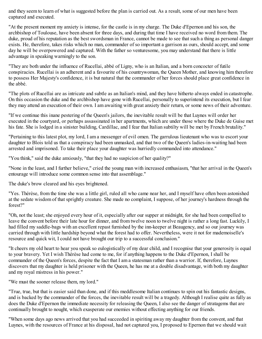and they seem to learn of what is suggested before the plan is carried out. As a result, some of our men have been captured and executed.

"At the present moment my anxiety is intense, for the castle is in my charge. The Duke d'Epernon and his son, the archbishop of Toulouse, have been absent for three days, and during that time I have received no word from them. The duke, proud of his reputation as the best swordsman in France, cannot be made to see that such a thing as personal danger exists. He, therefore, takes risks which no man, commander of so important a garrison as ours, should accept, and some day he will be overpowered and captured. With the father so venturesome, you may understand that there is little advantage in speaking warningly to the son.

"They are both under the influence of Rucellai, abbé of Ligny, who is an Italian, and a born concocter of futile conspiracies. Rucellai is an adherent and a favourite of his countrywoman, the Queen Mother, and knowing him therefore to possess Her Majesty's confidence, it is but natural that the commander of her forces should place great confidence in the abbé.

"The plots of Rucellai are as intricate and subtle as an Italian's mind, and they have hitherto always ended in catastrophe. On this occasion the duke and the archbishop have gone with Rucellai, personally to superintend its execution, but I fear they may attend an execution of their own. I am awaiting with great anxiety their return, or some news of their adventure.

"If we continue this inane pestering of the Queen's jailors, the inevitable result will be that Luynes will order her executed in the courtyard, or perhaps assassinated in her apartments, which are under those where the Duke de Guise met his fate. She is lodged in a sinister building, Cardillac, and I fear that Italian subtilty will be met by French brutality."

"Pertaining to this latest plot, my lord, I am a messenger of evil omen. The garrulous lieutenant who was to escort your daughter to Blois told us that a conspiracy had been unmasked, and that two of the Queen's ladies-in-waiting had been arrested and imprisoned. To take their place your daughter was hurriedly commanded into attendance."

"You think," said the duke anxiously, "that they had no suspicion of her quality?"

"None in the least, and I further believe," cried the young man with increased enthusiasm, "that her arrival in the Queen's entourage will introduce some common sense into that assemblage."

The duke's brow cleared and his eyes brightened.

"Yes. Thérèse, from the time she was a little girl, ruled all who came near her, and I myself have often been astonished at the sedate wisdom of that sprightly creature. She made no complaint, I suppose, of her journey's hardness through the forest?"

"Oh, not the least; she enjoyed every hour of it, especially after our supper at midnight, for she had been compelled to leave the convent before their late hour for dinner, and from twelve noon to twelve night is rather a long fast. Luckily, I had filled my saddle-bags with an excellent repast furnished by the inn-keeper at Beaugency, and so our journey was carried through with little hardship beyond what the forest had to offer. Nevertheless, were it not for mademoiselle's resource and quick wit, I could not have brought our trip to a successful conclusion."

"It cheers my old heart to hear you speak so eulogistically of my dear child, and I recognise that your generosity is equal to your bravery. Yet I wish Thérèse had come to me, for if anything happens to the Duke d'Epernon, I shall be commander of the Queen's forces, despite the fact that I am a statesman rather than a warrior. If, therefore, Luynes discovers that my daughter is held prisoner with the Queen, he has me at a double disadvantage, with both my daughter and my royal mistress in his power."

"We must the sooner release them, my lord."

"True, true, but that is easier said than done, and if this meddlesome Italian continues to spin out his fantastic designs, and is backed by the commander of the forces, the inevitable result will be a tragedy. Although I realise quite as fully as does the Duke d'Epernon the immediate necessity for releasing the Queen, I also see the danger of stratagems that are continually brought to nought, which exasperate our enemies without effecting anything for our friends.

"When some days ago news arrived that you had succeeded in spiriting away my daughter from the convent, and that Luynes, with the resources of France at his disposal, had not captured you, I proposed to Epernon that we should wait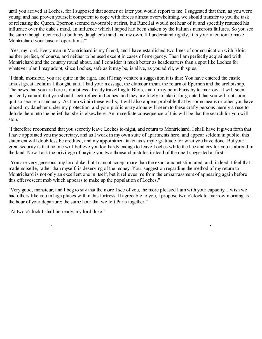until you arrived at Loches, for I supposed that sooner or later you would report to me. I suggested that then, as you were young, and had proven yourself competent to cope with forces almost overwhelming, we should transfer to you the task of releasing the Queen. Epernon seemed favourable at first, but Rucellai would not hear of it, and speedily resumed his influence over the duke's mind, an influence which I hoped had been shaken by the Italian's numerous failures. So you see the same thought occurred to both my daughter's mind and my own. If I understand rightly, it is your intention to make Montrichard your base of operations?"

"Yes, my lord. Every man in Montrichard is my friend, and I have established two lines of communication with Blois, neither perfect, of course, and neither to be used except in cases of emergency. Then I am perfectly acquainted with Montrichard and the country round about, and I consider it much better as headquarters than a spot like Loches for whatever plan I may adopt, since Loches, safe as it may be, is alive, as you admit, with spies."

"I think, monsieur, you are quite in the right, and if I may venture a suggestion it is this: You have entered the castle amidst great acclaim. I thought, until I had your message, the clamour meant the return of Epernon and the archbishop. The news that you are here is doubtless already travelling to Blois, and it may be in Paris by to-morrow. It will seem perfectly natural that you should seek refuge in Loches, and they are likely to take it for granted that you will not soon quit so secure a sanctuary. As I am within these walls, it will also appear probable that by some means or other you have placed my daughter under my protection, and your public entry alone will seem to these crafty persons merely a ruse to delude them into the belief that she is elsewhere. An immediate consequence of this will be that the search for you will stop.

"I therefore recommend that you secretly leave Loches to-night, and return to Montrichard. I shall have it given forth that I have appointed you my secretary, and as I work in my own suite of apartments here, and appear seldom in public, this statement will doubtless be credited, and my appointment taken as simple gratitude for what you have done. But your great security is that no one will believe you foolhardy enough to leave Loches while the hue and cry for you is abroad in the land. Now I ask the privilege of paying you two thousand pistoles instead of the one I suggested at first."

"You are very generous, my lord duke, but I cannot accept more than the exact amount stipulated, and, indeed, I feel that mademoiselle, rather than myself, is deserving of the money. Your suggestion regarding the method of my return to Montrichard is not only an excellent one in itself, but it relieves me from the embarrassment of appearing again before this effervescent mob which appears to make up the population of Loches."

"Very good, monsieur, and I beg to say that the more I see of you, the more pleased I am with your capacity. I wish we had others like you in high places within this fortress. If agreeable to you, I propose two o'clock to-morrow morning as the hour of your departure; the same hour that we left Paris together."

"At two o'clock I shall be ready, my lord duke."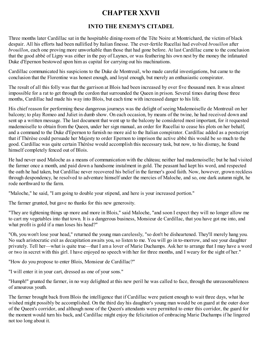# **CHAPTER XXVII**

### **INTO THE ENEMY'S CITADEL**

Three months later Cardillac sat in the hospitable dining-room of the Tête Noire at Montrichard, the victim of black despair. All his efforts had been nullified by Italian finesse. The ever-fertile Rucellai had evolved *brouillon* after *brouillon*, each one proving more unworkable than those that had gone before. At last Cardillac came to the conclusion that the good abbé of Ligny was either in the pay of Luynes, or was feathering his own nest by the money the infatuated Duke d'Epernon bestowed upon him as capital for carrying out his machinations.

Cardillac communicated his suspicions to the Duke de Montreuil, who made careful investigations, but came to the conclusion that the Florentine was honest enough, and loyal enough, but merely an enthusiastic conspirator.

The result of all this folly was that the garrison at Blois had been increased by over five thousand men. It was almost impossible for a rat to get through the cordon that surrounded the Queen in prison. Several times during those three months, Cardillac had made his way into Blois, but each time with increased danger to his life.

His chief reason for performing these dangerous journeys was the delight of seeing Mademoiselle de Montreuil on her balcony; to play Romeo and Juliet in dumb show. On each occasion, by means of the twine, he had received down and sent up a written message. The last document that went up to the balcony he considered most important, for it requested mademoiselle to obtain from the Queen, under her sign manual, an order for Rucellai to cease his plots on her behalf, and a command to the Duke d'Epernon to furnish no more aid to the Italian conspirator. Cardillac added as a postscript that if Thérèse could persuade her Majesty to order Epernon to imprison the active abbé this would be so much to the good. Cardillac was quite certain Thérèse would accomplish this necessary task, but now, to his dismay, he found himself completely fenced out of Blois.

He had never used Maloche as a means of communication with the château; neither had mademoiselle; but he had visited the farmer once a month, and paid down a handsome instalment in gold. The peasant had kept his word, and respected the oath he had taken, but Cardillac never recovered his belief in the farmer's good faith. Now, however, grown reckless through despondency, he resolved to adventure himself under the mercies of Maloche, and so, one dark autumn night, he rode northward to the farm.

"Maloche," he said, "I am going to double your stipend, and here is your increased portion."

The farmer grunted, but gave no thanks for this new generosity.

"They are tightening things up more and more in Blois," said Maloche, "and soon I expect they will no longer allow me to cart my vegetables into that town. It is a dangerous business, Monsieur de Cardillac, that you have got me into, and what profit is gold if a man loses his head?"

"Oh, you won't lose your head," returned the young man carelessly, "so don't be disheartened. They'll merely hang you. No such aristocratic exit as decapitation awaits you, so listen to me. You will go in to-morrow, and see your daughter privately. Tell her—what is quite true—that I am a lover of Marie Duchamps. Ask her to arrange that I may have a word or two in secret with this girl. I have enjoyed no speech with her for three months, and I weary for the sight of her."

"How do you propose to enter Blois, Monsieur de Cardillac?"

"I will enter it in your cart, dressed as one of your sons."

"Humph!" grunted the farmer, in no way delighted at this new peril he was called to face, through the unreasonableness of amourous youth.

The farmer brought back from Blois the intelligence that if Cardillac were patient enough to wait three days, what he wished might possibly be accomplished. On the third day his daughter's young man would be on guard at the outer door of the Queen's corridor, and although none of the Queen's attendants were permitted to enter this corridor, the guard for the moment would turn his back, and Cardillac might enjoy the felicitation of embracing Marie Duchamps if he lingered not too long about it.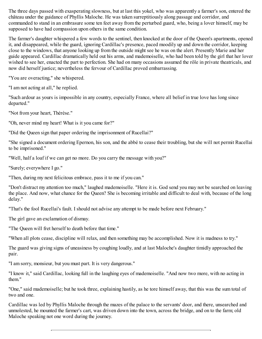The three days passed with exasperating slowness, but at last this yokel, who was apparently a farmer's son, entered the château under the guidance of Phyllis Maloche. He was taken surreptitiously along passage and corridor, and commanded to stand in an embrasure some ten feet away from the perturbed guard, who, being a lover himself, may be supposed to have had compassion upon others in the same condition.

The farmer's daughter whispered a few words to the sentinel, then knocked at the door of the Queen's apartments, opened it, and disappeared, while the guard, ignoring Cardillac's presence, paced moodily up and down the corridor, keeping close to the windows, that anyone looking up from the outside might see he was on the alert. Presently Marie and her guide appeared. Cardillac dramatically held out his arms, and mademoiselle, who had been told by the girl that her lover wished to see her, enacted the part to perfection. She had on many occasions assumed the rôle in private theatricals, and now did herself justice; nevertheless the fervour of Cardillac proved embarrassing.

"You are overacting," she whispered.

"I am not acting at all," he replied.

"Such ardour as yours is impossible in any country, especially France, where all belief in true love has long since departed."

"Not from your heart, Thérèse."

"Oh, never mind my heart! What is it you came for?"

"Did the Queen sign that paper ordering the imprisonment of Rucellai?"

"She signed a document ordering Epernon, his son, and the abbé to cease their troubling, but she will not permit Rucellai to be imprisoned."

"Well, half a loaf if we can get no more. Do you carry the message with you?"

"Surely; everywhere I go."

"Then, during my next felicitous embrace, pass it to me if you can."

"Don't distract my attention too much," laughed mademoiselle. "Here it is. God send you may not be searched on leaving the place. And now, what chance for the Queen? She is becoming irritable and difficult to deal with, because of the long delay."

"That's the fool Rucellai's fault. I should not advise any attempt to be made before next February."

The girl gave an exclamation of dismay.

"The Queen will fret herself to death before that time."

"When all plots cease, discipline will relax, and then something may be accomplished. Now it is madness to try."

The guard was giving signs of uneasiness by coughing loudly, and at last Maloche's daughter timidly approached the pair.

"I am sorry, monsieur, but you must part. It is very dangerous."

"I know it," said Cardillac, looking full in the laughing eyes of mademoiselle. "And now two more, with no acting in them"

"One," said mademoiselle; but he took three, explaining hastily, as he tore himself away, that this was the sum total of two and one.

Cardillac was led by Phyllis Maloche through the mazes of the palace to the servants' door, and there, unsearched and unmolested, he mounted the farmer's cart, was driven down into the town, across the bridge, and on to the farm; old Maloche speaking not one word during the journey.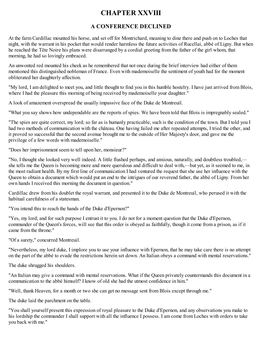# **CHAPTER XXVIII**

### **A CONFERENCE DECLINED**

At the farm Cardillac mounted his horse, and set off for Montrichard, meaning to dine there and push on to Loches that night, with the warrant in his pocket that would render harmless the future activities of Rucellai, abbé of Ligny. But when he reached the Tête Noire his plans were disarranged by a cordial greeting from the father of the girl whom, that morning, he had so lovingly embraced.

An unwonted red mounted his cheek as he remembered that not once during the brief interview had either of them mentioned this distinguished nobleman of France. Even with mademoiselle the sentiment of youth had for the moment obliterated her daughterly affection.

"My lord, I am delighted to meet you, and little thought to find you in this humble hostelry. I have just arrived from Blois, where I had the pleasure this morning of being received by mademoiselle your daughter."

A look of amazement overspread the usually impassive face of the Duke de Montreuil.

"What you say shows how undependable are the reports of spies. We have been told that Blois is impregnably sealed."

"The spies are quite correct, my lord; so far as is humanly practicable, such is the condition of the town. But I told you I had two methods of communication with the château. One having failed me after repeated attempts, I tried the other, and it proved so successful that the second avenue brought me to the outside of Her Majesty's door, and gave me the privilege of a few words with mademoiselle."

"Does her imprisonment seem to tell upon her, monsieur?"

"No, I thought she looked very well indeed. A little flushed perhaps, and anxious, naturally, and doubtless troubled, she tells me the Queen is becoming more and more querulous and difficult to deal with,—but yet, as it seemed to me, in the most radiant health. By my first line of communication I had ventured the request that she use her influence with the Queen to obtain a document which would put an end to the intrigues of our reverend father, the abbé of Ligny. From her own hands I received this morning the document in question."

Cardillac drew from his doublet the royal warrant, and presented it to the Duke de Montreuil, who perused it with the habitual carefulness of a statesman.

"You intend this to reach the hands of the Duke d'Epernon?"

"Yes, my lord; and for such purpose I entrust it to you. I do not for a moment question that the Duke d'Epernon, commander of the Queen's forces, will see that this order is obeyed as faithfully, though it come from a prison, as if it came from the throne."

"Of a surety," concurred Montreuil.

"Nevertheless, my lord duke, I implore you to use your influence with Epernon, that he may take care there is no attempt on the part of the abbé to evade the restrictions herein set down. An Italian obeys a command with mental reservations."

The duke shrugged his shoulders.

"An Italian may *give* a command with mental reservations. What if the Queen privately countermands this document in a communication to the abbé himself? I know of old she had the utmost confidence in him."

"Well, thank Heaven, for a month or two she can get no message sent from Blois except through me."

The duke laid the parchment on the table.

"You shall yourself present this expression of royal pleasure to the Duke d'Epernon, and any observations you make to his lordship the commander I shall support with all the influence I possess. I am come from Loches with orders to take you back with me."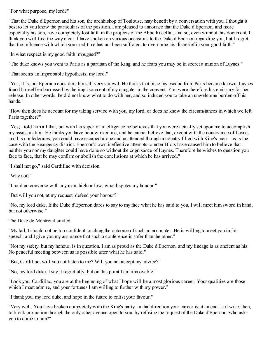"For what purpose, my lord?"

"That the Duke d'Epernon and his son, the archbishop of Toulouse, may benefit by a conversation with you. I thought it best to let you know the particulars of the position. I am pleased to announce that the Duke d'Epernon, and more especially his son, have completely lost faith in the projects of the Abbé Rucellai, and so, even without this document, I think you will find the way clear. I have spoken on various occasions to the Duke d'Epernon regarding you, but I regret that the influence with which you credit me has not been sufficient to overcome his disbelief in your good faith."

"In what respect is my good faith impugned?"

"The duke knows you went to Paris as a partisan of the King, and he fears you may be in secret a minion of Luynes."

"That seems an improbable hypothesis, my lord."

"Yes, it is, but Epernon considers himself very shrewd. He thinks that once my escape from Paris became known, Luynes found himself embarrassed by the imprisonment of my daughter in the convent. You were therefore his emissary for her release. In other words, he did not know what to do with her, and so induced you to take an unwelcome burden off his hands."

"How then does he account for my taking service with you, my lord, or does he know the circumstances in which we left Paris together?"

"Yes; I told him all that, but with his superior intelligence he believes that you were actually set upon me to accomplish my assassination. He thinks you have hoodwinked me, and he cannot believe that, except with the connivance of Luynes and his confederates, you could have escaped alone and unattended through a country filled with King's men—as is the case with the Beaugency district. Epernon's own ineffective attempts to enter Blois have caused him to believe that neither you nor my daughter could have done so without the cognisance of Luynes. Therefore he wishes to question you face to face, that he may confirm or abolish the conclusions at which he has arrived."

"I shall not go," said Cardillac with decision.

"Why not?"

"I hold no converse with any man, high or low, who disputes my honour."

"But will you not, at my request, defend your honour?"

"No, my lord duke. If the Duke d'Epernon dares to say to my face what he has said to you, I will meet him sword in hand, but not otherwise."

The Duke de Montreuil smiled.

"My lad, I should not be too confident touching the outcome of such an encounter. He is willing to meet you in fair speech, and I give you my assurance that such a conference is safer than the other."

"Not my safety, but my honour, is in question. I am as proud as the Duke d'Epernon, and my lineage is as ancient as his. No peaceful meeting between us is possible after what he has said."

"But, Cardillac, will you not listen to me? Will you not accept my advice?"

"No, my lord duke. I say it regretfully, but on this point I am immovable."

"Look you, Cardillac, you are at the beginning of what I hope will be a most glorious career. Your qualities are those which I most admire, and your fortunes I am willing to further with my power."

"I thank you, my lord duke, and hope in the future to enlist your favour."

"Very well. You have broken completely with the King's party. In that direction your career is at an end. Is it wise, then, to block promotion through the only other avenue open to you, by refusing the request of the Duke d'Epernon, who asks you to come to him?"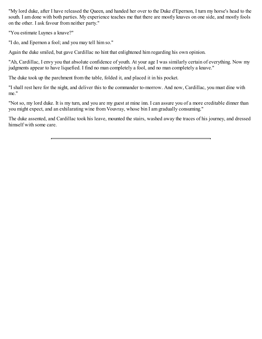"My lord duke, after I have released the Queen, and handed her over to the Duke d'Epernon, I turn my horse's head to the south. I am done with both parties. My experience teaches me that there are mostly knaves on one side, and mostly fools on the other. I ask favour from neither party."

"You estimate Luynes a knave?"

"I do, and Epernon a fool; and you may tell him so."

Again the duke smiled, but gave Cardillac no hint that enlightened him regarding his own opinion.

"Ah, Cardillac, I envy you that absolute confidence of youth. At your age I was similarly certain of everything. Now my judgments appear to have liquefied. I find no man completely a fool, and no man completely a knave."

The duke took up the parchment from the table, folded it, and placed it in his pocket.

"I shall rest here for the night, and deliver this to the commander to-morrow. And now, Cardillac, you must dine with me."

"Not so, my lord duke. It is my turn, and you are my guest at mine inn. I can assure you of a more creditable dinner than you might expect, and an exhilarating wine from Vouvray, whose bin I am gradually consuming."

The duke assented, and Cardillac took his leave, mounted the stairs, washed away the traces of his journey, and dressed himself with some care.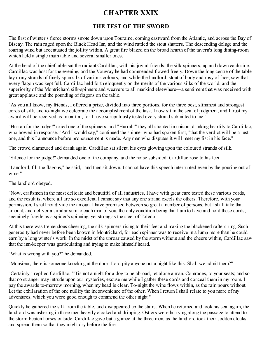# **CHAPTER XXIX**

### **THE TEST OF THE SWORD**

The first of winter's fierce storms smote down upon Touraine, coming eastward from the Atlantic, and across the Bay of Biscay. The rain raged upon the Black Head Inn, and the wind rattled the stout shutters. The descending deluge and the roaring wind but accentuated the jollity within. A great fire blazed on the broad hearth of the tavern's long dining-room, which held a single main table and several smaller ones.

At the head of the chief table sat the radiant Cardillac, with his jovial friends, the silk-spinners, up and down each side. Cardillac was host for the evening, and the Vouvray he had commended flowed freely. Down the long centre of the table lay many strands of finely spun silk of various colours, and while the landlord, stout of body and rosy of face, saw that every flagon was kept full, Cardillac held forth eloquently on the merits of the various silks of the world, and the superiority of the Montrichard silk-spinners and weavers to all mankind elsewhere—a sentiment that was received with great applause and the pounding of flagons on the table.

"As you all know, my friends, I offered a prize, divided into three portions, for the three best, slimmest and strongest cords of silk, and to-night we celebrate the accomplishment of the task. I now sit in the seat of judgment, and I trust my award will be received as impartial, for I have scrupulously tested every strand submitted to me."

"Hurrah for the judge!" cried one of the spinners, and "Hurrah!" they all shouted in unison, drinking heartily to Cardillac, who bowed in response. "And I would say," continued the spinner who had spoken first, "that the verdict will be a just one, and this I announce before pronouncement is made. Any man who disputes it will meet my fist in his face."

The crowd clamoured and drank again. Cardillac sat silent, his eyes glowing upon the coloured strands of silk.

"Silence for the judge!" demanded one of the company, and the noise subsided. Cardillac rose to his feet.

"Landlord, fill the flagons," he said, "and then sit down. I cannot have this speech interrupted even by the pouring out of wine."

#### The landlord obeyed.

"Now, craftsmen in the most delicate and beautiful of all industries, I have with great care tested these various cords, and the result is, where all are so excellent, I cannot say that any one strand excels the others. Therefore, with your permission, I shall not divide the amount I have promised between so great a number of persons, but I shall take that amount, and deliver a similar sum to each man of you, the only condition being that I am to have and hold these cords, seemingly fragile as a spider's spinning, yet strong as the steel of Toledo."

At this there was tremendous cheering, the silk-spinners rising to their feet and making the blackened rafters ring. Such generosity had never before been known in Montrichard, for each spinner was to receive in a lump more than he could earn by a long winter's work. In the midst of the uproar caused by the storm without and the cheers within, Cardillac saw that the inn-keeper was gesticulating and trying to make himself heard.

"What is wrong with you?" he demanded.

"Monsieur, there is someone knocking at the door. Lord pity anyone out a night like this. Shall we admit them?"

"Certainly," replied Cardillac. "'Tis not a night for a dog to be abroad, let alone a man. Comrades, to your seats; and so that no stranger may intrude upon our mysteries, excuse me while I gather these cords and conceal them in my room. I pay the awards to-morrow morning, when my head is clear. To-night the wine flows within, as the rain pours without. Let the exhilaration of the one nullify the inconvenience of the other. When I return I shall relate to you more of my adventures, which you were good enough to commend the other night."

Quickly he gathered the silk from the table, and disappeared up the stairs. When he returned and took his seat again, the landlord was ushering in three men heavily cloaked and dripping. Ostlers were hurrying along the passage to attend to the storm-beaten horses outside. Cardillac gave but a glance at the three men, as the landlord took their sodden cloaks and spread them so that they might dry before the fire.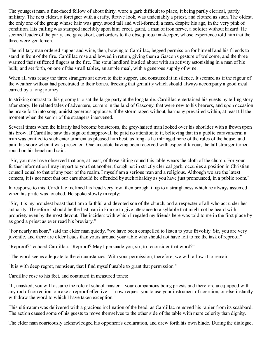The youngest man, a fine-faced fellow of about thirty, wore a garb difficult to place, it being partly clerical, partly military. The next eldest, a foreigner with a crafty, furtive look, was undeniably a priest, and clothed as such. The oldest, the only one of the group whose hair was grey, stood tall and well-formed; a man, despite his age, in the very pink of condition. His calling was stamped indelibly upon him; erect, gaunt, a man of iron nerve, a soldier without hazard. He seemed leader of the party, and gave short, curt orders to the obsequious inn-keeper, whose experience told him that the three were gentlemen.

The military man ordered supper and wine, then, bowing to Cardillac, begged permission for himself and his friends to stand in front of the fire. Cardillac rose and bowed in return, giving them a Gascon's gesture of welcome, and the three warmed their stiffened fingers at the fire. The stout landlord bustled about with an activity astonishing in a man of his bulk, and set forth, on one of the small tables, an ample meal, with a generous supply of wine.

When all was ready the three strangers sat down to their supper, and consumed it in silence. It seemed as if the rigour of the weather without had penetrated to their bones, freezing that geniality which should always accompany a good meal earned by a long journey.

In striking contrast to this gloomy trio sat the large party at the long table. Cardillac entertained his guests by telling story after story. He related tales of adventure, current in the land of Gascony, that were new to his hearers, and upon occasion he broke forth into song, amidst generous applause. If the storm raged without, harmony prevailed within, at least till the moment when the senior of the strangers intervened.

Several times when the hilarity had become boisterous, the grey-haired man looked over his shoulder with a frown upon his brow. If Cardillac saw this sign of disapproval, he paid no attention to it, believing that in a public caravanserai a man was entitled to such entertainment as pleased him best, as long as he infringed none of the rules of the house, and paid his score when it was presented. One anecdote having been received with especial favour, the tall stranger turned round on his bench and said:

"Sir, you may have observed that one, at least, of those sitting round this table wears the cloth of the church. For your further information I may impart to you that another, though not in strictly clerical garb, occupies a position in Christian council equal to that of any peer of the realm. I myself am a serious man and a religious. Although we are the latest comers, it is not meet that our ears should be offended by such ribaldry as you have just pronounced, in a public room."

In response to this, Cardillac inclined his head very low, then brought it up to a straightness which he always assumed when his pride was touched. He spoke slowly in reply:

"Sir, it is my proudest boast that I am a faithful and devoted son of the church, and a respecter of all who act under her authority. Therefore I should be the last man in France to give utterance to a syllable that might not be heard with propriety even by the most devout. The incident with which I regaled my friends here was told to me in the first place by as good a priest as ever read his breviary."

"For nearly an hour," said the elder man quietly, "we have been compelled to listen to your frivolity. Sir, you are very juvenile, and there are older heads than yours around your table who should not have left to me the task of reproof."

"Reproof?" echoed Cardillac. "Reproof? May I persuade you, sir, to reconsider that word?"

"The word seems adequate to the circumstances. With your permission, therefore, we will allow it to remain."

"It is with deep regret, monsieur, that I find myself unable to grant that permission."

Cardillac rose to his feet, and continued in measured tones:

"If, unasked, you will assume the rôle of school-master—your companions being priests and therefore unequipped with any rod of correction to make a reproof effective—I now request you to use your instrument of coercion, or else instantly withdraw the word to which I have taken exception."

This ultimatum was delivered with a gracious inclination of the head, as Cardillac removed his rapier from its scabbard. The action caused some of his guests to move themselves to the other side of the table with more celerity than dignity.

The elder man courteously acknowledged his opponent's declaration, and drew forth his own blade. During the dialogue,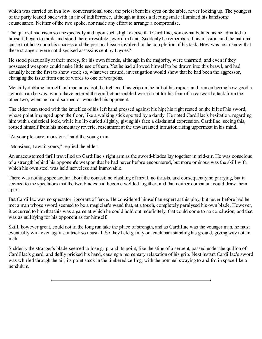which was carried on in a low, conversational tone, the priest bent his eyes on the table, never looking up. The youngest of the party leaned back with an air of indifference, although at times a fleeting smile illumined his handsome countenance. Neither of the two spoke, nor made any effort to arrange a compromise.

The quarrel had risen so unexpectedly and upon such slight excuse that Cardillac, somewhat belated as he admitted to himself, began to think, and stood there irresolute, sword in hand. Suddenly he remembered his mission, and the national cause that hung upon his success and the personal issue involved in the completion of his task. How was he to know that these strangers were not disguised assassins sent by Luynes?

He stood practically at their mercy, for his own friends, although in the majority, were unarmed, and even if they possessed weapons could make little use of them. Yet he had allowed himself to be drawn into this brawl, and had actually been the first to show steel; so, whatever ensued, investigation would show that he had been the aggressor, changing the issue from one of words to one of weapons.

Mentally dubbing himself an impetuous fool, he tightened his grip on the hilt of his rapier, and, remembering how good a swordsman he was, would have entered the conflict untroubled were it not for his fear of a rearward attack from the other two, when he had disarmed or wounded his opponent.

The elder man stood with the knuckles of his left hand pressed against his hip; his right rested on the hilt of his sword, whose point impinged upon the floor, like a walking stick sported by a dandy. He noted Cardillac's hesitation, regarding him with a quizzical look, while his lip curled slightly, giving his face a disdainful expression. Cardillac, seeing this, roused himself from his momentary reverie, resentment at the unwarranted intrusion rising uppermost in his mind.

"At your pleasure, monsieur," said the young man.

"Monsieur, I await yours," replied the elder.

An unaccustomed thrill travelled up Cardillac's right arm as the sword-blades lay together in mid-air. He was conscious of a strength behind his opponent's weapon that he had never before encountered, but more ominous was the skill with which his own steel was held nerveless and immovable.

There was nothing spectacular about the contest; no clashing of metal, no thrusts, and consequently no parrying, but it seemed to the spectators that the two blades had become welded together, and that neither combatant could draw them apart.

But Cardillac was no spectator, ignorant of fence. He considered himself an expert at this play, but never before had he met a man whose sword seemed to be a magician's wand that, at a touch, completely paralysed his own blade. However, it occurred to him that this was a game at which he could hold out indefinitely, that could come to no conclusion, and that was as nullifying for his opponent as for himself.

Skill, however great, could not in the long run take the place of strength, and as Cardillac was the younger man, he must eventually win, even against a trick so unusual. So they held grimly on, each man standing his ground, giving way not an inch.

Suddenly the stranger's blade seemed to lose grip, and its point, like the sting of a serpent, passed under the quillon of Cardillac's guard, and deftly pricked his hand, causing a momentary relaxation of his grip. Next instant Cardillac's sword was whirled through the air, its point stuck in the timbered ceiling, with the pommel swaying to and fro in space like a pendulum.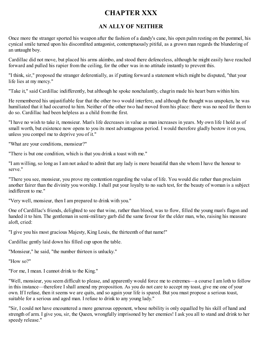## **CHAPTER XXX**

### **AN ALLY OF NEITHER**

Once more the stranger sported his weapon after the fashion of a dandy's cane, his open palm resting on the pommel, his cynical smile turned upon his discomfited antagonist, contemptuously pitiful, as a grown man regards the blundering of an untaught boy.

Cardillac did not move, but placed his arms akimbo, and stood there defenceless, although he might easily have reached forward and pulled his rapier from the ceiling, for the other was in no attitude instantly to prevent this.

"I think, sir," proposed the stranger deferentially, as if putting forward a statement which might be disputed, "that your life lies at my mercy."

"Take it," said Cardillac indifferently, but although he spoke nonchalantly, chagrin made his heart burn within him.

He remembered his unjustifiable fear that the other two would interfere, and although the thought was unspoken, he was humiliated that it had occurred to him. Neither of the other two had moved from his place: there was no need for them to do so. Cardillac had been helpless as a child from the first.

"I have no wish to take it, monsieur. Man's life decreases in value as man increases in years. My own life I hold as of small worth, but existence now opens to you its most advantageous period. I would therefore gladly bestow it on you, unless you compel me to deprive you of it."

"What are your conditions, monsieur?"

"There is but one condition, which is that you drink a toast with me."

"I am willing, so long as I am not asked to admit that any lady is more beautiful than she whom I have the honour to serve."

"There you see, monsieur, you prove my contention regarding the value of life. You would die rather than proclaim another fairer than the divinity you worship. I shall put your loyalty to no such test, for the beauty of woman is a subject indifferent to me."

"Very well, monsieur, then I am prepared to drink with you."

One of Cardillac's friends, delighted to see that wine, rather than blood, was to flow, filled the young man's flagon and handed it to him. The gentleman in semi-military garb did the same favour for the elder man, who, raising his measure aloft, cried:

"I give you his most gracious Majesty, King Louis, the thirteenth of that name!"

Cardillac gently laid down his filled cup upon the table.

"Monsieur," he said, "the number thirteen is unlucky."

"How so?"

"For me, I mean. I cannot drink to the King."

"Well, monsieur, you seem difficult to please, and apparently would force me to extremes—a course I am loth to follow in this instance—therefore I shall amend my proposition. As you do not care to accept my toast, give me one of your own. If I refuse, then it seems we are quits, and so again your life is spared. But you must propose a serious toast, suitable for a serious and aged man. I refuse to drink to any young lady."

"Sir, I could not have encountered a more generous opponent, whose nobility is only equalled by his skill of hand and strength of arm. I give you, sir, the Queen, wrongfully imprisoned by her enemies! I ask you all to stand and drink to her speedy release."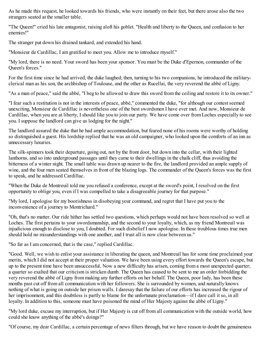As he made this request, he looked towards his friends, who were instantly on their feet, but there arose also the two strangers seated at the smaller table.

"The Queen!" cried his late antagonist, raising aloft his goblet. "Health and liberty to the Queen, and confusion to her enemies!"

The stranger put down his drained tankard, and extended his hand.

"Monsieur de Cardillac, I am gratified to meet you. Allow me to introduce myself."

"My lord, there is no need. Your sword has been your sponsor. You must be the Duke d'Epernon, commander of the Queen's forces."

For the first time since he had arrived, the duke laughed; then, turning to his two companions, he introduced the militaryclerical man as his son, the archbishop of Toulouse, and the other as Rucellai, the very reverend the abbé of Ligny.

"As a man of peace," said the abbé, "I beg to be allowed to draw this sword from the ceiling and restore it to its owner."

"I fear such a restitution is not in the interests of peace, abbé," commented the duke, "for although our contest seemed unexciting, Monsieur de Cardillac is nevertheless one of the best swordsmen I have ever met. And now, Monsieur de Cardillac, when you are at liberty, I should like you to join our party. We have come over from Loches especially to see you. I suppose the landlord can give us lodging for the night."

The landlord assured the duke that he had ample accommodation, but feared none of his rooms were worthy of holding so distinguished a guest. His lordship replied that he was an old campaigner, who looked upon the comforts of an inn as unnecessary luxuries.

The silk-spinners took their departure, going out, not by the front door, but down into the cellar, with their lighted lanthorns, and so into underground passages until they came to their dwellings in the chalk cliff, thus avoiding the bitterness of a winter night. The small table was drawn up nearer to the fire, the landlord provided an ample supply of wine, and the four men seated themselves in front of the blazing logs. The commander of the Queen's forces was the first to speak, and he addressed Cardillac.

"When the Duke de Montreuil told me you refused a conference, except at the sword's point, I resolved on the first opportunity to oblige you, even if I was compelled to take a disagreeable journey for that purpose."

"My lord, I apologise for my boorishness in disobeying your command, and regret that I have put you to the inconvenience of a journey to Montrichard."

"Oh, that's no matter. Our ride hither has settled two questions, which perhaps would not have been resolved so well at Loches. The first pertains to your swordsmanship, and the second to your loyalty, which, as my friend Montreuil was injudicious enough to disclose to you, I doubted. For such disbelief I now apologise. In these troublous times true men should hold no misunderstandings with one another, and I trust all is now clear between us."

"So far as I am concerned, that is the case," replied Cardillac.

"Good. Well, we wish to enlist your assistance in liberating the queen, and Montreuil has for some time proclaimed your merits, which I did not accept at their proper valuation. We have been using every effort towards the Queen's escape, but up to the present time have been unsuccessful. Now a new difficulty has arisen, coming from a most unexpected quarter; a quarter so exalted that our criticism is stricken dumb. The Queen has caused to be sent to me an order forbidding the very reverend the abbé of Ligny from making any further efforts on her behalf. The Queen, poor lady, has been these months past cut off from all communication with her followers. She is surrounded by women, and naturally knows nothing of what is going on outside her prison walls. I daresay that the failure of our efforts has increased the rigour of her imprisonment, and this doubtless is partly to blame for the unfortunate proclamation—if I dare call it so, in all loyalty. In addition to this, someone must have poisoned the mind of Her Majesty against the abbé of Ligny."

"My lord duke, excuse my interruption, but if Her Majesty is cut off from all communication with the outside world, how could she know anything of the abbé's doings?"

"Of course, my dear Cardillac, a certain percentage of news filters through, but we have reason to doubt the genuineness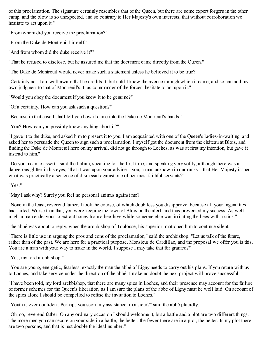of this proclamation. The signature certainly resembles that of the Queen, but there are some expert forgers in the other camp, and the blow is so unexpected, and so contrary to Her Majesty's own interests, that without corroboration we hesitate to act upon it."

"From whom did you receive the proclamation?"

"From the Duke de Montreuil himself."

"And from whom did the duke receive it?"

"That he refused to disclose, but he assured me that the document came directly from the Queen."

"The Duke de Montreuil would never make such a statement unless he believed it to be true?"

"Certainly not. I am well aware that he credits it, but until I know the avenue through which it came, and so can add my own judgment to that of Montreuil's, I, as commander of the forces, hesitate to act upon it."

"Would you obey the document if you knew it to be genuine?"

"Of a certainty. How can you ask such a question?"

"Because in that case I shall tell you how it came into the Duke de Montreuil's hands."

"You? How can you possibly know anything about it?"

"I gave it to the duke, and asked him to present it to you. I am acquainted with one of the Queen's ladies-in-waiting, and asked her to persuade the Queen to sign such a proclamation. I myself got the document from the château at Blois, and finding the Duke de Montreuil here on my arrival, did not go through to Loches, as was at first my intention, but gave it instead to him."

"Do you mean to assert," said the Italian, speaking for the first time, and speaking very softly, although there was a dangerous glitter in his eyes, "that it was upon your advice—you, a man unknown in our ranks—that Her Majesty issued what was practically a sentence of dismissal against one of her most faithful servants?"

"Yes."

"May I ask why? Surely you feel no personal animus against me?"

"None in the least, reverend father. I took the course, of which doubtless you disapprove, because all your ingenuities had failed. Worse than that, you were keeping the town of Blois on the alert, and thus prevented my success. As well might a man endeavour to extract honey from a bee-hive while someone else was irritating the bees with a stick."

The abbé was about to reply, when the archbishop of Toulouse, his superior, motioned him to continue silent.

"There is little use in arguing the pros and cons of the proclamation," said the archbishop. "Let us talk of the future, rather than of the past. We are here for a practical purpose, Monsieur de Cardillac, and the proposal we offer you is this. You are a man with your way to make in the world. I suppose I may take that for granted?"

"Yes, my lord archbishop."

"You are young, energetic, fearless; exactly the man the abbé of Ligny needs to carry out his plans. If you return with us to Loches, and take service under the direction of the abbé, I make no doubt the next project will prove successful."

"I have been told, my lord archbishop, that there are many spies in Loches, and their presence may account for the failure of former schemes for the Queen's liberation, as I am sure the plans of the abbé of Ligny must be well laid. On account of the spies alone I should be compelled to refuse the invitation to Loches."

"Youth is ever confident. Perhaps you scorn my assistance, monsieur?" said the abbé placidly.

"Oh, no, reverend father. On any ordinary occasion I should welcome it, but a battle and a plot are two different things. The more men you can secure on your side in a battle, the better; the fewer there are in a plot, the better. In my plot there are two persons, and that is just double the ideal number."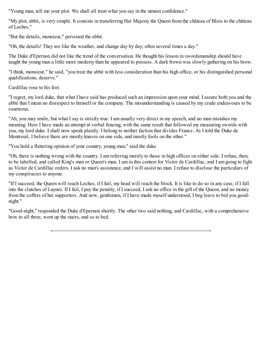"Young man, tell me your plot. We shall all treat what you say in the utmost confidence."

"My plot, abbé, is very simple. It consists in transferring Her Majesty the Queen from the château of Blois to the château of Loches."

"But the details, monsieur," persisted the abbé.

"Oh, the details! They are like the weather, and change day by day; often several times a day."

The Duke d'Epernon did not like the trend of the conversation. He thought his lesson in swordsmanship should have taught the young man a little more modesty than he appeared to possess. A dark frown was slowly gathering on his brow.

"I think, monsieur," he said, "you treat the abbé with less consideration than his high office, or his distinguished personal qualifications, deserve."

Cardillac rose to his feet.

"I regret, my lord duke, that what I have said has produced such an impression upon your mind. I assure both you and the abbé that I mean no disrespect to himself or the company. The misunderstanding is caused by my crude endeavours to be courteous.

"Ah, you may smile, but what I say is strictly true. I am usually very direct in my speech, and no man mistakes my meaning. Here I have made an attempt at verbal fencing, with the same result that followed my measuring swords with you, my lord duke. I shall now speak plainly. I belong to neither faction that divides France. As I told the Duke de Montreuil, I believe there are mostly knaves on one side, and mostly fools on the other."

"You hold a flattering opinion of your country, young man," said the duke.

"Oh, there is nothing wrong with the country. I am referring merely to those in high offices on either side. I refuse, then, to be labelled, and called King's man or Queen's man. I am in this contest for Victor de Cardillac, and I am going to fight as Victor de Cardillac orders. I ask no man's assistance, and I will assist no man. I refuse to disclose the particulars of my conspiracies to anyone.

"If I succeed, the Queen will reach Loches; if I fail, my head will reach the block. It is like to do so in any case, if I fall into the clutches of Luynes. If I fail, I pay the penalty; if I succeed, I ask no office in the gift of the Queen, and no money from the coffers of her supporters. And now, gentlemen, if I have made myself understood, I beg leave to bid you goodnight."

"Good-night," responded the Duke d'Epernon shortly. The other two said nothing, and Cardillac, with a comprehensive bow to all three, went up the stairs, and so to bed.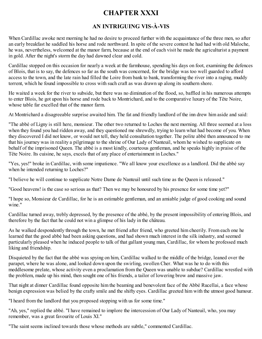# **CHAPTER XXXI**

## **AN INTRIGUING VIS-À-VIS**

When Cardillac awoke next morning he had no desire to proceed further with the acquaintance of the three men, so after an early breakfast he saddled his horse and rode northward. In spite of the severe contest he had had with old Maloche, he was, nevertheless, welcomed at the manor farm, because at the end of each visit he made the agriculturist a payment in gold. After the night's storm the day had dawned clear and cold.

Cardillac stopped on this occasion for nearly a week at the farmhouse, spending his days on foot, examining the defences of Blois, that is to say, the defences so far as the south was concerned, for the bridge was too well guarded to afford access to the town, and the late rain had filled the Loire from bank to bank, transforming the river into a raging, muddy torrent, which he found impossible to cross with such craft as was drawn up along its southern shore.

He waited a week for the river to subside, but there was no diminution of the flood, so, baffled in his numerous attempts to enter Blois, he got upon his horse and rode back to Montrichard, and to the comparative luxury of the Tête Noire, whose table far excelled that of the manor farm.

At Montrichard a disagreeable surprise awaited him. The fat and friendly landlord of the inn drew him aside and said:

"The abbé of Ligny is still here, monsieur. The other two returned to Loches the next morning. All three seemed at a loss when they found you had ridden away, and they questioned me shrewdly, trying to learn what had become of you. When they discovered I did not know, or would not tell, they held consultation together. The polite abbé then announced to me that his journey was in reality a pilgrimage to the shrine of Our Lady of Nanteuil, whom he wished to supplicate on behalf of the imprisoned Queen. The abbé is a most kindly, courteous gentleman, and he speaks highly in praise of the Tête Noire. Its cuisine, he says, excels that of any place of entertainment in Loches."

"Yes, yes!" broke in Cardillac, with some impatience. "We all know your excellence as a landlord. Did the abbé say when he intended returning to Loches?"

"I believe he will continue to supplicate Notre Dame de Nanteuil until such time as the Queen is released."

"Good heavens! is the case so serious as that? Then we may be honoured by his presence for some time yet?"

"I hope so, Monsieur de Cardillac, for he is an estimable gentleman, and an amiable judge of good cooking and sound wine."

Cardillac turned away, trebly depressed, by the presence of the abbé, by the present impossibility of entering Blois, and therefore by the fact that he could not win a glimpse of his lady in the château.

As he walked despondently through the town, he met friend after friend, who greeted him cheerily. From each one he learned that the good abbé had been asking questions, and had shown much interest in the silk industry, and seemed particularly pleased when he induced people to talk of that gallant young man, Cardillac, for whom he professed much liking and friendship.

Disquieted by the fact that the abbé was spying on him, Cardillac walked to the middle of the bridge, leaned over the parapet, where he was alone, and looked down upon the swirling, swollen Cher. What was he to do with this meddlesome prelate, whose activity even a proclamation from the Queen was unable to subdue? Cardillac wrestled with the problem, made up his mind, then sought one of his friends, a tailor of lowering brow and massive jaw.

That night at dinner Cardillac found opposite him the beaming and benevolent face of the Abbé Rucellai, a face whose benign expression was belied by the crafty smile and the shifty eyes. Cardillac greeted him with the utmost good humour.

"I heard from the landlord that you proposed stopping with us for some time."

"Ah, yes," replied the abbé. "I have remained to implore the intercession of Our Lady of Nanteuil, who, you may remember, was a great favourite of Louis XI."

"The saint seems inclined towards those whose methods are subtle," commented Cardillac.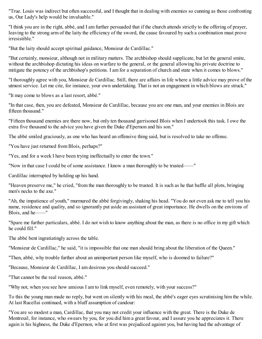"True. Louis was indirect but often successful, and I thought that in dealing with enemies so cunning as those confronting us, Our Lady's help would be invaluable."

"I think you are in the right, abbé, and I am further persuaded that if the church attends strictly to the offering of prayer, leaving to the strong arm of the laity the efficiency of the sword, the cause favoured by such a combination must prove irresistible."

"But the laity should accept spiritual guidance, Monsieur de Cardillac."

"But certainly, monsieur, although not in military matters. The archbishop should supplicate, but let the general smite, without the archbishop dictating his ideas on warfare to the general, or the general allowing his private doctrine to mitigate the potency of the archbishop's petitions. I am for a separation of church and state when it comes to blows."

"I thoroughly agree with you, Monsieur de Cardillac. Still, there are affairs in life where a little advice may prove of the utmost service. Let me cite, for instance, your own undertaking. That is not an engagement in which blows are struck."

"It may come to blows as a last resort, abbé."

"In that case, then, you are defeated, Monsieur de Cardillac, because you are one man, and your enemies in Blois are fifteen thousand."

"Fifteen thousand enemies are there now, but only ten thousand garrisoned Blois when I undertook this task. I owe the extra five thousand to the advice you have given the Duke d'Epernon and his son."

The abbé smiled graciously, as one who has heard an offensive thing said, but is resolved to take no offense.

"You have just returned from Blois, perhaps?"

"Yes, and for a week I have been trying ineffectually to enter the town."

"Now in that case I could be of some assistance. I know a man thoroughly to be trusted——"

Cardillac interrupted by holding up his hand.

"Heaven preserve me," he cried, "from the man thoroughly to be trusted. It is such as he that baffle all plots, bringing men's necks to the axe."

"Ah, the impatience of youth," murmured the abbé forgivingly, shaking his head. "You do not even ask me to tell you his name, residence and quality, and so ignorantly put aside an assistant of great importance. He dwells on the environs of Blois, and he——"

"Spare me further particulars, abbé. I do not wish to know anything about the man, as there is no office in my gift which he could fill."

The abbé bent ingratiatingly across the table.

"Monsieur de Cardillac," he said, "it is impossible that one man should bring about the liberation of the Queen."

"Then, abbé, why trouble further about an unimportant person like myself, who is doomed to failure?"

"Because, Monsieur de Cardillac, I am desirous you should succeed."

"That cannot be the real reason, abbé."

"Why not, when you see how anxious I am to link myself, even remotely, with your success?"

To this the young man made no reply, but went on silently with his meal, the abbé's eager eyes scrutinising him the while. At last Rucellai continued, with a bluff assumption of candour:

"You are so modest a man, Cardillac, that you may not credit your influence with the great. There is the Duke de Montreuil, for instance, who swears by you, for you did him a great favour, and I assure you he appreciates it. There again is his highness, the Duke d'Epernon, who at first was prejudiced against you, but having had the advantage of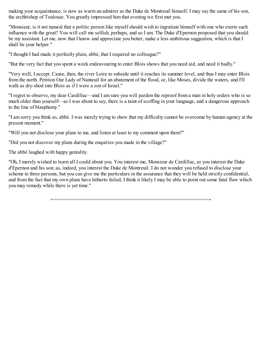making your acquaintance, is now as warm an admirer as the Duke de Montreuil himself. I may say the same of his son, the archbishop of Toulouse. You greatly impressed him that evening we first met you.

"Monsieur, is it not natural that a politic person like myself should wish to ingratiate himself with one who exerts such influence with the great? You will call me selfish, perhaps, and so I am. The Duke d'Epernon proposed that you should be my assistant. Let me, now that I know and appreciate you better, make a less ambitious suggestion, which is that I shall be your helper."

"I thought I had made it perfectly plain, abbé, that I required no colleague?"

"But the very fact that you spent a week endeavouring to enter Blois shows that you need aid, and need it badly."

"Very well, I accept. Cause, then, the river Loire to subside until it reaches its summer level, and thus I may enter Blois from the north. Petition Our Lady of Nanteuil for an abatement of the flood, or, like Moses, divide the waters, and I'll walk as dry-shod into Blois as if I were a son of Israel."

"I regret to observe, my dear Cardillac—and I am sure you will pardon the reproof from a man in holy orders who is so much older than yourself—as I was about to say, there is a taint of scoffing in your language, and a dangerous approach to the line of blasphemy."

"I am sorry you think so, abbé. I was merely trying to show that my difficulty cannot be overcome by human agency at the present moment."

"Will you not disclose your plans to me, and listen at least to my comment upon them?"

"Did you not discover my plans during the enquiries you made in the village?"

The abbé laughed with happy geniality.

"Oh, I merely wished to learn all I could about you. You interest me, Monsieur de Cardillac, as you interest the Duke d'Epernon and his son; as, indeed, you interest the Duke de Montreuil. I do not wonder you refused to disclose your scheme to three persons, but you can give me the particulars in the assurance that they will be held strictly confidential, and from the fact that my own plans have hitherto failed, I think it likely I may be able to point out some fatal flaw which you may remedy while there is yet time."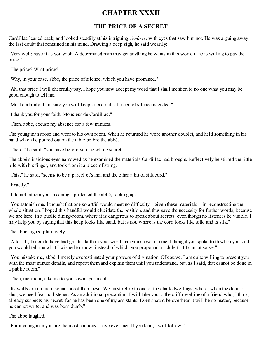## **CHAPTER XXXII**

### **THE PRICE OF A SECRET**

Cardillac leaned back, and looked steadily at his intriguing *vis-à-vis* with eyes that saw him not. He was arguing away the last doubt that remained in his mind. Drawing a deep sigh, he said wearily:

"Very well; have it as you wish. A determined man may get anything he wants in this world if he is willing to pay the price."

"The price? What price?"

"Why, in your case, abbé, the price of silence, which you have promised."

"Ah, that price I will cheerfully pay. I hope you now accept my word that I shall mention to no one what you may be good enough to tell me."

"Most certainly: I am sure you will keep silence till all need of silence is ended."

"I thank you for your faith, Monsieur de Cardillac."

"Then, abbé, excuse my absence for a few minutes."

The young man arose and went to his own room. When he returned he wore another doublet, and held something in his hand which he poured out on the table before the abbé.

"There," he said, "you have before you the whole secret."

The abbé's insidious eyes narrowed as he examined the materials Cardillac had brought. Reflectively he stirred the little pile with his finger, and took from it a piece of string.

"This," he said, "seems to be a parcel of sand, and the other a bit of silk cord."

"Exactly."

"I do not fathom your meaning," protested the abbé, looking up.

"You astonish me. I thought that one so artful would meet no difficulty—given these materials—in reconstructing the whole situation. I hoped this handful would elucidate the position, and thus save the necessity for further words, because we are here, in a public dining-room, where it is dangerous to speak about secrets, even though no listeners be visible. I may help you by saying that this heap looks like sand, but is not, whereas the cord looks like silk, and is silk."

The abbé sighed plaintively.

"After all, I seem to have had greater faith in your word than you show in mine. I thought you spoke truth when you said you would tell me what I wished to know, instead of which, you propound a riddle that I cannot solve."

"You mistake me, abbé. I merely overestimated your powers of divination. Of course, I am quite willing to present you with the most minute details, and repeat them and explain them until you understand, but, as I said, that cannot be done in a public room."

"Then, monsieur, take me to your own apartment."

"Its walls are no more sound-proof than these. We must retire to one of the chalk dwellings, where, when the door is shut, we need fear no listener. As an additional precaution, I will take you to the cliff-dwelling of a friend who, I think, already suspects my secret, for he has been one of my assistants. Even should he overhear it will be no matter, because he cannot write, and was born dumb."

The abbé laughed.

"For a young man you are the most cautious I have ever met. If you lead, I will follow."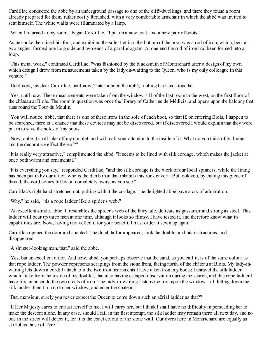Cardillac conducted the abbé by an underground passage to one of the cliff-dwellings, and there they found a room already prepared for them, rather cosily furnished, with a very comfortable armchair in which the abbé was invited to seat himself. The white walls were illuminated by a lamp.

"When I returned to my room," began Cardillac, "I put on a new coat, and a new pair of boots."

As he spoke, he raised his foot, and exhibited the sole. Let into the bottom of the boot was a rod of iron, which, bent at two angles, formed one long side and two ends of a parallelogram. At one end the rod of iron had been formed into a loop.

"This metal work," continued Cardillac, "was fashioned by the blacksmith of Montrichard after a design of my own, which design I drew from measurements taken by the lady-in-waiting to the Queen, who is my only colleague in this venture."

"Until now, my dear Cardillac, until now," interpolated the abbé, rubbing his hands together.

"Yes, until now. These measurements were taken from the window-sill of the last room to the west, on the first floor of the château at Blois. The room in question was once the library of Catherine de Médicis, and opens upon the balcony that runs round the Tour du Moulin.

"You will notice, abbé, that there is one of these irons in the sole of each boot, so that if, on entering Blois, I happen to be searched, there is a chance that these devices may not be discovered, but if discovered I would explain that they were put in to save the soles of my boots.

"Now, abbé, I shall take off my doublet, and will call your attention to the inside of it. What do you think of its lining, and the decorative effect thereof?"

"It is really very attractive," complimented the abbé. "It seems to be lined with silk cordage, which makes the jacket at once both warm and ornamental."

"It is everything you say," responded Cardillac, "and the silk cordage is the work of our local spinners, while the lining has been put in by our tailor, who is the dumb man that inhabits this rock cavern. But look you, by cutting this piece of thread, the cord comes bit by bit completely away, as you see."

Cardillac's right hand stretched out, pulling with it the cordage. The delighted abbé gave a cry of admiration.

"Why," he said, "'tis a rope ladder like a spider's web."

"An excellent simile, abbé. It resembles the spider's web of the fairy tale, delicate as gossamer and strong as steel. This ladder will bear up three men at one time, although it looks so flimsy. I have tested it, and therefore know what its capabilities are. Now, having unravelled it for your benefit, I must order it sewn up again."

Cardillac opened the door and shouted. The dumb tailor appeared, took the doublet and his instructions, and disappeared.

"A sinister-looking man, that," said the abbé.

"Yes, but an excellent tailor. And now, abbé, you perhaps observe that the sand, as you call it, is of the same colour as that rope ladder. The powder represents scrapings from the stone front, facing north, of the château at Blois. My lady-inwaiting lets down a cord; I attach to it the two iron instruments I have taken from my boots; I unravel the silk ladder which I take from the inside of my doublet, that also having escaped observation during the search, and this rope ladder I have first attached to the two cleats of iron. The lady-in-waiting fastens the iron upon the window-sill, letting down the silk ladder, then I run up to her window, and enter the château."

"But, monsieur, surely you never expect the Queen to come down such an aërial ladder as that?"

"If Her Majesty cares to entrust herself to me, I will carry her, but I think I shall have no difficulty in persuading her to make the descent alone. In any case, should I fail in the first attempt, the silk ladder may remain there all next day, and no one in the street will detect it, for it is the exact colour of the stone wall. Our dyers here in Montrichard are equally as skilful as those of Tyre."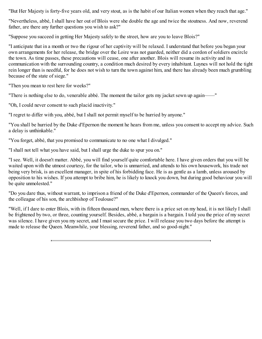"But Her Majesty is forty-five years old, and very stout, as is the habit of our Italian women when they reach that age."

"Nevertheless, abbé, I shall have her out of Blois were she double the age and twice the stoutness. And now, reverend father, are there any further questions you wish to ask?"

"Suppose you succeed in getting Her Majesty safely to the street, how are you to leave Blois?"

"I anticipate that in a month or two the rigour of her captivity will be relaxed. I understand that before you began your own arrangements for her release, the bridge over the Loire was not guarded, neither did a cordon of soldiers encircle the town. As time passes, these precautions will cease, one after another. Blois will resume its activity and its communication with the surrounding country, a condition much desired by every inhabitant. Luynes will not hold the tight rein longer than is needful, for he does not wish to turn the town against him, and there has already been much grumbling because of the state of siege."

"Then you mean to rest here for weeks?"

"There is nothing else to do, venerable abbé. The moment the tailor gets my jacket sewn up again——"

"Oh, I could never consent to such placid inactivity."

"I regret to differ with you, abbé, but I shall not permit myself to be hurried by anyone."

"You shall be hurried by the Duke d'Epernon the moment he hears from me, unless you consent to accept my advice. Such a delay is unthinkable."

"You forget, abbé, that you promised to communicate to no one what I divulged."

"I shall not tell what you have said, but I shall urge the duke to spur you on."

"I see. Well, it doesn't matter. Abbé, you will find yourself quite comfortable here. I have given orders that you will be waited upon with the utmost courtesy, for the tailor, who is unmarried, and attends to his own housework, his trade not being very brisk, is an excellent manager, in spite of his forbidding face. He is as gentle as a lamb, unless aroused by opposition to his wishes. If you attempt to bribe him, he is likely to knock you down, but during good behaviour you will be quite unmolested."

"Do you dare thus, without warrant, to imprison a friend of the Duke d'Epernon, commander of the Queen's forces, and the colleague of his son, the archbishop of Toulouse?"

"Well, if I dare to enter Blois, with its fifteen thousand men, where there is a price set on my head, it is not likely I shall be frightened by two, or three, counting yourself. Besides, abbé, a bargain is a bargain. I told you the price of my secret was silence. I have given you my secret, and I must secure the price. I will release you two days before the attempt is made to release the Queen. Meanwhile, your blessing, reverend father, and so good-night."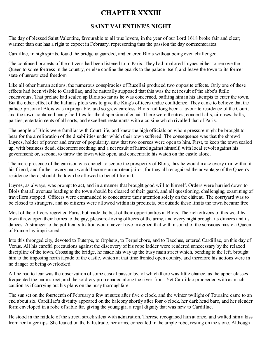# **CHAPTER XXXIII**

### **SAINT VALENTINE'S NIGHT**

The day of blessed Saint Valentine, favourable to all true lovers, in the year of our Lord 1618 broke fair and clear; warmer than one has a right to expect in February, representing thus the passion the day commemorates.

Cardillac, in high spirits, found the bridge unguarded, and entered Blois without being even challenged.

The continued protests of the citizens had been listened to in Paris. They had implored Luynes either to remove the Queen to some fortress in the country, or else confine the guards to the palace itself, and leave the town to its former state of unrestricted freedom.

Like all other human actions, the numerous conspiracies of Rucellai produced two opposite effects. Only one of these effects had been visible to Cardillac, and he naturally supposed that this was the net result of the abbé's futile endeavours. That prelate had sealed up Blois so far as he was concerned, baffling him in his attempts to enter the town. But the other effect of the Italian's plots was to give the King's officers undue confidence. They came to believe that the palace-prison of Blois was impregnable, and so grew careless. Blois had long been a favourite residence of the Court, and the town contained many facilities for the dispersion of ennui. There were theatres, concert halls, circuses, balls, parties, entertainments of all sorts, and excellent restaurants with a cuisine which rivalled that of Paris.

The people of Blois were familiar with Court life, and knew the high officials on whom pressure might be brought to bear for the amelioration of the disabilities under which their town suffered. The consequence was that the shrewd Luynes, holder of power and craver of popularity, saw that two courses were open to him. First, to keep the town sealed up, with business dead, discontent seething, and a net result of hatred against himself, with local revolt against his government; or, second, to throw the town wide open, and concentrate his watch on the castle alone.

The mere presence of the garrison was enough to secure the prosperity of Blois, thus he would make every man within it his friend, and further, every man would become an amateur jailor, for they all recognised the advantage of the Queen's residence there, should the town be allowed to benefit from it.

Luynes, as always, was prompt to act, and in a manner that brought good will to himself. Orders were hurried down to Blois that all avenues leading to the town should be cleared of their guard, and all questioning, challenging, examining of travellers stopped. Officers were commanded to concentrate their attention solely on the château. The courtyard was to be closed to strangers, and no citizens were allowed within its precincts, but outside these limits the town became free.

Most of the officers regretted Paris, but made the best of their opportunities at Blois. The rich citizens of this wealthy town threw open their homes to the gay, pleasure-loving officers of the army, and every night brought its dinners and its dances. A stranger to the political situation would never have imagined that within sound of the sensuous music a Queen of France lay imprisoned.

Into this thronged city, devoted to Euterpe, to Orpheus, to Terpsichore, and to Bacchus, entered Cardillac, on this day of Venus. All his careful precautions against the discovery of his rope ladder were rendered unnecessary by the relaxed discipline of the town. Crossing the bridge, he made his way up the busy main street which, bending to the left, brought him to the imposing north façade of the castle, which at that time fronted open country, and therefore his actions were in no danger of being overlooked.

All he had to fear was the observation of some casual passer-by, of which there was little chance, as the upper classes frequented the main street, and the soldiery promenaded along the river-front. Yet Cardillac proceeded with as much caution as if carrying out his plans on the busy thoroughfare.

The sun set on the fourteenth of February a few minutes after five o'clock, and the winter twilight of Touraine came to an end about six. Cardillac's divinity appeared on the balcony shortly after four o'clock, her dark head bare, and her slender form enveloped in a robe of sable fur, giving the young girl a regal dignity that was new to Cardillac.

He stood in the middle of the street, struck silent with admiration. Thérèse recognised him at once, and wafted him a kiss from her finger tips. She leaned on the balustrade, her arms, concealed in the ample robe, resting on the stone. Although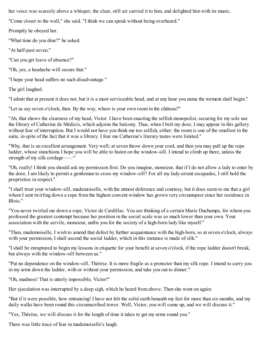her voice was scarcely above a whisper, the clear, still air carried it to him, and delighted him with its music.

"Come closer to the wall," she said. "I think we can speak without being overheard."

Promptly he obeyed her.

"What time do you dine?" he asked.

"At half-past seven."

"Can you get leave of absence?"

"Oh, yes, a headache will secure that."

"I hope your head suffers no such disadvantage."

The girl laughed.

"I admit that at present it does not, but it is a most serviceable head, and at any hour you name the torment shall begin."

"Let us say seven o'clock, then. By the way, where is your own room in the château?"

"Ah, that shows the clearness of my head, Victor. I have been enacting the selfish monopolist, securing for my sole use the library of Catherine de Médicis, which adjoins the balcony. Thus, when I bolt my door, I may appear in this gallery without fear of interruption. But I would not have you think me too selfish, either: the room is one of the smallest in the suite, in spite of the fact that it was a library. I fear me Catherine's literary tastes were limited."

"Why, that is an excellent arrangement. Very well; at seven throw down your cord, and then you may pull up the rope ladder, whose stanchions I hope you will be able to fasten on the window-sill. I intend to climb up there, unless the strength of my silk cordage——"

"Oh, really! I think you should ask my permission first. Do you imagine, monsieur, that if I do not allow a lady to enter by the door, I am likely to permit a gentleman to cross my window-sill? For all my lady-errant escapades, I still hold the proprieties in respect."

"I shall treat your window-sill, mademoiselle, with the utmost deference and courtesy, but it does seem to me that a girl whom I sent twirling down a rope from the highest convent window has grown very circumspect since her residence in Blois."

"You never twirled me down a rope, Victor de Cardillac. You are thinking of a certain Marie Duchamps, for whom you professed the greatest contempt because her position in the social scale was so much lower than your own. Your association with the servile, monsieur, unfits you for the society of a high-born lady like myself."

"Then, mademoiselle, I wish to amend that defect by further acquaintance with the high-born, so at seven o'clock, always with your permission, I shall ascend the social ladder, which in this instance is made of silk."

"I shall be enraptured to begin my lessons in etiquette for your benefit at seven o'clock, if the rope ladder doesn't break, but always with the window-sill between us."

"Put no dependence on the window-sill, Thérèse. It is more fragile as a protector than my silk rope. I intend to carry you in my arms down the ladder, with or without your permission, and take you out to dinner."

"Oh, madness! That is utterly impossible, Victor!"

Her ejaculation was interrupted by a deep sigh, which he heard from above. Then she went on again:

"But if it were possible, how entrancing! I have not felt the solid earth beneath my feet for more than six months, and my daily walks have been round this circumscribed tower. Well, Victor, you will come up, and we will discuss it."

"Yes, Thérèse, we will discuss it for the length of time it takes to get my arms round you."

There was little trace of fear in mademoiselle's laugh.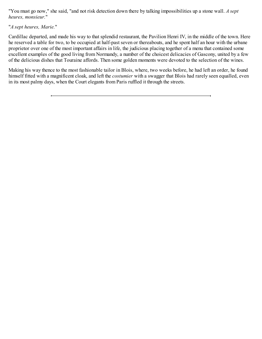"You must go now," she said, "and not risk detection down there by talking impossibilities up a stone wall. *A sept heures, monsieur.*"

#### "*A sept heures, Marie.*"

Cardillac departed, and made his way to that splendid restaurant, the Pavilion Henri IV, in the middle of the town. Here he reserved a table for two, to be occupied at half-past seven or thereabouts, and he spent half an hour with the urbane proprietor over one of the most important affairs in life, the judicious placing together of a menu that contained some excellent examples of the good living from Normandy, a number of the choicest delicacies of Gascony, united by a few of the delicious dishes that Touraine affords. Then some golden moments were devoted to the selection of the wines.

Making his way thence to the most fashionable tailor in Blois, where, two weeks before, he had left an order, he found himself fitted with a magnificent cloak, and left the *costumier* with a swagger that Blois had rarely seen equalled, even in its most palmy days, when the Court elegants from Paris ruffled it through the streets.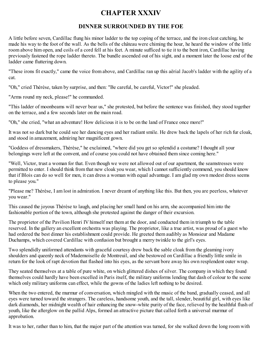# **CHAPTER XXXIV**

#### **DINNER SURROUNDED BY THE FOE**

A little before seven, Cardillac flung his minor ladder to the top coping of the terrace, and the iron cleat catching, he made his way to the foot of the wall. As the bells of the château were chiming the hour, he heard the window of the little room above him open, and coils of a cord fell at his feet. A minute sufficed to tie it to the bent iron, Cardillac having previously fastened the rope ladder thereto. The bundle ascended out of his sight, and a moment later the loose end of the ladder came fluttering down.

"These irons fit exactly," came the voice from above, and Cardillac ran up this aërial Jacob's ladder with the agility of a cat.

"Oh," cried Thérèse, taken by surprise, and then: "Be careful, be careful, Victor!" she pleaded.

"Arms round my neck, please!" he commanded.

"This ladder of moonbeams will never bear us," she protested, but before the sentence was finished, they stood together on the terrace, and a few seconds later on the main road.

"Oh," she cried, "what an adventure! How delicious it is to be on the land of France once more!"

It was not so dark but he could see her dancing eyes and her radiant smile. He drew back the lapels of her rich fur cloak, and stood in amazement, admiring her magnificent gown.

"Goddess of dressmakers, Thérèse," he exclaimed, "where did you get so splendid a costume? I thought all your belongings were left at the convent, and of course you could not have obtained them since coming here."

"Well, Victor, trust a woman for that. Even though we were not allowed out of our apartment, the seamstresses were permitted to enter. I should think from that new cloak you wear, which I cannot sufficiently commend, you should know that if Blois can do so well for men, it can dress a woman with equal advantage. I am glad my own modest dress seems to please you."

"Please me? Thérèse, I am lost in admiration. I never dreamt of anything like this. But then, you are peerless, whatever you wear."

This caused the joyous Thérèse to laugh, and placing her small hand on his arm, she accompanied him into the fashionable portion of the town, although she protested against the danger of their excursion.

The proprietor of the Pavilion Henri IV himself met them at the door, and conducted them in triumph to the table reserved. In the gallery an excellent orchestra was playing. The proprietor, like a true artist, was proud of a guest who had ordered the best dinner his establishment could provide. He greeted them audibly as Monsieur and Madame Duchamps, which covered Cardillac with confusion but brought a merry twinkle to the girl's eyes.

Two splendidly uniformed attendants with graceful courtesy drew back the sable cloak from the gleaming ivory shoulders and queenly neck of Mademoiselle de Montreuil, and she bestowed on Cardillac a friendly little smile in return for the look of rapt devotion that flashed into his eyes, as the servant bore away his own resplendent outer wrap.

They seated themselves at a table of pure white, on which glittered dishes of silver. The company in which they found themselves could hardly have been excelled in Paris itself, the military uniforms lending that dash of colour to the scene which only military uniforms can effect, while the gowns of the ladies left nothing to be desired.

When the two entered, the murmur of conversation, which mingled with the music of the band, gradually ceased, and all eyes were turned toward the strangers. The careless, handsome youth, and the tall, slender, beautiful girl, with eyes like dark diamonds, her midnight wealth of hair enhancing the snow-white purity of the face, relieved by the healthful flush of youth, like the afterglow on the pallid Alps, formed an attractive picture that called forth a universal murmur of approbation.

It was to her, rather than to him, that the major part of the attention was turned, for she walked down the long room with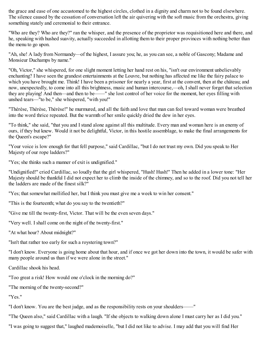the grace and ease of one accustomed to the highest circles, clothed in a dignity and charm not to be found elsewhere. The silence caused by the cessation of conversation left the air quivering with the soft music from the orchestra, giving something stately and ceremonial to their entrance.

"Who are they? Who are they?" ran the whisper, and the presence of the proprietor was requisitioned here and there, and he, speaking with hushed suavity, actually succeeded in allotting them to their proper provinces with nothing better than the menu to go upon.

"Ah, she! A lady from Normandy—of the highest, I assure you; he, as you can see, a noble of Gascony; Madame and Monsieur Duchamps by name."

"Oh, Victor," she whispered, for one slight moment letting her hand rest on his, "isn't our environment unbelievably enchanting? I have seen the grandest entertainments at the Louvre, but nothing has affected me like the fairy palace to which you have brought me. Think! I have been a prisoner for nearly a year, first at the convent, then at the château; and now, unexpectedly, to come into all this brightness, music and human intercourse,—oh, I shall never forget that selection they are playing! And then—and then to be——" she lost control of her voice for the moment, her eyes filling with unshed tears—"to be," she whispered, "with you!"

"Thérèse, Thérèse, Thérèse!" he murmured, and all the faith and love that man can feel toward woman were breathed into the word thrice repeated. But the warmth of her smile quickly dried the dew in her eyes.

"To think," she said, "that you and I stand alone against all this multitude. Every man and woman here is an enemy of ours, if they but knew. Would it not be delightful, Victor, in this hostile assemblage, to make the final arrangements for the Queen's escape?"

"Your voice is low enough for that fell purpose," said Cardillac, "but I do not trust my own. Did you speak to Her Majesty of our rope ladders?"

"Yes; she thinks such a manner of exit is undignified."

"Undignified!" cried Cardillac, so loudly that the girl whispered, "Hush! Hush!" Then he added in a lower tone: "Her Majesty should be thankful I did not expect her to climb the inside of the chimney, and so to the roof. Did you not tell her the ladders are made of the finest silk?"

"Yes; that somewhat mollified her, but I think you must give me a week to win her consent."

"This is the fourteenth; what do you say to the twentieth?"

"Give me till the twenty-first, Victor. That will be the even seven days."

"Very well. I shall come on the night of the twenty-first."

"At what hour? About midnight?"

"Isn't that rather too early for such a roystering town?"

"I don't know. Everyone is going home about that hour, and if once we got her down into the town, it would be safer with many people around us than if we were alone in the street."

Cardillac shook his head.

"Too great a risk! How would one o'clock in the morning do?"

"The morning of the twenty-second?"

"Yes."

"I don't know. You are the best judge, and as the responsibility rests on your shoulders——"

"The Queen also," said Cardillac with a laugh. "If she objects to walking down alone I must carry her as I did you."

"I was going to suggest that," laughed mademoiselle, "but I did not like to advise. I may add that you will find Her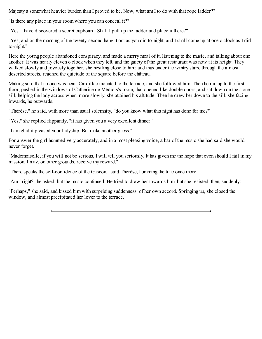Majesty a somewhat heavier burden than I proved to be. Now, what am I to do with that rope ladder?"

"Is there any place in your room where you can conceal it?"

"Yes. I have discovered a secret cupboard. Shall I pull up the ladder and place it there?"

"Yes, and on the morning of the twenty-second hang it out as you did to-night, and I shall come up at one o'clock as I did to-night."

Here the young people abandoned conspiracy, and made a merry meal of it, listening to the music, and talking about one another. It was nearly eleven o'clock when they left, and the gaiety of the great restaurant was now at its height. They walked slowly and joyously together, she nestling close to him; and thus under the wintry stars, through the almost deserted streets, reached the quietude of the square before the château.

Making sure that no one was near, Cardillac mounted to the terrace, and she followed him. Then he ran up to the first floor, pushed in the windows of Catherine de Médicis's room, that opened like double doors, and sat down on the stone sill, helping the lady across when, more slowly, she attained his altitude. Then he drew her down to the sill, she facing inwards, he outwards.

"Thérèse," he said, with more than usual solemnity, "do you know what this night has done for me?"

"Yes," she replied flippantly, "it has given you a very excellent dinner."

"I am glad it pleased your ladyship. But make another guess."

For answer the girl hummed very accurately, and in a most pleasing voice, a bar of the music she had said she would never forget.

"Mademoiselle, if you will not be serious, I will tell you seriously. It has given me the hope that even should I fail in my mission, I may, on other grounds, receive my reward."

"There speaks the self-confidence of the Gascon," said Thérèse, humming the tune once more.

"Am I right?" he asked, but the music continued. He tried to draw her towards him, but she resisted, then, suddenly:

"Perhaps," she said, and kissed him with surprising suddenness, of her own accord. Springing up, she closed the window, and almost precipitated her lover to the terrace.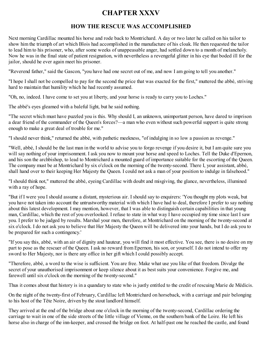## **CHAPTER XXXV**

### **HOW THE RESCUE WAS ACCOMPLISHED**

Next morning Cardillac mounted his horse and rode back to Montrichard. A day or two later he called on his tailor to show him the triumph of art which Blois had accomplished in the manufacture of his cloak. He then requested the tailor to lead him to his prisoner, who, after some weeks of unappeasable anger, had settled down to a month of melancholy. Now he was in the final state of patient resignation, with nevertheless a revengeful glitter in his eye that boded ill for the jailor, should he ever again meet his prisoner.

"Reverend father," said the Gascon, "you have had one secret out of me, and now I am going to tell you another."

"I hope I shall not be compelled to pay for the second the price that was exacted for the first," muttered the abbé, striving hard to maintain that humility which he had recently assumed.

"Oh, no, indeed. I have come to set you at liberty, and your horse is ready to carry you to Loches."

The abbé's eyes gleamed with a baleful light, but he said nothing.

"The secret which must have puzzled you is this. Why should I, an unknown, unimportant person, have dared to imprison a dear friend of the commander of the Queen's forces?—a man who even without such powerful support is quite strong enough to make a great deal of trouble for me."

"I should never think," returned the abbé, with pathetic meekness, "of indulging in so low a passion as revenge."

"Well, abbé, I should be the last man in the world to advise you to forgo revenge if you desire it, but I am quite sure you will say nothing of your imprisonment. I ask you now to mount your horse and speed to Loches. Tell the Duke d'Epernon, and his son the archbishop, to lead to Montrichard a mounted guard of importance suitable for the escorting of the Queen. The company must be at Montrichard by six o'clock on the morning of the twenty-second. There I, your assistant, abbé, shall hand over to their keeping Her Majesty the Queen. I could not ask a man of your position to indulge in falsehood."

"I should think not," muttered the abbé, eyeing Cardillac with doubt and misgiving, the glance, nevertheless, illumined with a ray of hope.

"But if I were you I should assume a distant, mysterious air. I should say to enquirers: 'You thought my plots weak, but you have not taken into account the untrustworthy material with which I have had to deal, therefore I prefer to say nothing about this latest development. I may mention, however, that I was able to distinguish certain capabilities in that young man, Cardillac, which the rest of you overlooked. I refuse to state in what way I have occupied my time since last I saw you. I prefer to be judged by results. Marshal your men, therefore, at Montrichard on the morning of the twenty-second at six o'clock. I do not ask you to believe that Her Majesty the Queen will be delivered into your hands, but I do ask you to be prepared for such a contingency.'

"If you say this, abbé, with an air of dignity and hauteur, you will find it most effective. You see, there is no desire on my part to pose as the rescuer of the Queen. I ask no reward from Epernon, his son, or yourself. I do not intend to offer my sword to Her Majesty, nor is there any office in her gift which I could possibly accept.

"Therefore, abbé, a word to the wise is sufficient. You are free. Make what use you like of that freedom. Divulge the secret of your unauthorised imprisonment or keep silence about it as best suits your convenience. Forgive me, and farewell until six o'clock on the morning of the twenty-second."

Thus it comes about that history is in a quandary to state who is justly entitled to the credit of rescuing Marie de Médicis.

On the night of the twenty-first of February, Cardillac left Montrichard on horseback, with a carriage and pair belonging to his host of the Tête Noire, driven by the stout landlord himself.

They arrived at the end of the bridge about one o'clock in the morning of the twenty-second, Cardillac ordering the carriage to wait in one of the side streets of the little village of Vienne, on the southern bank of the Loire. He left his horse also in charge of the inn-keeper, and crossed the bridge on foot. At half-past one he reached the castle, and found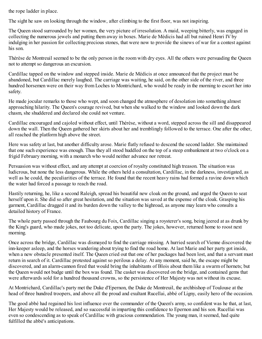the rope ladder in place.

The sight he saw on looking through the window, after climbing to the first floor, was not inspiring.

The Queen stood surrounded by her women, the very picture of irresolution. A maid, weeping bitterly, was engaged in collecting the numerous jewels and putting them away in boxes. Marie de Médicis had all but ruined Henri IV by indulging in her passion for collecting precious stones, that were now to provide the sinews of war for a contest against his son.

Thérèse de Montreuil seemed to be the only person in the room with dry eyes. All the others were persuading the Queen not to attempt so dangerous an excursion.

Cardillac tapped on the window and stepped inside. Marie de Médicis at once announced that the project must be abandoned, but Cardillac merely laughed. The carriage was waiting, he said, on the other side of the river, and three hundred horsemen were on their way from Loches to Montrichard, who would be ready in the morning to escort her into safety.

He made jocular remarks to those who wept, and soon changed the atmosphere of desolation into something almost approaching hilarity. The Queen's courage revived, but when she walked to the window and looked down the dark chasm, she shuddered and declared she could not venture.

Cardillac encouraged and cajoled without effect, until Thérèse, without a word, stepped across the sill and disappeared down the wall. Then the Queen gathered her skirts about her and tremblingly followed to the terrace. One after the other, all reached the platform high above the street.

Here was safety at last, but another difficulty arose. Marie flatly refused to descend the second ladder. She maintained that one such experience was enough. Thus they all stood huddled on the top of a steep embankment at two o'clock on a frigid February morning, with a monarch who would neither advance nor retreat.

Persuasion was without effect, and any attempt at coercion of royalty constituted high treason. The situation was ludicrous, but none the less dangerous. While the others held a consultation, Cardillac, in the darkness, investigated, as well as he could, the peculiarities of the terrace. He found that the recent heavy rains had formed a ravine down which the water had forced a passage to reach the road.

Hastily returning, he, like a second Raleigh, spread his beautiful new cloak on the ground, and urged the Queen to seat herself upon it. She did so after great hesitation, and the situation was saved at the expense of the cloak. Grasping his garment, Cardillac dragged it and its burden down the valley to the highroad, as anyone may learn who consults a detailed history of France.

The whole party passed through the Faubourg du Foix, Cardillac singing a roysterer's song, being jeered at as drunk by the King's guard, who made jokes, not too delicate, upon the party. The jokes, however, returned home to roost next morning.

Once across the bridge, Cardillac was dismayed to find the carriage missing. A hurried search of Vienne discovered the inn-keeper asleep, and the horses wandering about trying to find the road home. At last Marie and her party got inside, when a new obstacle presented itself. The Queen cried out that one of her packages had been lost, and that a servant must return in search of it. Cardillac protested against so perilous a delay. At any moment, said he, the escape might be discovered, and an alarm-cannon fired that would bring the inhabitants of Blois about them like a swarm of hornets; but the Queen would not budge until the box was found. The casket was discovered on the bridge, and contained gems that were afterwards sold for a hundred thousand crowns, so the persistence of Her Majesty was not without its excuse.

At Montrichard, Cardillac's party met the Duke d'Epernon, the Duke de Montreuil, the archbishop of Toulouse at the head of three hundred troopers, and above all the proud and exultant Rucellai, abbé of Ligny, easily hero of the occasion.

The good abbé had regained his lost influence over the commander of the Queen's army, so confident was he that, at last, Her Majesty would be released, and so successful in imparting this confidence to Epernon and his son. Rucellai was even so condescending as to speak of Cardillac with gracious commendation. The young man, it seemed, had quite fulfilled the abbé's anticipations.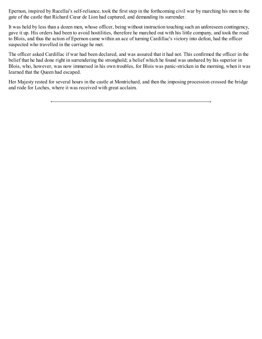Epernon, inspired by Rucellai's self-reliance, took the first step in the forthcoming civil war by marching his men to the gate of the castle that Richard Cœur de Lion had captured, and demanding its surrender.

It was held by less than a dozen men, whose officer, being without instruction touching such an unforeseen contingency, gave it up. His orders had been to avoid hostilities, therefore he marched out with his little company, and took the road to Blois, and thus the action of Epernon came within an ace of turning Cardillac's victory into defeat, had the officer suspected who travelled in the carriage he met.

The officer asked Cardillac if war had been declared, and was assured that it had not. This confirmed the officer in the belief that he had done right in surrendering the stronghold; a belief which he found was unshared by his superior in Blois, who, however, was now immersed in his own troubles, for Blois was panic-stricken in the morning, when it was learned that the Queen had escaped.

Her Majesty rested for several hours in the castle at Montrichard, and then the imposing procession crossed the bridge and rode for Loches, where it was received with great acclaim.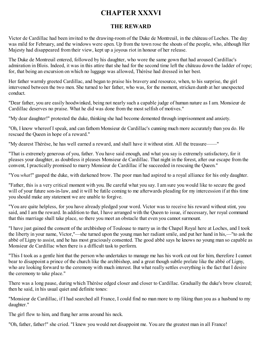# **CHAPTER XXXVI**

#### **THE REWARD**

Victor de Cardillac had been invited to the drawing-room of the Duke de Montreuil, in the château of Loches. The day was mild for February, and the windows were open. Up from the town rose the shouts of the people, who, although Her Majesty had disappeared from their view, kept up a joyous riot in honour of her release.

The Duke de Montreuil entered, followed by his daughter, who wore the same gown that had aroused Cardillac's admiration in Blois. Indeed, it was in this attire that she had for the second time left the château down the ladder of rope; for, that being an excursion on which no luggage was allowed, Thérèse had dressed in her best.

Her father warmly greeted Cardillac, and began to praise his bravery and resource, when, to his surprise, the girl intervened between the two men. She turned to her father, who was, for the moment, stricken dumb at her unexpected conduct.

"Dear father, you are easily hoodwinked, being not nearly such a capable judge of human nature as I am. Monsieur de Cardillac deserves no praise. What he did was done from the most selfish of motives."

"My dear daughter!" protested the duke, thinking she had become demented through imprisonment and anxiety.

"Oh, I know whereof I speak, and can fathom Monsieur de Cardillac's cunning much more accurately than you do. He rescued the Queen in hope of a reward."

"My dearest Thérèse, he has well earned a reward, and shall have it without stint. All the treasure——"

"That is extremely generous of you, father. You have said enough, and what you say is extremely satisfactory, for it pleases your daughter, as doubtless it pleases Monsieur de Cardillac. That night in the forest, after our escape from the convent, I practically promised to marry Monsieur de Cardillac if he succeeded in rescuing the Queen."

"You *what*!" gasped the duke, with darkened brow. The poor man had aspired to a royal alliance for his only daughter.

"Father, this is a very critical moment with you. Be careful what you say. I am sure you would like to secure the good will of your future son-in-law, and it will be futile coming to me afterwards pleading for my intercession if at this time you should make any statement we are unable to forgive.

"You are quite helpless, for you have already pledged your word. Victor was to receive his reward without stint, you said, and I am the reward. In addition to that, I have arranged with the Queen to issue, if necessary, her royal command that this marriage shall take place, so there you meet an obstacle that even you cannot surmount.

"I have just gained the consent of the archbishop of Toulouse to marry us in the Chapel Royal here at Loches, and I took the liberty in your name, Victor,"—she turned upon the young man her radiant smile, and put her hand in his,—"to ask the abbé of Ligny to assist, and he has most graciously consented. The good abbé says he knows no young man so capable as Monsieur de Cardillac when there is a difficult task to perform.

"This I took as a gentle hint that the person who undertakes to manage me has his work cut out for him, therefore I cannot bear to disappoint a prince of the church like the archbishop, and a great though subtle prelate like the abbé of Ligny, who are looking forward to the ceremony with much interest. But what really settles everything is the fact that I desire the ceremony to take place."

There was a long pause, during which Thérèse edged closer and closer to Cardillac. Gradually the duke's brow cleared; then he said, in his usual quiet and definite tones:

"Monsieur de Cardillac, if I had searched all France, I could find no man more to my liking than you as a husband to my daughter."

The girl flew to him, and flung her arms around his neck.

"Oh, father, father!" she cried. "I knew you would not disappoint me. You are the greatest man in all France!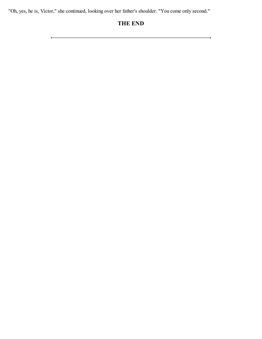"Oh, yes, he is, Victor," she continued, looking over her father's shoulder. "You come only second."

## **THE END**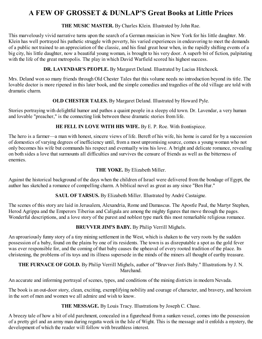# **A FEW OF GROSSET & DUNLAP'S Great Books at Little Prices**

**THE MUSIC MASTER.** By Charles Klein. Illustrated by John Rae.

This marvelously vivid narrative turns upon the search of a German musician in New York for his little daughter. Mr. Klein has well portrayed his pathetic struggle with poverty, his varied experiences in endeavoring to meet the demands of a public not trained to an appreciation of the classic, and his final great hour when, in the rapidly shifting events of a big city, his little daughter, now a beautiful young woman, is brought to his very door. A superb bit of fiction, palpitating with the life of the great metropolis. The play in which David Warfield scored his highest success.

**DR. LAVENDAR'S PEOPLE.** By Margaret Deland. Illustrated by Lucius Hitchcock.

Mrs. Deland won so many friends through Old Chester Tales that this volume needs no introduction beyond its title. The lovable doctor is more ripened in this later book, and the simple comedies and tragedies of the old village are told with dramatic charm.

#### **OLD CHESTER TALES.** By Margaret Deland. Illustrated by Howard Pyle.

Stories portraying with delightful humor and pathos a quaint people in a sleepy old town. Dr. Lavendar, a very human and lovable "preacher," is the connecting link between these dramatic stories from life.

#### **HE FELL IN LOVE WITH HIS WIFE.** By E. P. Roe. With frontispiece.

The hero is a farmer—a man with honest, sincere views of life. Bereft of his wife, his home is cared for by a succession of domestics of varying degrees of inefficiency until, from a most unpromising source, comes a young woman who not only becomes his wife but commands his respect and eventually wins his love. A bright and delicate romance, revealing on both sides a love that surmounts all difficulties and survives the censure of friends as well as the bitterness of enemies.

#### **THE YOKE.** By Elizabeth Miller.

Against the historical background of the days when the children of Israel were delivered from the bondage of Egypt, the author has sketched a romance of compelling charm. A biblical novel as great as any since "Ben Hur."

**SAUL OF TARSUS.** By Elizabeth Miller. Illustrated by André Castaigne.

The scenes of this story are laid in Jerusalem, Alexandria, Rome and Damascus. The Apostle Paul, the Martyr Stephen, Herod Agrippa and the Emperors Tiberius and Caligula are among the mighty figures that move through the pages. Wonderful descriptions, and a love story of the purest and noblest type mark this most remarkable religious romance.

#### **BRUVVER JIM'S BABY.** By Philip Verrill Mighels.

An uproariously funny story of a tiny mining settlement in the West, which is shaken to the very roots by the sudden possession of a baby, found on the plains by one of its residents. The town is as disreputable a spot as the gold fever was ever responsible for, and the coming of that baby causes the upheaval of every rooted tradition of the place. Its christening, the problems of its toys and its illness supersede in the minds of the miners all thought of earthy treasure.

#### **THE FURNACE OF GOLD.** By Philip Verrill Mighels, author of "Bruvver Jim's Baby." Illustrations by J. N. Marchand.

An accurate and informing portrayal of scenes, types, and conditions of the mining districts in modern Nevada.

The book is an out-door story, clean, exciting, exemplifying nobility and courage of character, and bravery, and heroism in the sort of men and women we all admire and wish to know.

#### **THE MESSAGE.** By Louis Tracy. Illustrations by Joseph C. Chase.

A breezy tale of how a bit of old parchment, concealed in a figurehead from a sunken vessel, comes into the possession of a pretty girl and an army man during regatta week in the Isle of Wight. This is the message and it enfolds a mystery, the development of which the reader will follow with breathless interest.